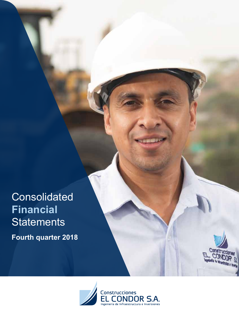**Consolidated Financial Statements** 

**Fourth quarter 2018**



Constr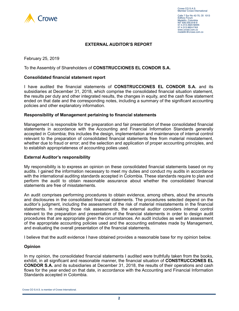

# **EXTERNAL AUDITOR'S REPORT**

February 25, 2019

To the Assembly of Shareholders of **CONSTRUCCIONES EL CONDOR S.A.**

# **Consolidated financial statement report**

I have audited the financial statements of **CONSTRUCCIONES EL CONDOR S.A.** and its subsidiaries at December 31, 2018, which comprise the consolidated financial situation statement, the results per duty and other integrated results, the changes in equity, and the cash flow statement ended on that date and the corresponding notes, including a summary of the significant accounting policies and other explanatory information.

# **Responsibility of Management pertaining to financial statements**

Management is responsible for the preparation and fair presentation of these consolidated financial statements in accordance with the Accounting and Financial Information Standards generally accepted in Colombia; this includes the design, implementation and maintenance of internal control relevant to the preparation of consolidated financial statements free from material misstatement, whether due to fraud or error; and the selection and application of proper accounting principles, and to establish appropriateness of accounting polies used.

# **External Auditor's responsibility**

My responsibility is to express an opinion on these consolidated financial statements based on my audits. I gained the information necessary to meet my duties and conduct my audits in accordance with the international auditing standards accepted in Colombia. These standards require to plan and perform the audit to obtain reasonable assurance about whether the consolidated financial statements are free of misstatements.

An audit comprises performing procedures to obtain evidence, among others, about the amounts and disclosures in the consolidated financial statements. The procedures selected depend on the auditor's judgment, including the assessment of the risk of material misstatements in the financial statements. In making those risk assessments, the external auditor considers internal control relevant to the preparation and presentation of the financial statements in order to design audit procedures that are appropriate given the circumstances. An audit includes as well an assessment of the appropriate accounting policies used and the accounting estimates made by Management, and evaluating the overall presentation of the financial statements.

I believe that the audit evidence I have obtained provides a reasonable base for my opinion below.

# **Opinion**

In my opinion, the consolidated financial statements I audited were truthfully taken from the books, exhibit, in all significant and reasonable manner, the financial situation of **CONSTRUCCIONES EL CONDOR S.A.** and its subsidiaries at December 31, 2018, the results of their operations and cash flows for the year ended on that date, in accordance with the Accounting and Financial Information Standards accepted in Colombia.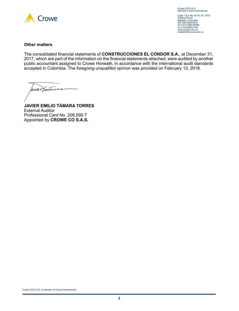

Crowe CO S.A.S. Member Crowe International

Calle 7 Sur No 42-70, Of. 1013 Edificio Forum Medellín, Colombia NIT 830.000.818-9 57.4.313.4920 MAIN 57.4.313.9924 FAX www.crowe.com.co medellin@crowe.com.co

# **Other matters**

The consolidated financial statements of **CONSTRUCCIONES EL CONDOR S.A.**, at December 31, 2017, which are part of the information on the financial statements attached, were audited by another public accountant assigned to Crowe Horwath, in accordance with the international audit standards accepted in Colombia. The foregoing unqualifed opinion was provided on February 13, 2018.

aune Hauten

**JAVIER EMILIO TÁMARA TORRES** External Auditor Professional Card No. 208.595-T Appointed by **CROWE CO S.A.S.**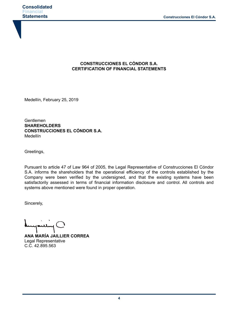# **CONSTRUCCIONES EL CÓNDOR S.A. CERTIFICATION OF FINANCIAL STATEMENTS**

Medellín, February 25, 2019

Gentlemen **SHAREHOLDERS CONSTRUCCIONES EL CÓNDOR S.A.** Medellín

Greetings,

Pursuant to article 47 of Law 964 of 2005, the Legal Representative of Construcciones El Cóndor S.A. informs the shareholders that the operational efficiency of the controls established by the Company were been verified by the undersigned, and that the existing systems have been satisfactorily assessed in terms of financial information disclosure and control. All controls and systems above mentioned were found in proper operation.

Sincerely,

**ANA MARÍA JAILLIER CORREA** Legal Representative C.C. 42.895.563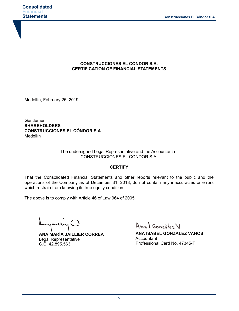# **CONSTRUCCIONES EL CÓNDOR S.A. CERTIFICATION OF FINANCIAL STATEMENTS**

Medellín, February 25, 2019

Gentlemen **SHAREHOLDERS CONSTRUCCIONES EL CÓNDOR S.A.** Medellín

> The undersigned Legal Representative and the Accountant of CONSTRUCCIONES EL CÓNDOR S.A.

# **CERTIFY**

That the Consolidated Financial Statements and other reports relevant to the public and the operations of the Company as of December 31, 2018, do not contain any inaccuracies or errors which restrain from knowing its true equity condition.

The above is to comply with Article 46 of Law 964 of 2005.

سلعد

**ANA MARÍA JAILLIER CORREA** Legal Representative C.C. 42.895.563

Anal González V

**ANA ISABEL GONZÁLEZ VAHOS Accountant** Professional Card No. 47345-T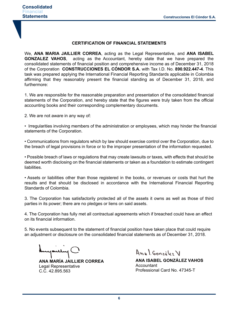# **CERTIFICATION OF FINANCIAL STATEMENTS**

We, **ANA MARIA JAILLIER CORREA**, acting as the Legal Representative, and **ANA ISABEL GONZALEZ VAHOS**, acting as the Accountant, hereby state that we have prepared the consolidated statements of financial position and comprehensive income as of December 31, 2018 of the Corporation **CONSTRUCCIONES EL CÓNDOR S.A.** with Tax I.D. No. **890.922.447-4**. This task was prepared applying the International Financial Reporting Standards applicable in Colombia affirming that they reasonably present the financial standing as of December 31, 2018, and furthermore:

1. We are responsible for the reasonable preparation and presentation of the consolidated financial statements of the Corporation, and hereby state that the figures were truly taken from the official accounting books and their corresponding complementary documents.

2. We are not aware in any way of:

• Irregularities involving members of the administration or employees, which may hinder the financial statements of the Corporation.

• Communications from regulators which by law should exercise control over the Corporation, due to the breach of legal provisions in force or to the improper presentation of the information requested.

• Possible breach of laws or regulations that may create lawsuits or taxes, with effects that should be deemed worth disclosing on the financial statements or taken as a foundation to estimate contingent liabilities.

• Assets or liabilities other than those registered in the books, or revenues or costs that hurt the results and that should be disclosed in accordance with the International Financial Reporting Standards of Colombia.

3. The Corporation has satisfactorily protected all of the assets it owns as well as those of third parties in its power; there are no pledges or liens on said assets.

4. The Corporation has fully met all contractual agreements which if breached could have an effect on its financial information.

5. No events subsequent to the statement of financial position have taken place that could require an adjustment or disclosure on the consolidated financial statements as of December 31, 2018.

youly C

**ANA MARÍA JAILLIER CORREA** Legal Representative C.C. 42.895.563

Anal Gonzalez V

**ANA ISABEL GONZÁLEZ VAHOS** Accountant Professional Card No. 47345-T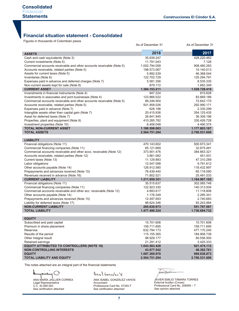# **Financial situation statement - Consolidated**

Figures in thousands of Colombian pesos

|                                                                                                                        | As of December 31            | As of December 31         |
|------------------------------------------------------------------------------------------------------------------------|------------------------------|---------------------------|
|                                                                                                                        | 2018                         | 2017                      |
| <b>ASSETS</b>                                                                                                          |                              |                           |
| Cash and cash equivalents (Note 3)                                                                                     | 35.939.247                   | 428.220.483               |
| Current investments (Note 4)                                                                                           | 11.791.043                   | 7.126                     |
| Commercial accounts receivable and other accounts receivable (Note 5)<br>Accounts receivable, related parties (Note 5) | 1.002.794.058<br>198.573.067 | 908.480.283<br>10.140.013 |
| Assets for current taxes (Note 5)                                                                                      | 5.892.539                    | 46.368.044                |
| Inventaries (Note 6)                                                                                                   | 122.702.729                  | 125.294.791               |
| Expenses paid in advance and deferred charges (Note 7)                                                                 | 5.581.356                    | 8.535.330                 |
| Non-current assets kept for sale (Note 8)                                                                              | 879.172                      | 1.682.349                 |
| <b>CURRENT ASSET</b>                                                                                                   | 1.384.153.211                | 1.528.728.419             |
| Inverstments in financial instruments (Note 4)                                                                         | 947.224                      | 815.628                   |
| Investments in associates and joint businesses (Note 4)                                                                | 123.866.022                  | 83.669.186                |
| Commercial accounts receivable and other accounts receivable (Note 5)                                                  | 89.246.904                   | 72.642.170                |
| Accounts receivable, related parties (Note 5)                                                                          | 501.958.026                  | 292.990.171               |
| Expenses paid in advance (Note 7)                                                                                      | 628.196                      | 2.335.299                 |
| Intangible assets other than capital gain (Note 7)                                                                     | 20.415.936                   | 354.125.435               |
| Asset for deferred taxes (Note 7)                                                                                      | 26.841.945                   | 36.308.196                |
| Properties, plant and equipment (Note 9)                                                                               | 410.285.782                  | 330.426.728               |
| Investment properties (Note 10)                                                                                        | 6.408.048                    | 4.490.374                 |
| <b>TOTAL NON-CURRENT ASSET</b>                                                                                         | 1.180.598.083                | 1.177.803.187             |
| <b>TOTAL ASSETS</b>                                                                                                    | 2.564.751.294                | 2.706.531.606             |
|                                                                                                                        |                              |                           |
| <b>LIABILITY</b>                                                                                                       |                              |                           |
| Financial obligations (Note 11)                                                                                        | 470.143.602                  | 500.973.341               |
| Commercial financing companies (Note 11)                                                                               | 65.121.669                   | 32.675.481                |
| Commercial accounts receivable and other acco. receivable (Note 12)                                                    | 373.901.476                  | 384.663.321               |
| Accounts receivable, related parties (Note 12)                                                                         | 3.861.082                    | 451.001                   |
| Current taxes (Note 13)                                                                                                | 11.129.883                   | 47.310.289                |
| Labor obligations<br>Other accounts payable (Note 14)                                                                  | 12.547.098<br>126.912.580    | 9.791.612<br>118.432.997  |
| Prepayments and advances received (Note 15)                                                                            | 76.439.440                   | 65.118.090                |
| Revenues received in advance (Note 16)                                                                                 | 71.802.521                   | 25.491.033                |
| <b>CURRENT LIABILITY</b>                                                                                               | 1.211.859.351                | 1.184.907.165             |
| Financial obligations (Note 11)                                                                                        | 35.515.637                   | 302.085.748               |
| Commercial financing companies (Note 11)                                                                               | 122.923.330                  | 140.313.004               |
| Commercial accounts receivable and other acc. receivable (Note 12)                                                     | 4.893.617                    | 11.118.806                |
| Other accounts payable (Note 14)                                                                                       | 1.176.349                    | 2.285.341                 |
| Prepayments and advances received (Note 15)                                                                            | 12.497.693                   | 2.740.683                 |
| Liability for deferred taxes (Note 17)                                                                                 | 88.624.346                   | 93.243.984                |
| <b>NON-CURRENT LIABILITY</b>                                                                                           | 265.630.973                  | 551.787.567               |
| <b>TOTAL LIABILITY</b>                                                                                                 | 1.477.490.324                | 1.736.694.732             |
|                                                                                                                        |                              |                           |
| <b>EQUITY</b><br>Subscribed and paid capital                                                                           | 15.701.606                   | 15.701.606                |
| Premium in share placement                                                                                             | 159.711.695                  | 159.711.695               |
| <b>Reserves</b>                                                                                                        | 632.794.173                  | 477.170.240               |
| Results of the period                                                                                                  | 115.155.365                  | 184.908.738               |
| Other integral result                                                                                                  | 98.929.177                   | 80.556.500                |
| Retained earnings                                                                                                      | 21.291.412                   | 3.425.333                 |
| <b>EQUITY ATTRIBUTED TO CONTROLLERS (NOTE 18)</b>                                                                      | 1.043.583.428                | 921.474.112               |
| <b>NON-CONTROLLING INTERESTS</b>                                                                                       | 43.677.542                   | 48.362.761                |
| <b>EQUITY</b>                                                                                                          | 1.087.260.970                | 969.836.873               |
| <b>TOTAL LIABILITY AND EQUITY</b>                                                                                      | 2.564.751.294                | 2.706.531.606             |
|                                                                                                                        |                              |                           |

The notes attached are an integral part of the financial statements

ANA MARÍA JAILLIER CORREA Legal Representative C.C. 42.895.563 See certification attached

# Anal González V

ANA ISABEL GONZÁLEZ VAHOS Accountant Professional Card No. 47345-T See certification attached

auco factions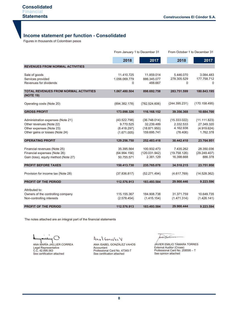# **Income statement per function - Consolidated**

| <b>Statements</b>                                                                              |                             |                               |                          | <b>Construcciones El Cóndor S.A.</b> |
|------------------------------------------------------------------------------------------------|-----------------------------|-------------------------------|--------------------------|--------------------------------------|
|                                                                                                |                             |                               |                          |                                      |
| <b>Income statement per function - Consolidated</b><br>Figures in thousands of Colombian pesos |                             |                               |                          |                                      |
|                                                                                                |                             |                               |                          |                                      |
|                                                                                                |                             | From January 1 to December 31 |                          | From October 1 to December 31        |
|                                                                                                | 2018                        | 2017                          | 2018                     | 2017                                 |
| <b>REVENUES FROM NORMAL ACTIVITIES</b>                                                         |                             |                               |                          |                                      |
|                                                                                                |                             |                               |                          |                                      |
| Sale of goods<br>Services provided                                                             | 11.410.725<br>1.056.069.779 | 11.859.014<br>886.345.077     | 5.446.070<br>278.305.529 | 3.084.483<br>177.758.712             |
| Revenues for dividends                                                                         | 0                           | 488.667                       | 0                        | $\Omega$                             |
|                                                                                                |                             |                               |                          |                                      |
| <b>TOTAL REVENUES FROM NORMAL ACTIVITIES</b><br>(NOTE 19)                                      | 1.067.480.504               | 898.692.758                   | 283.751.599              | 180.843.195                          |
| Operating costs (Note 20)                                                                      | (894.382.178)               | (782.524.606)                 | (244.395.231)            | (170.158.495)                        |
| <b>GROSS PROFIT</b>                                                                            | 173.098.326                 | 116.168.152                   | 39.356.368               | 10.684.700                           |
| Administration expenses (Note 21)                                                              | (43.522.798)                | (36.748.014)                  | (15.333.022)             | (11.111.823)                         |
| Other revenues (Note 22)                                                                       | 9.770.525                   | 32.239.489                    | 2.332.533                | 27.349.320                           |
| Other expenses (Note 23)                                                                       | (8.418.297)                 | (18.871.950)                  | 4.162.938                | (4.919.624)                          |
| Other gains or losses (Note 24)                                                                | (1.671.005)                 | 159.695.741                   | (76.406)                 | 1.762.378                            |
| <b>OPERATING PROFIT</b>                                                                        | 129.256.750                 | 252.483.418                   | 30.442.410               | 23.764.951                           |
| Financial revenues (Note 25)                                                                   | 35.395.564                  | 100.932.473                   | 7.435.262                | 28.350.036                           |
| Financial expenses (Note 26)                                                                   | (64.994.156)                | (120.031.942)                 | (19.758.126)             | (29.249.407)                         |
| Gain (loss), equity method (Note 27)                                                           | 50.755.571                  | 2.381.129                     | 16.398.668               | 886.378                              |
| <b>PROFIT BEFORE TAXES</b>                                                                     | 150.413.730                 | 235.765.078                   | 34.518.215               | 23.751.958                           |
|                                                                                                |                             |                               |                          |                                      |
| Provision for income tax (Note 28)                                                             | (37.836.817)                | (52.271.494)                  | (4.617.769)              | (14.528.362)                         |
| PROFIT OF THE PERIOD                                                                           | 112.576.913                 | 183.493.584                   | 29.900.446               | 9.223.596                            |
| Attributed to:                                                                                 |                             |                               |                          |                                      |
| Owners of the controlling company                                                              | 115.155.367                 | 184.908.738                   | 31.371.759               | 10.649.735                           |
| Non-controlling interests                                                                      | (2.578.454)                 | (1.415.154)                   | (1.471.314)              | (1.426.141)                          |
| <b>PROFIT OF THE PERIOD</b>                                                                    | 112.576.913                 | 183.493.584                   | 29.900.444               | 9.223.594                            |

The notes attached are an integral part of the financial statements

ANA MARÍA JAILLIER CORREA Legal Representative C.C. 42.895.563 See certification attached

Anal González V

ANA ISABEL GONZÁLEZ VAHOS Accountant Professional Card No. 47345-T See certification attached

wert pursue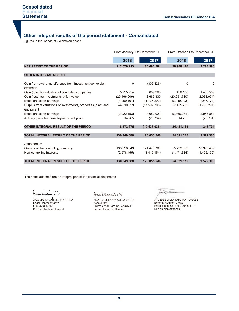# **Other integral results of the period statement - Consolidated**

Figures in thousands of Colombian pesos

|                                                                            | From January 1 to December 31 |              | From October 1 to December 31 |             |
|----------------------------------------------------------------------------|-------------------------------|--------------|-------------------------------|-------------|
|                                                                            | 2018                          | 2017         | 2018                          | 2017        |
| <b>NET PROFIT OF THE PERIOD</b>                                            | 112.576.913                   | 183.493.584  | 29.900.446                    | 9.223.596   |
| <b>OTHER INTEGRAL RESULT</b>                                               |                               |              |                               |             |
|                                                                            |                               |              |                               |             |
| Gain from exchange diference from investment conversion<br>overseas        | 0                             | (302.426)    | $\Omega$                      | 0           |
| Gain (loss) for valuation of controlled companies                          | 5.295.754                     | 859.968      | 420.176                       | 1.458.559   |
| Gain (loss) for investments at fair value                                  | (25.466.909)                  | 3.669.830    | (20.951.710)                  | (2.038.934) |
| Effect on tax on earnings                                                  | (4.059.161)                   | (1.135.292)  | (6.149.103)                   | (247.774)   |
| Surplus from valuations of investments, properties, plant and<br>equipment | 44.810.359                    | (17.592.305) | 57.455.262                    | (1.756.297) |
| Effect on tax on earnings                                                  | (2.222.153)                   | 4.082.921    | (6.368.281)                   | 2.953.884   |
| Actuary gains from employee benefit plans                                  | 14.785                        | (20.734)     | 14.785                        | (20.734)    |
| OTHER INTEGRAL RESULT OF THE PERIOD                                        | 18.372.675                    | (10.438.038) | 24.421.129                    | 348.704     |
| <b>TOTAL INTEGRAL RESULT OF THE PERIOD</b>                                 | 130.949.588                   | 173.055.546  | 54.321.575                    | 9.572.300   |
|                                                                            |                               |              |                               |             |
| Attributed to:                                                             |                               |              |                               |             |
| Owners of the controlling company                                          | 133.528.043                   | 174,470,700  | 55.792.889                    | 10.998.439  |
| Non-controlling interests                                                  | (2.578.455)                   | (1.415.154)  | (1.471.314)                   | (1.426.139) |
| <b>TOTAL INTEGRAL RESULT OF THE PERIOD</b>                                 | 130.949.588                   | 173.055.546  | 54.321.575                    | 9.572.300   |

The notes attached are an integral part of the financial statements

ANA MARÍA JAILLIER CORREA Legal Representative C.C. 42.895.563 See certification attached

Anal González V

ANA ISABEL GONZÁLEZ VAHOS Accountant Professional Card No. 47345-T See certification attached

wer faction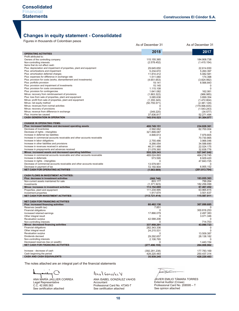# **Changes in equity statement - Consolidated**

Figures in thousands of Colombian pesos

|                                                                                                                    | As of December 31          | As of December 31            |
|--------------------------------------------------------------------------------------------------------------------|----------------------------|------------------------------|
|                                                                                                                    | 2018                       | 2017                         |
| <b>OPERATING ACTIVITIES</b><br>Profit attributed to:                                                               |                            |                              |
| Owners of the controlling company                                                                                  | 115.155.365                | 184.908.738                  |
| Non-controlling interests                                                                                          | (2.578.452)                | (1.415.154)                  |
| Items that do not affect cash:<br>Plus: depreciation and impairment of properties, plant and equipment             | 29.645.650                 | 22.614.830                   |
| Plus: amortizations and impairment                                                                                 | 5.234.672                  | 5.260.397                    |
| Plus: amortization deferred charges                                                                                | 11.810.412                 | 5.082.581                    |
| Plus: expenses for difference in exchange rate<br>Plus: provision for costs (works, dismantlement and investments) | 1.511.060<br>(4.651.653)   | 174.398<br>(3.824.992)       |
| Plus: portfolio provision                                                                                          | 19.141                     | 8.566.843                    |
| Plus: provision and impairment of investments                                                                      | 15.145                     | 0                            |
| Plus: provision for costs concessions                                                                              | 1.115.108                  | $\mathbf 0$                  |
| Plus: provision for contingencies<br>Minus: recovery from reimbrusement of provisions                              | 1.641.082<br>(1.863.322)   | 162.061<br>(966.985)         |
| Plus: loss from sale of properties, plant and equipment                                                            | 3.085.636                  | 3.899.354                    |
| Minus: profit from sale of properties, plant and equipment                                                         | (1.355.345)                | (1.472.804)                  |
| Minus: net equity method                                                                                           | (50.755.571)               | (2.381.129)                  |
| Minus: revenues from normal activities<br>Minus: recovery of provisions                                            | 0<br>0                     | (179.996.835)<br>(1.543.243) |
| Minus: revenue from difference in exchange                                                                         | (349.220)                  | (34.577)                     |
| Plus: income tax caused                                                                                            | 37.836.817                 | 52.271.494                   |
| <b>CASH GENERATION IN OPERATION</b>                                                                                | 145.516.523                | 91.304.977                   |
| <b>CHANGE IN OPERATING ITEMS:</b>                                                                                  |                            |                              |
| Plus: increased liabilities and decreased operating assets                                                         | 408.749.151<br>2.592.062   | 234.828.361                  |
| Decrease of inventories<br>Decrease of rights - intangibles                                                        | 321.899.087                | 62.700.004<br>O              |
| Increase in deferred tax liabilities                                                                               | 4.846.613                  | 7.979.805                    |
| Increase in commercial accounts receivable and other accounts receivable                                           | $\Omega$                   | 70.730.865                   |
| Increase in labor obligations<br>Increase in other liabilities and provisions                                      | 2.755.486<br>9.266.054     | 3.966.046<br>34.588.690      |
| Increase in revenues received in advance                                                                           | 46.311.488                 | 22.024.175                   |
| Increase in prepayments and advances received                                                                      | 21.078.360                 | 32.838.776                   |
| Minus: increased assets and decreased operating liabilities                                                        | 555.329.343                | 527.947.042                  |
| Increase in commercial accounts receivable and other accounts receivable<br>Increase in deferreds                  | 469.024.893<br>573.595     | 464.218.745<br>8.929.420     |
| Increase in rights - intangibles                                                                                   | 0                          | 47.843.725                   |
| Decrease of commercial accounts receivable and other accounts receivable                                           | 13.579.951                 | $\Omega$                     |
| Decrease in payment of tax                                                                                         | 72.150.904                 | 6.955.152                    |
| NET CASH FOR OPERATING ACTIVITIES                                                                                  | (1.063.669)                | (201.813.704)                |
| <b>CASH FLOWS IN INVESTMENT ACTIVITIES:</b>                                                                        |                            |                              |
| Plus: decrease in investment activities<br>Non-current assets maintained for sale                                  | (568.746)<br>803.177       | 183.055.363<br>799.264       |
| Investments                                                                                                        | (1.371.923)                | 182.256.099                  |
| Minus: increases in investment activities                                                                          | 113.152.669                | 67.467.452                   |
| Properties, plant and equipment                                                                                    | 111.234.995                | 63.965.815                   |
| Investment properties<br><b>NET CASH FOR INVESTMENT ACTIVITIES</b>                                                 | 1.917.674<br>(113.721.414) | 3.501.637<br>115.587.911     |
|                                                                                                                    |                            |                              |
| <b>NET CASH FOR FINANCING ACTIVITIES</b><br>Plus: increased financing activities                                   | 60.462.136                 | 307.099.685                  |
| Reserves (wealth tax)                                                                                              | 7.851                      | 0                            |
| Financial obligations                                                                                              | 0                          | 300.816.253                  |
| Increased retained earnings<br>Other integral result                                                               | 17.866.079<br>0            | 2.497.383<br>3.071.346       |
| <b>Revaluation surplus</b>                                                                                         | 42.588.206                 | 0                            |
| Non-controlling interests                                                                                          | $\mathbf 0$                | 714.703                      |
| Minus: decreased financing activities                                                                              | 337.958.291                | 43.090.723                   |
| Financial obligations<br>Other integral result                                                                     | 282.343.336<br>24.215.531  | 0                            |
| <b>Revaluation surplus</b>                                                                                         | 0                          | 13.509.387                   |
| Dividends decreed                                                                                                  | 29.292.657                 | 28.138.182                   |
| Non-controlling interests                                                                                          | 2.106.765                  | 0                            |
| Decreased reserves (tax on wealth)<br><b>NET CASH FOR FINANCING ACTIVITIES</b>                                     | 0<br>(277.496.155)         | 1.443.154<br>264.008.962     |
|                                                                                                                    |                            |                              |
| Increase - decrease of cash                                                                                        | (392.281.238)              | 177.783.169                  |
| Cash beginning the period<br><b>CASH AND CASH EQUIVALENTS</b>                                                      | 428.220.483<br>35.939.245  | 250.437.314                  |
|                                                                                                                    |                            | 428.220.483                  |

The notes attached are an integral part of the financial statements

ANA MARÍA JAILLIER CORREA Legal Representative C.C. 42.895.563 See certification attached

Anal González V

ANA ISABEL GONZÁLEZ VAHOS Accountant Professional Card No. 47345-T See certification attached

wer facture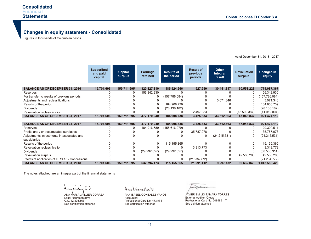# **Changes in equity statement - Consolidated**

Figures in thousands of Colombian pesos

**15.701.606** 0  $\Omega$  $\Omega$  $\Omega$  $\Omega$ 0 **15.701.606 15.701.606** 0 0  $\Omega$  $\Omega$ 0  $\Omega$  $\Omega$ 0 **15.701.606 159.711.695** 0  $\Omega$ 0 0  $\Omega$  $\Omega$ **159.711.695 159.711.695** 0 0  $\Omega$  $\Omega$ 0  $\Omega$  $\Omega$ 0 **159.711.695 320.827.310**  156.342.930  $\Omega$  $\Omega$  $\Omega$  $\Omega$  $\Omega$ **477.170.240 477.170.240** 184.916.589 0  $\Omega$  $\Omega$ 0 (29.292.657)  $\Omega$  $\overline{0}$ **632.794.173 185.924.266**  0 (157.786.084)  $\Omega$ 184.908.739 (28.138.182)  $\Omega$ **184.908.738 184.908.738** (155.616.079) 0  $\Omega$ 115.155.365  $\Omega$  (29.292.657)  $\Omega$  $\overline{0}$ **115.155.365 927.950**  0 0 0 0  $\Omega$ 2.497.383 **3.425.333 3.425.333** 0 35.787.078  $\Omega$  $\Omega$ 3.313.773  $\Omega$ 0 (21.234.772) **21.291.412 30.441.317**  0  $\Omega$ 3.071.346 0  $\Omega$ 0 **33.512.663 33.512.663** 0  $\Omega$  (24.215.531)  $\Omega$ 0  $\Omega$  $\Omega$ 0 **9.297.132 60.553.223** 0  $\Omega$  $\Omega$ 0 0 (13.509.387) **47.043.837 47.043.837**  $\Omega$  $\Omega$  $\Omega$  $\Omega$  $\Omega$  $\Omega$  42.588.206 0 **89.632.043 774.087.367**  156.342.930 (157.786.084) 3.071.346 184.908.739 (28.138.182) (11.012.004) **921.474.112 921.474.112** 29.300.511 35.787.078 (24.215.531) 115.155.365 3.313.773 (58.585.314) 42.588.206 (21.234.772) **1.043.583.428 Subscribed and paid capital Results of the period Result of previous periods Other integral result Revaluation surplus Capital surplus Earnings retained Changes in equity BALANCE AS OF DECEMBER 31, 2016** Reserves For transfer to results of previous periods Adjustments and reclassifications Results of the period Dividends Revaluation reclassification **BALANCE AS OF DECEMBER 31, 2017 BALANCE AS OF DECEMBER 31, 2017** Reserves Profits and / or accumulated surpluses Adjustments investments in associates and subsidiaries Results of the period Revaluation reclassification Dividends Revaluation surplus Effects of application of IFRS 15 - Concessions **BALANCE AS OF DECEMBER 31, 2018**

The notes attached are an integral part of the financial statements

ANA MARÍA JAILLIER CORREA Legal Representative C.C. 42.895.563 See certification attached

Anal González V

ANA ISABEL GONZÁLEZ VAHOS Accountant Professional Card No. 47345-T See certification attached

wer Hainer

JAVIER EMILIO TÁMARA TORRES External Auditor (Crowe) Professional Card No. 208595 – T See opinion attached

As of December 31, 2018 - 2017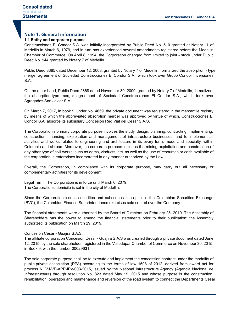# **Note 1. General information**

# **1.1 Entity and corporate purpose**

Construcciones El Condor S.A. was initially incorporated by Public Deed No. 510 granted at Notary 11 of Medellin in March 6, 1979, and in turn has experienced several amendments registered before the Medellin Chamber of Commerce. On April 8, 1994, the Corporation changed from limited to joint - stock under Public Deed No. 944 granted by Notary 7 of Medellin.

Public Deed 3385 dated December 12, 2008, granted by Notary 7 of Medellin, formalized the absorption - type merger agreement of Sociedad Construcciones El Condor S.A., which took over Grupo Condor Inversiones S.A.

On the other hand, Public Deed 2868 dated November 30, 2009, granted by Notary 7 of Medellin, formalized the absorption-type merger agreement of Sociedad Construcciones El Condor S.A., which took over Agregados San Javier S.A.

On March 7, 2017, in book 9, under No. 4659, the private document was registered in the mercantile registry by means of which the abbreviated absorption merger was approved by virtue of which, Construcciones El Cóndor S.A. absorbs its subsidiary Concesión Red Vial del Cesar S.A.S.

The Corporation's primary corporate purpose involves the study, design, planning, contracting, implementing, construction, financing, exploitation and management of infrastructure businesses, and to implement all activities and works related to engineering and architecture in its every form, mode and specialty, within Colombia and abroad. Moreover, the corporate purpose includes the mining exploitation and construction of any other type of civil works, such as dams, viaducts, etc. as well as the use of resources or cash available of the corporation in enterprises incorporated in any manner authorized by the Law.

Overall, the Corporation, in compliance with its corporate purpose, may carry out all necessary or complementary activities for its development.

Legal Term: The Corporation is in force until March 6, 2079. The Corporation's domicile is set in the city of Medellin.

Since the Corporation issues securities and subscribes its capital in the Colombian Securities Exchange (BVC), the Colombian Finance Superintendence exercises sole control over the Company.

The financial statements were authorized by the Board of Directors on February 25, 2019. The Assembly of Shareholders has the power to amend the financial statements prior to their publication; the Assembly authorized its publication on March 29, 2019.

# Concesión Cesar - Guajira S.A.S.

The affiliate corporation Concesión Cesar - Guajira S.A.S was created through a private document dated June 12, 2015, by the sole shareholder, registered in the Valledupar Chamber of Commerce on November 30, 2015, in Book 9, with the number 00029631.

The sole corporate purpose shall be to execute and implement the concession contract under the modality of public-private association (PPA) according to the terms of law 1508 of 2012, derived from award act for process N. VJ-VE-APP-IPV-003-2015, issued by the National Infrastructure Agency (Agencia Nacional de Infraestructura) through resolution No. 823 dated May 19, 2015 and whose purpose is the construction, rehabilitation, operation and maintenance and reversion of the road system to connect the Departments Cesar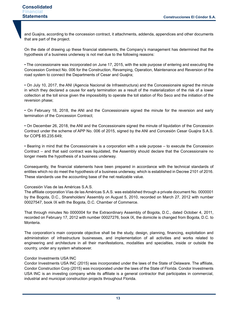and Guajira, according to the concession contract, it attachments, addenda, appendices and other documents that are part of the project.

On the date of drawing up these financial statements, the Company's management has determined that the hypothesis of a business underway is not met due to the following reasons:

• The concessionaire was incorporated on June 17, 2015, with the sole purpose of entering and executing the Concession Contract No. 006 for the Construction, Revamping, Operation, Maintenance and Reversion of the road system to connect the Departments of Cesar and Guajira;

• On July 10, 2017, the ANI (Agencia Nacional de Infraestructura) and the Concessionaire signed the minute in which they declared a cause for early termination as a result of the materialization of the risk of a lower collection at the toll since given the impossibility to operate the toll station of Rio Seco and the initiation of the reversion phase;

• On February 18, 2018, the ANI and the Concessionaire signed the minute for the reversion and early termination of the Concession Contract;

• On December 26, 2018, the ANI and the Concessionaire signed the minute of liquidation of the Concession Contract under the scheme of APP No. 006 of 2015, signed by the ANI and Concesión Cesar Guajira S.A.S. for COP\$ 85.235.649;

• Bearing in mind that the Concessionaire is a corporation with a sole purpose – to execute the Concession Contract – and that said contract was liquidated, the Assembly should declare that the Concessionaire no longer meets the hypothesis of a business underway.

Consequently, the financial statements have been prepared in accordance with the technical standards of entities which no do meet the hypothesis of a business underway, which is established in Decree 2101 of 2016. These standards use the accounting base of the net realizable value.

# Concesión Vías de las Américas S.A.S.

The affiliate corporation Vías de las Américas S.A.S. was established through a private document No. 0000001 by the Bogota, D.C., Shareholders' Assembly on August 5, 2010, recorded on March 27, 2012 with number 00027547, book IX with the Bogota, D.C. Chamber of Commerce.

That through minutes No 0000004 for the Extraordinary Assembly of Bogota, D.C., dated October 4, 2011, recorded on February 17, 2012 with number 00027276, book IX, the domicile is changed from Bogota, D.C. to Monteria.

The corporation's main corporate objective shall be the study, design, planning, financing, exploitation and administration of infrastructure businesses, and implementation of all activities and works related to engineering and architecture in all their manifestations, modalities and specialties, inside or outside the country, under any system whatsoever.

### Condor Investments USA INC

Condor Investments USA INC (2015) was incorporated under the laws of the State of Delaware. The affiliate, Condor Construction Corp (2015) was incorporated under the laws of the State of Florida. Condor Investments USA INC is an investing company while its affiliate is a general contractor that participates in commercial, industrial and municipal construction projects throughout Florida.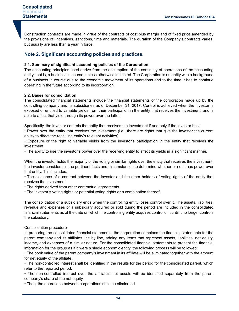Construction contracts are made in virtue of the contracts of cost plus margin and of fixed price amended by the provisions of: incentives, sanctions, time and materials. The duration of the Company's contracts varies, but usually are less than a year in force.

# **Note 2. Significant accounting policies and practices.**

# **2.1. Summary of significant accounting policies of the Corporation**

The accounting principles used derive from the assumption of the continuity of operations of the accounting entity, that is, a business in course, unless otherwise indicated. The Corporation is an entity with a background of a business in course due to the economic movement of its operations and to the time it has to continue operating in the future according to its incorporation.

# **2.2. Bases for consolidation**

The consolidated financial statements include the financial statements of the corporation made up by the controlling company and its subsidiaries as of December 31, 2017. Control is achieved when the investor is exposed or entitled to variable yields from their participation in the entity that receives the investment, and is able to affect that yield through its power over the latter.

Specifically, the investor controls the entity that receives the investment if and only if the investor has:

• Power over the entity that receives the investment (i.e., there are rights that give the investor the current ability to direct the receiving entity's relevant activities).

• Exposure or the right to variable yields from the investor's participation in the entity that receives the investment.

• The ability to use the investor's power over the receiving entity to affect its yields in a significant manner.

When the investor holds the majority of the voting or similar rights over the entity that receives the investment, the investor considers all the pertinent facts and circumstances to determine whether or not it has power over that entity. This includes:

• The existence of a contract between the investor and the other holders of voting rights of the entity that receives the investment.

• The rights derived from other contractual agreements.

• The investor's voting rights or potential voting rights or a combination thereof.

The consolidation of a subsidiary ends when the controlling entity loses control over it. The assets, liabilities, revenue and expenses of a subsidiary acquired or sold during the period are included in the consolidated financial statements as of the date on which the controlling entity acquires control of it until it no longer controls the subsidiary.

# Consolidation procedure

In preparing the consolidated financial statements, the corporation combines the financial statements for the parent company and its affiliates line by line, adding any items that represent assets, liabilities, net equity, income, and expenses of a similar nature. For the consolidated financial statements to present the financial information for the group as if it were s single economic entity, the following process will be followed:

• The book value of the parent company's investment in its affiliate will be eliminated together with the amount for net equity of the affiliate.

• The non-controlled interest shall be identified in the results for the period for the consolidated parent, which refer to the reported period.

• The non-controlled interest over the affiliate's net assets will be identified separately from the parent company's share of the net equity.

• Then, the operations between corporations shall be eliminated.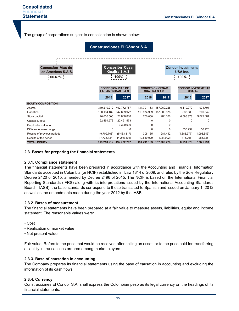The group of corporations subject to consolidation is shown below:



### **2.3. Bases for preparing the financial statements**

### **2.3.1. Compliance statement**

The financial statements have been prepared in accordance with the Accounting and Financial Information Standards accepted in Colombia (or NCIF) established in Law 1314 of 2009, and ruled by the Sole Regulatory Decree 2420 of 2015, amended by Decree 2496 of 2015. The NCIF is based on the International Financial Reporting Standards (IFRS) along with its interpretations issued by the International Accounting Standards Board – IASB); the base standards correspond to those translated to Spanish and issued on January 1, 2012 as well as the amendments made during the year 2012 by the IASB.

# **2.3.2. Bases of measurement**

The financial statements have been prepared at a fair value to measure assets, liabilities, equity and income statement. The reasonable values were:

- Cost
- Realization or market value
- Net present value

Fair value: Refers to the price that would be received after selling an asset, or to the price paid for transferring a liability in transactions ordered among market players.

### **2.3.3. Base of causation in accounting**

The Company prepares its financial statements using the base of causation in accounting and excluding the information of its cash flows.

# **2.3.4. Currency**

Construcciones El Cóndor S.A. shall express the Colombian peso as its legal currency on the headings of its financial statements.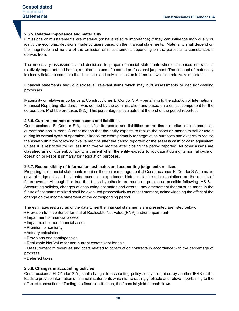# **2.3.5. Relative importance and materiality**

Omissions or misstatements are material (or have relative importance) if they can influence individually or jointly the economic decisions made by users based on the financial statements. Materiality shall depend on the magnitude and nature of the omission or misstatement, depending on the particular circumstances it derives from.

The necessary assessments and decisions to prepare financial statements should be based on what is relatively important and hence, requires the use of a sound professional judgment. The concept of materiality is closely linked to complete the disclosure and only focuses on information which is relatively important.

Financial statements should disclose all relevant items which may hurt assessments or decision-making processes.

Materiality or relative importance at Construcciones El Condor S.A. - pertaining to the adoption of International Financial Reporting Standards - was defined by the administration and based on a critical component for the corporation: Profit before taxes (8%). This percentage is evaluated at the end of the period reported.

## **2.3.6. Current and non-current assets and liabilities**

Construcciones El Cóndor S.A, classifies its assets and liabilities on the financial situation statement as current and non-current. Current means that the entity expects to realize the asset or intends to sell or use it during its normal cycle of operation; it keeps the asset primarily for negotiation purposes and expects to realize the asset within the following twelve months after the period reported; or the asset is cash or cash equivalent unless it is restricted for no less than twelve months after closing the period reported. All other assets are classified as non-current. A liability is current when the entity expects to liquidate it during its normal cycle of operation or keeps it primarily for negotiation purposes.

### **2.3.7. Responsibility of information, estimates and accounting judgments realized**

Preparing the financial statements requires the senior management of Construcciones El Condor S.A. to make several judgments and estimates based on experience, historical facts and expectations on the results of future events. Although it is true that these hypothesis are made as precise as possible following IAS 8 – Accounting policies, changes of accounting estimates and errors – any amendment that must be made in the future of estimates realized shall be executed prospectively as of that moment, acknowledging the effect of the change on the income statement of the corresponding period.

The estimates realized as of the date when the financial statements are presented are listed below:

- Provision for inventories for trial of Realizable Net Value (RNV) and/or impairment
- Impairment of financial assets
- Impairment of non-financial assets
- Premium of seniority
- Actuary calculation
- Provisions and contingencies
- Realizable Net Value for non-current assets kept for sale

• Measurement of revenues and costs related to construction contracts in accordance with the percentage of progress

• Deferred taxes

# **2.3.8. Changes in accounting policies**

Construcciones El Cóndor S.A., shall change its accounting policy solely if required by another IFRS or if it leads to provide information of financial statements which is increasingly reliable and relevant pertaining to the effect of transactions affecting the financial situation, the financial yield or cash flows.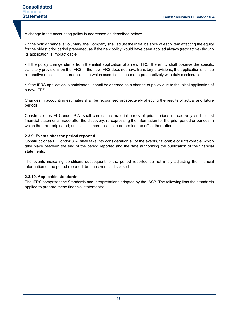A change in the accounting policy is addressed as described below:

• If the policy change is voluntary, the Company shall adjust the initial balance of each item affecting the equity for the oldest prior period presented, as if the new policy would have been applied always (retroactive) though its application is impracticable.

• If the policy change stems from the initial application of a new IFRS, the entity shall observe the specific transitory provisions on the IFRS. If the new IFRS does not have transitory provisions, the application shall be retroactive unless it is impracticable in which case it shall be made prospectively with duly disclosure.

• If the IFRS application is anticipated, it shall be deemed as a change of policy due to the initial application of a new IFRS.

Changes in accounting estimates shall be recognised prospectively affecting the results of actual and future periods.

Construcciones El Condor S.A. shall correct the material errors of prior periods retroactively on the first financial statements made after the discovery, re-expressing the information for the prior period or periods in which the error originated; unless it is impracticable to determine the effect thereafter.

# **2.3.9. Events after the period reported**

Construcciones El Condor S.A. shall take into consideration all of the events, favorable or unfavorable, which take place between the end of the period reported and the date authorizing the publication of the financial statements.

The events indicating conditions subsequent to the period reported do not imply adjusting the financial information of the period reported, but the event is disclosed.

### **2.3.10. Applicable standards**

The IFRS comprises the Standards and Interpretations adopted by the IASB. The following lists the standards applied to prepare these financial statements: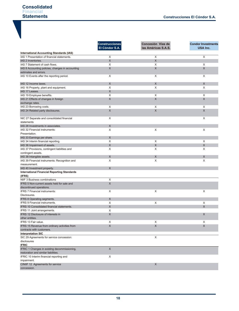|                                                                                      | <b>Construcciones</b><br>El Cóndor S.A. | Concesión Vías de<br>las Américas S.A.S. | <b>Condor Investments</b><br>USA Inc. |
|--------------------------------------------------------------------------------------|-----------------------------------------|------------------------------------------|---------------------------------------|
| <b>International Accounting Standards (IAS)</b>                                      |                                         |                                          |                                       |
| IAS 1 Presentation of financial statements.                                          | X                                       | $\overline{\mathsf{x}}$                  | X                                     |
| IAS 2 Inventories.                                                                   | $\mathsf X$                             | X                                        |                                       |
| IAS 7 Statement of cash flows.                                                       | X                                       | X                                        | X                                     |
| IAS 8 Accounting policies, changes in accounting                                     | X                                       | X                                        | $\times$                              |
| estimates and errors.                                                                |                                         |                                          |                                       |
| IAS 10 Events after the reporting period.                                            | X                                       | X                                        | X                                     |
| IAS 12 Income taxes.                                                                 | X                                       | X                                        | X                                     |
| IAS 16 Property, plant and equipment.                                                | X                                       | X                                        | X                                     |
| IAS 17 Leases.                                                                       | X                                       |                                          |                                       |
| IAS 19 Employee benefits.                                                            | X                                       | X                                        | X                                     |
| IAS 21 Effects of changes in foreign                                                 | X                                       | $\times$                                 | X                                     |
| exchange rates.                                                                      |                                         |                                          |                                       |
| IAS 23 Borrowing costs.                                                              | X                                       | X                                        | X                                     |
| IAS 24 Related party disclosures.                                                    | $\boldsymbol{\mathsf{X}}$               | $\times$                                 | $\mathsf X$                           |
| NIC 27 Separate and consolidated financial<br>statements                             | X                                       |                                          | X                                     |
| IAS 28 Investments in associates.                                                    | $\mathsf X$                             |                                          |                                       |
| IAS 32 Financial instruments:                                                        | X                                       | X                                        | X                                     |
| Presentation.                                                                        |                                         |                                          |                                       |
| IAS 33 Earnings per share.                                                           | X                                       |                                          |                                       |
| IAS 34 Interim financial reporting.                                                  | X                                       | X                                        | X                                     |
| IAS 36 Impairment of assets.                                                         | $\mathsf X$                             | X                                        | $\times$                              |
|                                                                                      | X                                       | X                                        | X                                     |
| IAS 37 Provisions, contingent liabilities and                                        |                                         |                                          |                                       |
| contingent assets.                                                                   |                                         |                                          |                                       |
| IAS 38 Intangible assets.                                                            | $\mathsf X$                             | X                                        | X                                     |
| IAS 39 Financial instruments: Recognition and                                        | X                                       | X                                        | X                                     |
| measurement.                                                                         |                                         |                                          |                                       |
| IAS 40 Investment property.                                                          | X                                       |                                          |                                       |
| <b>International Financial Reporting Standards</b>                                   |                                         |                                          |                                       |
| (IFRS)                                                                               |                                         |                                          |                                       |
| NIIF 3 Business combinations                                                         | X                                       |                                          |                                       |
| IFRS 5 Non-current assets held for sale and                                          | X                                       |                                          |                                       |
| discontinued operations.                                                             |                                         |                                          |                                       |
| <b>IFRS 7 Financial instruments:</b>                                                 | X                                       | X                                        | X                                     |
| Disclosures.                                                                         |                                         |                                          |                                       |
| IFRS 8 Operating segments.                                                           | X                                       |                                          |                                       |
| <b>IFRS 9 Financial instruments.</b>                                                 | X                                       | X                                        | X                                     |
| IFRS 10 Consolidated financial statements.                                           | X                                       |                                          | X                                     |
| IFRS 11 Joint arrangements.                                                          | X                                       |                                          |                                       |
| IFRS 12 Disclosure of interests in                                                   | X                                       |                                          | X                                     |
| other entities.                                                                      |                                         |                                          |                                       |
| IFRS 13 Fair value.                                                                  | X                                       | X                                        | X                                     |
| IFRS 15 Revenue from ordinary activities from                                        | $\mathsf X$                             | X                                        | $\mathsf X$                           |
| contracts with customers.                                                            |                                         |                                          |                                       |
| <b>Interpretation SIC</b>                                                            |                                         |                                          |                                       |
| SIC 29 Agreements for service concession:                                            |                                         | X                                        |                                       |
| disclosures                                                                          |                                         |                                          |                                       |
| <b>IFRIC</b>                                                                         |                                         |                                          |                                       |
| IFRIC 1 Changes in existing decommissioning,<br>restoration and similar liabilities. | $\mathsf X$                             |                                          |                                       |
| IFRIC 10 Interim financial reporting and                                             | X                                       |                                          |                                       |
| impairment.                                                                          |                                         |                                          |                                       |
| CINIIF 12 Agreements for service                                                     |                                         | X                                        |                                       |
| concession.                                                                          |                                         |                                          |                                       |
|                                                                                      |                                         |                                          |                                       |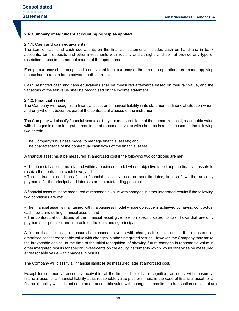# **2.4. Summary of significant accounting principles applied**

# **2.4.1. Cash and cash equivalents**

The item of cash and cash equivalents on the financial statements includes cash on hand and in bank accounts, term deposits and other investments with liquidity and at sight, and do not provide any type of restriction of use in the normal course of the operations.

Foreign currency shall recognize its equivalent legal currency at the time the operations are made, applying the exchange rate in force between both currencies.

Cash, restricted cash and cash equivalents shall be measured afterwards based on their fair value, and the variations of the fair value shall be recognised on the income statement.

### **2.4.2. Financial assets**

The Company will recognize a financial asset or a financial liability in its statement of financial situation when, and only when, it becomes part of the contractual clauses of the instrument.

The Company will classify financial assets as they are measured later at their amortized cost, reasonable value with changes in other integrated results, or at reasonable value with changes in results based on the following two criteria:

• The Company's business model to manage financial assets; and

• The characteristics of the contractual cash flows of the financial asset.

A financial asset must be measured at amortized cost if the following two conditions are met:

• The financial asset is maintained within a business model whose objective is to keep the financial assets to receive the contractual cash flows; and

• The contractual conditions for the financial asset give rise, on specific dates, to cash flows that are only payments for the principal and interests on the outstanding principal.

A financial asset must be measured at reasonable value with changes in other integrated results if the following two conditions are met:

• The financial asset is maintained within a business model whose objective is achieved by having contractual cash flows and selling financial assets; and

• The contractual conditions of the financial asset give rise, on specific dates, to cash flows that are only payments for principal and interests on the outstanding principal.

A financial asset must be measured at reasonable value with changes in results unless it is measured at amortized cost at reasonable value with changes in other integrated results. However, the Company may make the irrevocable choice, at the time of the initial recognition, of showing future changes in reasonable value in other integrated results for specific investments on the equity instruments which would otherwise be measured at reasonable value with changes in results.

The Company will classify all financial liabilities as measured later at amortized cost.

Except for commercial accounts receivable, at the time of the initial recognition, an entity will measure a financial asset or a financial liability at its reasonable value plus or minus, in the case of financial asset, or a financial liability which is not counted at reasonable value with changes in results, the transaction costs that are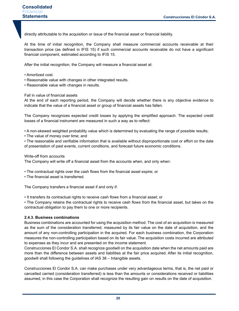directly attributable to the acquisition or issue of the financial asset or financial liability.

At the time of initial recognition, the Company shall measure commercial accounts receivable at their transaction price (as defined in IFIS 15) if such commercial accounts receivable do not have a significant financial component, estimated according to IFIS 15.

After the initial recognition, the Company will measure a financial asset at:

- Amortized cost.
- Reasonable value with changes in other integrated results.
- Reasonable value with changes in results.

Fall in value of financial assets

At the end of each reporting period, the Company will decide whether there is any objective evidence to indicate that the value of a financial asset or group of financial assets has fallen.

The Company recognizes expected credit losses by applying the simplified approach. The expected credit losses of a financial instrument are measured in such a way as to reflect:

• A non-skewed weighted probability value which is determined by evaluating the range of possible results;

• The value of money over time; and

• The reasonable and verifiable information that is available without disproportionate cost or effort on the date of presentation of past events, current conditions, and forecast future economic conditions.

#### Write-off from accounts

The Company will write off a financial asset from the accounts when, and only when:

• The contractual rights over the cash flows from the financial asset expire; or

• The financial asset is transferred.

The Company transfers a financial asset if and only if:

• It transfers its contractual rights to receive cash flows from a financial asset; or

• The Company retains the contractual rights to receive cash flows from the financial asset, but takes on the contractual obligation to pay them to one or more recipients.

### **2.4.3. Business combinations**

Business combinations are accounted for using the acquisition method. The cost of an acquisition is measured as the sum of the consideration transferred, measured by its fair value on the date of acquisition, and the amount of any non-controlling participation in the acquired. For each business combination, the Corporation measures the non-controlling participation based on its fair value. The acquisition costs incurred are attributed to expenses as they incur and are presented on the income statement.

Construcciones El Condor S.A. shall recognize goodwill on the acquisition date when the net amounts paid are more than the difference between assets and liabilities at the fair price acquired. After its initial recognition, goodwill shall following the guidelines of IAS 38 – Intangible assets.

Construcciones El Condor S.A. can make purchases under very advantageous terms, that is, the net paid or cancelled carried (consideration transferred) is less than the amounts or considerations received or liabilities assumed, in this case the Corporation shall recognize the resulting gain on results on the date of acquisition.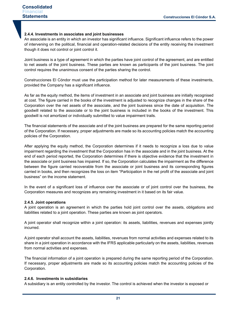### **2.4.4. Investments in associates and joint businesses**

An associate is an entity in which an investor has significant influence. Significant influence refers to the power of intervening on the political, financial and operation-related decisions of the entity receiving the investment though it does not control or joint control it.

Joint business is a type of agreement in which the parties have joint control of the agreement, and are entitled to net assets of the joint business. These parties are known as participants of the joint business. The joint control requires the unanimous consent of the parties sharing the control.

Construcciones El Cóndor must use the participation method for later measurements of these investments, provided the Company has a significant influence.

As far as the equity method, the items of investment in an associate and joint business are initially recognised at cost. The figure carried in the books of the investment is adjusted to recognize changes in the share of the Corporation over the net assets of the associate, and the joint business since the date of acquisition. The goodwill related to the associate or to the joint business is included in the books of the investment. This goodwill is not amortized or individually submitted to value impairment trails.

The financial statements of the associate and of the joint business are prepared for the same reporting period of the Corporation. If necessary, proper adjustments are made so its accounting policies match the accounting policies of the Corporation.

After applying the equity method, the Corporation determines if it needs to recognize a loss due to value impairment regarding the investment that the Corporation has in the associate and in the joint business. At the end of each period reported, the Corporation determines if there is objective evidence that the investment in the associate or joint business has impaired. If so, the Corporation calculates the impairment as the difference between the figure carried recoverable from the associate or joint business and its corresponding figures carried in books, and then recognizes the loss on item "Participation in the net profit of the associate and joint business" on the income statement.

In the event of a significant loss of influence over the associate or of joint control over the business, the Corporation measures and recognizes any remaining investment in it based on its fair value.

### **2.4.5. Joint operations**

A joint operation is an agreement in which the parties hold joint control over the assets, obligations and liabilities related to a joint operation. These parties are known as joint operators.

A joint operator shall recognize within a joint operation: its assets, liabilities, revenues and expenses jointly incurred.

A joint operator shall account the assets, liabilities, revenues from normal activities and expenses related to its share in a joint operation in accordance with the IFRS applicable particularly on the assets, liabilities, revenues from normal activities and expenses.

The financial information of a joint operation is prepared during the same reporting period of the Corporation. If necessary, proper adjustments are made so its accounting policies match the accounting policies of the Corporation.

### **2.4.6. Investments in subsidiaries**

A subsidiary is an entity controlled by the investor. The control is achieved when the investor is exposed or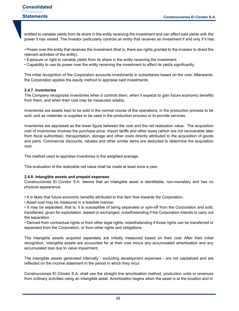entitled to variable yields from its share in the entity receiving the investment and can affect said yields with the power it has vested. The investor particularly controls an entity that receives an investment if and only if it has:

• Power over the entity that receives the investment (that is, there are rights granted to the investor to direct the relevant activities of the entity).

- Exposure or right to variable yields from its share in the entity receiving the investment.
- Capability to use its power over the entity receiving the investment to affect its yields significantly.

The initial recognition of the Corporation accounts investments in subsidiaries based on the cost. Afterwards, the Corporation applies the equity method to appraise said investments.

# **2.4.7. Inventories**

The Company recognizes inventories when it controls them, when it expects to gain future economic benefits from them, and when their cost may be measured reliably.

Inventories are assets kept to be sold in the normal course of the operations, in the production process to be sold, and as materials or supplies to be used in the production process or to provide services.

Inventories are appraised as the lower figure between the cost and the net realization value. The acquisition cost of inventories involves the purchase price, import tariffs and other taxes (which are not recoverable later from fiscal authorities), transportation, storage and other costs directly attributed to the acquisition of goods and parts. Commercial discounts, rebates and other similar items are deducted to determine the acquisition cost.

The method used to appraise inventories is the weighted average.

This evaluation of the realizable net value shall be made at least once a year.

### **2.4.8. Intangible assets and prepaid expenses**

Construcciones El Condor S.A. deems that an intangible asset is identifiable, non-monetary and has no physical appearance.

- It is likely that future economic benefits attributed to this item flow towards the Corporation.
- Asset cost may be measured in a feasible manner.

• It may be separated, that is, it is susceptible of being separated or spin-off from the Corporation and sold, transferred, given for exploitation, leased or exchanged, notwithstanding if the Corporation intends to carry out the separation.

• Derived from contractual rights or from other legal rights, notwithstanding if those rights can be transferred or separated from the Corporation, or from other rights and obligations.

The intangible assets acquired separately are initially measured based on their cost. After their initial recognition, intangible assets are accounted for at their cost minus any accumulated amortization and any accumulated loss due to value impairment.

The intangible assets generated internally - excluding development expenses - are not capitalized and are reflected on the income statement in the period in which they incur.

Construcciones El Cóndor S.A. shall use the straight line amortization method, production units or revenues from ordinary activities using an intangible asset. Amortization begins when the asset is at the location and in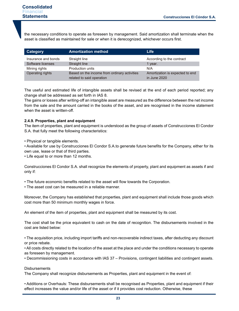the necessary conditions to operate as foreseen by management. Said amortization shall terminate when the asset is classified as maintained for sale or when it is derecognized, whichever occurs first.

| <b>Category</b>     | <b>Amortization method</b>                   | Life                            |
|---------------------|----------------------------------------------|---------------------------------|
| Insurance and bonds | Straight line                                | According to the contract       |
| Software licenses   | Straight line                                | 1 year.                         |
| Mining rights       | <b>Production units</b>                      | N/A                             |
| Operating rights    | Based on the income from ordinary activities | Amortization is expected to end |
|                     | related to said operation                    | in June 2020                    |

The useful and estimated life of intangible assets shall be revised at the end of each period reported; any change shall be addressed as set forth in IAS 8.

The gains or losses after writing-off an intangible asset are measured as the difference between the net income from the sale and the amount carried in the books of the asset, and are recognised in the income statement when the asset is written-off.

### **2.4.9. Properties, plant and equipment**

The item of properties, plant and equipment is understood as the group of assets of Construcciones El Condor S.A. that fully meet the following characteristics:

• Physical or tangible elements.

• Available for use by Construcciones El Condor S.A.to generate future benefits for the Company, either for its own use, lease or that of third parties.

• Life equal to or more than 12 months.

Construcciones El Condor S.A. shall recognize the elements of property, plant and equipment as assets if and only if:

• The future economic benefits related to the asset will flow towards the Corporation.

• The asset cost can be measured in a reliable manner.

Moreover, the Company has established that properties, plant and equipment shall include those goods which cost more than 50 minimum monthly wages in force.

An element of the item of properties, plant and equipment shall be measured by its cost.

The cost shall be the price equivalent to cash on the date of recognition. The disbursements involved in the cost are listed below:

• The acquisition price, including import tariffs and non-recoverable indirect taxes, after deducting any discount or price rebate.

• All costs directly related to the location of the asset at the place and under the conditions necessary to operate as foreseen by management.

• Decommissioning costs in accordance with IAS 37 – Provisions, contingent liabilities and contingent assets.

#### **Disbursements**

The Company shall recognize disbursements as Properties, plant and equipment in the event of:

• Additions or Overhauls: These disbursements shall be recognised as Properties, plant and equipment if their effect increases the value and/or life of the asset or if it provides cost reduction. Otherwise, these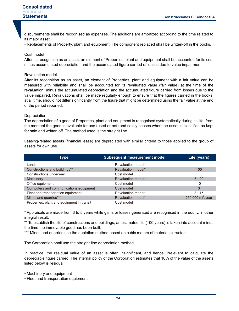disbursements shall be recognised as expenses. The additions are amortized according to the time related to its maior asset.

• Replacements of Property, plant and equipment: The component replaced shall be written-off in the books.

### Cost model

After its recognition as an asset, an element of Properties, plant and equipment shall be accounted for its cost minus accumulated depreciation and the accumulated figure carried of losses due to value impairment.

#### Revaluation model

After its recognition as an asset, an element of Properties, plant and equipment with a fair value can be measured with reliability and shall be accounted for its revaluated value (fair value) at the time of the revaluation, minus the accumulated depreciation and the accumulated figure carried from losses due to the value impaired. Revaluations shall be made regularly enough to ensure that the figures carried in the books, at all time, should not differ significantly from the figure that might be determined using the fair value at the end of the period reported.

#### **Depreciation**

The depreciation of a good of Properties, plant and equipment is recognised systematically during its life, from the moment the good is available for use (used or not) and solely ceases when the asset is classified as kept for sale and written off. The method used is the straight line.

Leasing-related assets (financial lease) are depreciated with similar criteria to those applied to the group of assets for own use.

| Type                                       | <b>Subsequent measurement model</b> | Life (years)                  |
|--------------------------------------------|-------------------------------------|-------------------------------|
| Lands                                      | Revaluation model*                  |                               |
| Constructions and buildings**              | Revaluation model*                  | 100                           |
| Constructions underway                     | Cost model                          |                               |
| Machinery                                  | Revaluation model*                  | $5 - 20$                      |
| Office equipment                           | Cost model                          | 10                            |
| Computers and communications equipment     | Cost model                          | 3                             |
| Fleet and transportation equipment         | Revaluation model*                  | $8 - 15$                      |
| Mines and quarries***                      | Revaluation model*                  | 250.000 mt <sup>3</sup> /year |
| Properties, plant and equipment in transit | Cost model                          |                               |

\* Appraisals are made from 3 to 5 years while gains or losses generated are recognised in the equity, in other integral result.

\*\* To establish the life of constructions and buildings, an estimated life (100 years) is taken into account minus the time the immovable good has been built.

\*\*\* Mines and quarries use the depletion method based on cubic meters of material extracted.

The Corporation shall use the straight-line depreciation method.

In practice, the residual value of an asset is often insignificant, and hence, irrelevant to calculate the depreciable figure carried. The internal policy of the Corporation estimates that 10% of the value of the assets listed below is residual:

• Machinery and equipment

• Fleet and transportation equipment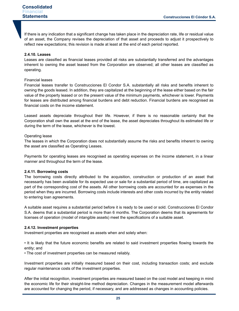If there is any indication that a significant change has taken place in the depreciation rate, life or residual value of an asset, the Company revises the depreciation of that asset and proceeds to adjust it prospectively to reflect new expectations; this revision is made at least at the end of each period reported.

### **2.4.10. Leases**

Leases are classified as financial leases provided all risks are substantially transferred and the advantages inherent to owning the asset leased from the Corporation are observed; all other leases are classified as operating.

#### Financial leases

Financial leases transfer to Construcciones El Condor S.A. substantially all risks and benefits inherent to owning the goods leased. In addition, they are capitalized at the beginning of the lease either based on the fair value of the property leased or on the present value of the minimum payments, whichever is lower. Payments for leases are distributed among financial burdens and debt reduction. Financial burdens are recognised as financial costs on the income statement.

Leased assets depreciate throughout their life. However, if there is no reasonable certainty that the Corporation shall own the asset at the end of the lease, the asset depreciates throughout its estimated life or during the term of the lease, whichever is the lowest.

#### Operating lease

The leases in which the Corporation does not substantially assume the risks and benefits inherent to owning the asset are classified as Operating Leases.

Payments for operating leases are recognised as operating expenses on the income statement, in a linear manner and throughout the term of the lease.

#### **2.4.11. Borrowing costs**

The borrowing costs directly attributed to the acquisition, construction or production of an asset that necessarily has been available for its expected use or sale for a substantial period of time, are capitalized as part of the corresponding cost of the assets. All other borrowing costs are accounted for as expenses in the period when they are incurred. Borrowing costs include interests and other costs incurred by the entity related to entering loan agreements.

A suitable asset requires a substantial period before it is ready to be used or sold. Construcciones El Condor S.A. deems that a substantial period is more than 6 months. The Corporation deems that its agreements for licenses of operation (model of intangible assets) meet the specifications of a suitable asset.

### **2.4.12. Investment properties**

Investment properties are recognised as assets when and solely when:

• It is likely that the future economic benefits are related to said investment properties flowing towards the entity; and

• The cost of investment properties can be measured reliably.

Investment properties are initially measured based on their cost, including transaction costs; and exclude regular maintenance costs of the investment properties.

After the initial recognition, investment properties are measured based on the cost model and keeping in mind the economic life for their straight-line method depreciation. Changes in the measurement model afterwards are accounted for changing the period, if necessary, and are addressed as changes in accounting policies.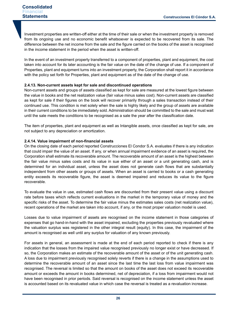Investment properties are written-off either at the time of their sale or when the investment property is removed from its ongoing use and no economic benefit whatsoever is expected to be recovered from its sale. The difference between the net income from the sale and the figure carried on the books of the asset is recognised in the income statement in the period when the asset is written-off.

In the event of an investment property transferred to a component of properties, plant and equipment, the cost taken into account for its later accounting is the fair value on the date of the change of use. If a component of Properties, plant and equipment turns into an investment property, the Corporation shall report it in accordance with the policy set forth for Properties, plant and equipment as of the date of the change of use.

# **2.4.13. Non-current assets kept for sale and discontinued operations**

Non-current assets and groups of assets classified as kept for sale are measured at the lowest figure between the value in books and the net realization value (fair value minus sales cost). Non-current assets are classified as kept for sale if their figures on the book will recover primarily through a sales transaction instead of their continued use. This condition is met solely when the sale is highly likely and the group of assets are available in their current conditions to be immediately sold. Administration should be committed to the sale and must wait until the sale meets the conditions to be recognised as a sale the year after the classification date.

The item of properties, plant and equipment as well as Intangible assets, once classified as kept for sale, are not subject to any depreciation or amortization.

### **2.4.14. Value impairment of non-financial assets**

On the closing date of each period reported Construcciones El Condor S.A. evaluates if there is any indication that could impair the value of an asset. If any, or when annual impairment evidence of an asset is required, the Corporation shall estimate its recoverable amount. The recoverable amount of an asset is the highest between the fair value minus sales costs and its value in sue either of an asset or a unit generating cash, and is determined for an individual asset, unless the asset does not generate cash flows that are substantially independent from other assets or groups of assets. When an asset is carried to books or a cash generating entity exceeds its recoverable figure, the asset is deemed impaired and reduces its value to the figure recoverable.

To evaluate the value in use, estimated cash flows are discounted from their present value using a discount rate before taxes which reflects current evaluations in the market in the temporary value of money and the specific risks of the asset. To determine the fair value minus the estimates sales costs (net realization value), recent operations of the market are taken into account, if any, or the most proper valuation model is used.

Losses due to value impairment of assets are recognised on the income statement in those categories of expenses that go hand-in-hand with the asset impaired, excluding the properties previously revaluated where the valuation surplus was registered in the other integral result (equity). In this case, the impairment of the amount is recognised as well until any surplus for valuation of any known previously.

For assets in general, an assessment is made at the end of each period reported to check if there is any indication that the losses from the impaired value recognised previously no longer exist or have decreased. If so, the Corporation makes an estimate of the recoverable amount of the asset or of the unit generating cash. A loss due to impairment previously recognised solely reverts if there is a change in the assumptions used to determine the recoverable amount of an asset since the last time the last loss from value impairment was recognised. The reversal is limited so that the amount on books of the asset does not exceed its recoverable amount or exceeds the amount in books determined, net of depreciation, if a loss from impairment would not have been recognised in prior periods. Said reversal is recognised on the income statement unless the asset is accounted based on its revaluated value in which case the reversal is treated as a revaluation increase.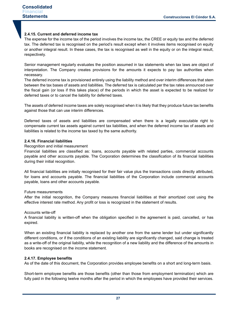# **2.4.15. Current and deferred income tax**

The expense for the income tax of the period involves the income tax, the CREE or equity tax and the deferred tax. The deferred tax is recognised on the period's result except when it involves items recognised on equity or another integral result. In these cases, the tax is recognised as well in the equity or on the integral result, respectively.

Senior management regularly evaluates the position assumed in tax statements when tax laws are object of interpretation. The Company creates provisions for the amounts it expects to pay tax authorities when necessary.

The deferred income tax is provisioned entirely using the liability method and over interim differences that stem between the tax bases of assets and liabilities. The deferred tax is calculated per the tax rates announced over the fiscal gain (or loss if this takes place) of the periods in which the asset is expected to be realized for deferred taxes or to cancel the liability for deferred taxes.

The assets of deferred income taxes are solely recognised when it is likely that they produce future tax benefits against those that can use interim differences.

Deferred taxes of assets and liabilities are compensated when there is a legally executable right to compensate current tax assets against current tax liabilities, and when the deferred income tax of assets and liabilities is related to the income tax taxed by the same authority.

### **2.4.16. Financial liabilities**

#### Recognition and initial measurement

Financial liabilities are classified as: loans, accounts payable with related parties, commercial accounts payable and other accounts payable. The Corporation determines the classification of its financial liabilities during their initial recognition.

All financial liabilities are initially recognised for their fair value plus the transactions costs directly attributed, for loans and accounts payable. The financial liabilities of the Corporation include commercial accounts payable, loans and other accounts payable.

### Future measurements

After the initial recognition, the Company measures financial liabilities at their amortized cost using the effective interest rate method. Any profit or loss is recognized in the statement of results.

### Accounts write-off

A financial liability is written-off when the obligation specified in the agreement is paid, cancelled, or has expired.

When an existing financial liability is replaced by another one from the same lender but under significantly different conditions, or if the conditions of an existing liability are significantly changed, said change is treated as a write-off of the original liability, while the recognition of a new liability and the difference of the amounts in books are recognised on the income statement.

### **2.4.17. Employee benefits**

As of the date of this document, the Corporation provides employee benefits on a short and long-term basis.

Short-term employee benefits are those benefits (other than those from employment termination) which are fully paid in the following twelve months after the period in which the employees have provided their services.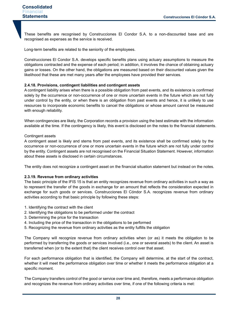These benefits are recognised by Construcciones El Condor S.A. to a non-discounted base and are recognised as expenses as the service is received.

Long-term benefits are related to the seniority of the employees.

Construcciones El Condor S.A. develops specific benefits plans using actuary assumptions to measure the obligations contracted and the expense of each period; in addition, it involves the chance of obtaining actuary gains or losses. On the other hand, the obligations are measured based on their discounted values given the likelihood that these are met many years after the employees have provided their services.

# **2.4.18. Provisions, contingent liabilities and contingent assets**

A contingent liability arises when there is a possible obligation from past events, and its existence is confirmed solely by the occurrence or non-occurrence of one or more uncertain events in the future which are not fully under control by the entity, or when there is an obligation from past events and hence, it is unlikely to use resources to incorporate economic benefits to cancel the obligations or whose amount cannot be measured with enough reliability.

When contingencies are likely, the Corporation records a provision using the best estimate with the information available at the time. If the contingency is likely, this event is disclosed on the notes to the financial statements.

# Contingent assets

A contingent asset is likely and stems from past events, and its existence shall be confirmed solely by the occurrence or non-occurrence of one or more uncertain events in the future which are not fully under control by the entity. Contingent assets are not recognised on the Financial Situation Statement. However, information about these assets is disclosed in certain circumstances.

The entity does not recognize a contingent asset on the financial situation statement but instead on the notes.

### **2.3.19. Revenue from ordinary activities**

The basic principle of the IFIS 15 is that an entity recognizes revenue from ordinary activities in such a way as to represent the transfer of the goods in exchange for an amount that reflects the consideration expected in exchange for such goods or services. Construcciones El Cóndor S.A. recognizes revenue from ordinary activities according to that basic principle by following these steps:

- 1. Identifying the contract with the client
- 2. Identifying the obligations to be performed under the contract
- 3. Determining the price for the transaction
- 4. Including the price of the transaction in the obligations to be performed
- 5. Recognizing the revenue from ordinary activities as the entity fulfills the obligation

The Company will recognize revenue from ordinary activities when (or as) it meets the obligation to be performed by transferring the goods or services involved (i.e., one or several assets) to the client. An asset is transferred when (or to the extent that) the client receives control over that asset.

For each performance obligation that is identified, the Company will determine, at the start of the contract, whether it will meet the performance obligation over time or whether it meets the performance obligation at a specific moment.

The Company transfers control of the good or service over time and, therefore, meets a performance obligation and recognizes the revenue from ordinary activities over time, if one of the following criteria is met: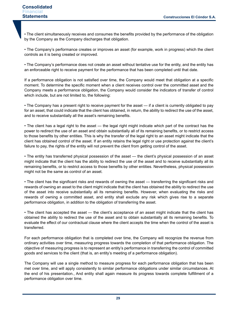• The client simultaneously receives and consumes the benefits provided by the performance of the obligation by the Company as the Company discharges that obligation.

• The Company's performance creates or improves an asset (for example, work in progress) which the client controls as it is being created or improved.

• The Company's performance does not create an asset without tentative use for the entity, and the entity has an enforceable right to receive payment for the performance that has been completed until that date.

If a performance obligation is not satisfied over time, the Company would meet that obligation at a specific moment. To determine the specific moment when a client receives control over the committed asset and the Company meets a performance obligation, the Company would consider the indicators of transfer of control which include, but are not limited to, the following:

• The Company has a present right to receive payment for the asset — if a client is currently obligated to pay for an asset, that could indicate that the client has obtained, in return, the ability to redirect the use of the asset, and to receive substantially all the asset's remaining benefits.

• The client has a legal right to the asset — the legal right might indicate which part of the contract has the power to redirect the use of an asset and obtain substantially all of its remaining benefits, or to restrict access to those benefits by other entities. This is why the transfer of the legal right to an asset might indicate that the client has obtained control of the asset. If an entity retains the legal right or use protection against the client's failure to pay, the rights of the entity will not prevent the client from getting control of the asset.

• The entity has transferred physical possession of the asset — the client's physical possession of an asset might indicate that the client has the ability to redirect the use of the asset and to receive substantially all its remaining benefits, or to restrict access to those benefits by other entities. Nevertheless, physical possession might not be the same as control of an asset.

• The client has the significant risks and rewards of owning the asset — transferring the significant risks and rewards of owning an asset to the client might indicate that the client has obtained the ability to redirect the use of the asset into receive substantially all its remaining benefits. However, when evaluating the risks and rewards of owning a committed asset, and entity shall exclude any risk which gives rise to a separate performance obligation, in addition to the obligation of transferring the asset.

• The client has accepted the asset — the client's acceptance of an asset might indicate that the client has obtained the ability to redirect the use of the asset and to obtain substantially all its remaining benefits. To evaluate the effect of our contractual clause where the client accepts the time when the control of the asset is transferred.

For each performance obligation that is completed over time, the Company will recognize the revenue from ordinary activities over time, measuring progress towards the completion of that performance obligation. The objective of measuring progress is to represent an entity's performance in transferring the control of committed goods and services to the client (that is, an entity's meeting of a performance obligation).

The Company will use a single method to measure progress for each performance obligation that has been met over time, and will apply consistently to similar performance obligations under similar circumstances. At the end of his presentation., And entity shall again measure its progress towards complete fulfillment of a performance obligation over time.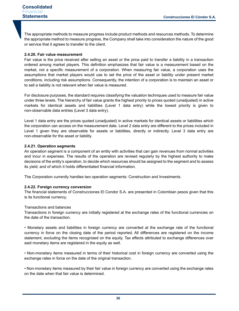The appropriate methods to measure progress include product methods and resources methods. To determine the appropriate method to measure progress, the Company shall take into consideration the nature of the good or service that it agrees to transfer to the client.

# **2.4.20. Fair value measurement**

Fair value is the price received after selling an asset or the price paid to transfer a liability in a transaction ordered among market players. This definition emphasizes that fair value is a measurement based on the market, not a specific measurement of a corporation. When measuring fair value, a corporation uses the assumptions that market players would use to set the price of the asset or liability under present market conditions, including risk assumptions. Consequently, the intention of a corporation is to maintain an asset or to sell a liability is not relevant when fair value is measured.

For disclosure purposes, the standard requires classifying the valuation techniques used to measure fair value under three levels. The hierarchy of fair value grants the highest priority to prices quoted (unadjusted) in active markets for identical assets and liabilities (Level 1 data entry) while the lowest priority is given to non-observable data entries (Level 3 data entry).

Level 1 data entry are the prices quoted (unadjusted) in active markets for identical assets or liabilities which the corporation can access on the measurement date. Level 2 data entry are different to the prices included in Level 1 given they are observable for assets or liabilities, directly or indirectly. Level 3 data entry are non-observable for the asset or liability.

# **2.4.21. Operation segments**

An operation segment is a component of an entity with activities that can gain revenues from normal activities and incur in expenses. The results of the operation are revised regularly by the highest authority to make decisions of the entity's operation, to decide which resources should be assigned to the segment and to assess its yield; and of which it holds differentiated financial information.

The Corporation currently handles two operation segments: Construction and Investments.

# **2.4.22. Foreign currency conversion**

The financial statements of Construcciones El Condor S.A. are presented in Colombian pesos given that this is its functional currency.

### Transactions and balances

Transactions in foreign currency are initially registered at the exchange rates of the functional currencies on the date of the transaction.

• Monetary assets and liabilities in foreign currency are converted at the exchange rate of the functional currency in force on the closing date of the period reported. All differences are registered on the income statement, excluding the items recognised on the equity. Tax effects attributed to exchange differences over said monetary items are registered in the equity as well.

• Non-monetary items measured in terms of their historical cost in foreign currency are converted using the exchange rates in force on the date of the original transaction.

• Non-monetary items measured by their fair value in foreign currency are converted using the exchange rates on the date when that fair value is determined.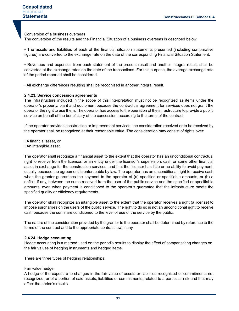Conversion of a business overseas

The conversion of the results and the Financial Situation of a business overseas is described below:

• The assets and liabilities of each of the financial situation statements presented (including comparative figures) are converted to the exchange rate on the date of the corresponding Financial Situation Statement.

• Revenues and expenses from each statement of the present result and another integral result, shall be converted at the exchange rates on the date of the transactions. For this purpose, the average exchange rate of the period reported shall be considered.

• All exchange differences resulting shall be recognised in another integral result.

#### **2.4.23. Service concession agreements**

The infrastructure included in the scope of this Interpretation must not be recognized as items under the operator's property, plant and equipment because the contractual agreement for services does not grant the operator the right to use them. The operator has access to the operation of the infrastructure to provide a public service on behalf of the beneficiary of the concession, according to the terms of the contract.

If the operator provides construction or improvement services, the consideration received or to be received by the operator shall be recognized at their reasonable value. The consideration may consist of rights over:

- A financial asset, or
- An intangible asset.

The operator shall recognize a financial asset to the extent that the operator has an unconditional contractual right to receive from the licensor, or an entity under the licensor's supervision, cash or some other financial asset in exchange for the construction services, and that the licensor has little or no ability to avoid payment, usually because the agreement is enforceable by law. The operator has an unconditional right to receive cash when the grantor guarantees the payment to the operator of (a) specified or specifiable amounts, or (b) a deficit, if any, between the sums received from the user of the public service and the specified or specifiable amounts, even when payment is conditioned to the operator's guarantee that the infrastructure meets the specified quality or efficiency requirements.

The operator shall recognize an intangible asset to the extent that the operator receives a right (a license) to impose surcharges on the users of the public service. The right to do so is not an unconditional right to receive cash because the sums are conditioned to the level of use of the service by the public.

The nature of the consideration provided by the grantor to the operator shall be determined by reference to the terms of the contract and to the appropriate contract law, if any.

#### **2.4.24. Hedge accounting**

Hedge accounting is a method used on the period's results to display the effect of compensating changes on the fair values of hedging instruments and hedged items.

There are three types of hedging relationships:

#### Fair value hedge

A hedge of the exposure to changes in the fair value of assets or liabilities recognized or commitments not recognized, or of a portion of said assets, liabilities or commitments, related to a particular risk and that may affect the period's results.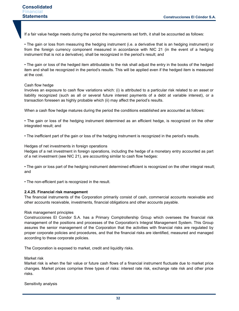If a fair value hedge meets during the period the requirements set forth, it shall be accounted as follows:

• The gain or loss from measuring the hedging instrument (i.e. a derivative that is an hedging instrument) or from the foreign currency component measured in accordance with NIC 21 (in the event of a hedging instrument that is not a derivative), shall be recognized in the period's result; and

• The gain or loss of the hedged item attributable to the risk shall adjust the entry in the books of the hedged item and shall be recognized in the period's results. This will be applied even if the hedged item is measured at the cost.

#### Cash flow hedge

Involves an exposure to cash flow variations which: (i) is attributed to a particular risk related to an asset or liability recognized (such as all or several future interest payments of a debt at variable interest), or a transaction foreseen as highly probable which (ii) may affect the period's results.

When a cash flow hedge matures during the period the conditions established are accounted as follows:

• The gain or loss of the hedging instrument determined as an efficient hedge, is recognized on the other integrated result; and

• The inefficient part of the gain or loss of the hedging instrument is recognized in the period's results.

#### Hedges of net investments in foreign operations

Hedges of a net investment in foreign operations, including the hedge of a monetary entry accounted as part of a net investment (see NIC 21), are accounting similar to cash flow hedges:

• The gain or loss part of the hedging instrument determined efficient is recognized on the other integral result; and

• The non-efficient part is recognized in the result.

#### **2.4.25. Financial risk management**

The financial instruments of the Corporation primarily consist of cash, commercial accounts receivable and other accounts receivable, investments, financial obligations and other accounts payable.

#### Risk management principles

Construcciones El Condor S.A. has a Primary Comptrollership Group which oversees the financial risk management of the positions and processes of the Corporation's Integral Management System. This Group assures the senior management of the Corporation that the activities with financial risks are regulated by proper corporate policies and procedures, and that the financial risks are identified, measured and managed according to these corporate policies.

The Corporation is exposed to market, credit and liquidity risks.

Market risk

Market risk is when the fair value or future cash flows of a financial instrument fluctuate due to market price changes. Market prices comprise three types of risks: interest rate risk, exchange rate risk and other price risks.

Sensitivity analysis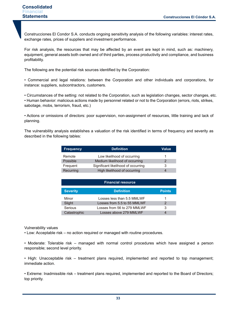Construcciones El Condor S.A. conducts ongoing sensitivity analysis of the following variables: interest rates, exchange rates, prices of suppliers and investment performance.

For risk analysis, the resources that may be affected by an event are kept in mind, such as: machinery, equipment, general assets both owned and of third parties, process productivity and compliance, and business profitability.

The following are the potential risk sources identified by the Corporation:

• Commercial and legal relations: between the Corporation and other individuals and corporations, for instance: suppliers, subcontractors, customers.

• Circumstances of the setting: not related to the Corporation, such as legislation changes, sector changes, etc.

• Human behavior: malicious actions made by personnel related or not to the Corporation (errors, riots, strikes, sabotage, mobs, terrorism, fraud, etc.)

• Actions or omissions of directors: poor supervision, non-assignment of resources, little training and lack of planning.

The vulnerability analysis establishes a valuation of the risk identified in terms of frequency and severity as described in the following tables:

| <b>Frequency</b> | <b>Definition</b>                   | <b>Value</b> |
|------------------|-------------------------------------|--------------|
| Remote           | Low likelihood of occurring         | 1            |
| Possible         | Medium likelihood of occurring      | 2            |
| Frequent         | Significant likelihood of occurring | 3            |
| Recurring        | High likelihood of occurring        | 4            |

| <b>Financial resource</b> |                             |               |  |  |  |
|---------------------------|-----------------------------|---------------|--|--|--|
| <b>Severity</b>           | <b>Definition</b>           | <b>Points</b> |  |  |  |
| Minor                     | Losses less than 5.5 MMLWF  | 1             |  |  |  |
| Slight                    | Losses from 5.5 to 55 MMLWF | 2             |  |  |  |
| Serious                   | Losses from 56 to 279 MMLWF | 3             |  |  |  |
| Catastrophic              | Losses above 279 MMLWF      |               |  |  |  |

Vulnerability values

• Low: Acceptable risk – no action required or managed with routine procedures.

• Moderate: Tolerable risk – managed with normal control procedures which have assigned a person responsible; second level priority.

• High: Unacceptable risk – treatment plans required, implemented and reported to top management; immediate action.

• Extreme: Inadmissible risk – treatment plans required, implemented and reported to the Board of Directors; top priority.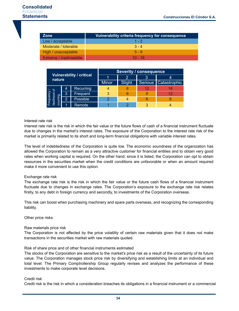| <b>Zone</b>            | Vulnerability criteria frequency for consequence |
|------------------------|--------------------------------------------------|
| Low / acceptable       | $1 - 2$                                          |
| Moderate / tolerable   | $3 - 4$                                          |
| High / unacceptable    | $5 - 9$                                          |
| Extreme / inadmissible | $10 - 16$                                        |

|                                           |   | <b>Severity / consequence</b> |        |  |                        |    |
|-------------------------------------------|---|-------------------------------|--------|--|------------------------|----|
| <b>Vulnerability / critical</b><br>nature |   |                               |        |  |                        |    |
|                                           |   | <b>Minor</b>                  | Slight |  | Serious   Catastrophic |    |
|                                           | 4 | <b>Recurring</b>              |        |  | 12                     |    |
| Frequency /<br>likelihood of<br>ocurring  | 3 | Frequent                      |        |  |                        | 12 |
|                                           | 2 | Possible                      |        |  | 6                      |    |
|                                           |   | Remote                        |        |  |                        |    |

### Interest rate risk

Interest rate risk is the risk in which the fair value or the future flows of cash of a financial instrument fluctuate due to changes in the market's interest rates. The exposure of the Corporation to the interest rate risk of the market is primarily related to its short and long-term financial obligations with variable interest rates.

The level of indebtedness of the Corporation is quite low. The economic soundness of the organization has allowed the Corporation to remain as a very attractive customer for financial entities and to obtain very good rates when working capital is required. On the other hand, since it is listed, the Corporation can opt to obtain resources in the securities market when the credit conditions are unfavorable or when an amount required make it more convenient to use this option.

### Exchange rate risk

The exchange rate risk is the risk in which the fair value or the future cash flows of a financial instrument fluctuate due to changes in exchange rates. The Corporation's exposure to the exchange rate risk relates firstly, to any debt in foreign currency and secondly, to investments of the Corporation overseas.

This risk can boost when purchasing machinery and spare parts overseas, and recognizing the corresponding liability.

#### Other price risks

### Raw materials price risk

The Corporation is not affected by the price volatility of certain raw materials given that it does not make transactions in the securities market with raw materials quoted.

Risk of share price and of other financial instruments estimated

The stocks of the Corporation are sensitive to the market's price risk as a result of the uncertainty of its future value. The Corporation manages stock price risk by diversifying and establishing limits at an individual and total level. The Primary Comptrollership Group regularly revises and analyzes the performance of these investments to make corporate level decisions.

#### Credit risk

Credit risk is the risk in which a consideration breaches its obligations in a financial instrument or a commercial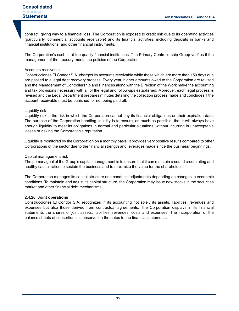contract, giving way to a financial loss. The Corporation is exposed to credit risk due to its operating activities (particularly, commercial accounts receivable) and its financial activities, including deposits in banks and financial institutions, and other financial instruments.

The Corporation's cash is at top quality financial institutions. The Primary Controllership Group verifies if the management of the treasury meets the policies of the Corporation.

# Accounts receivable

Construcciones El Cóndor S.A. charges its accounts receivable while those which are more than 150 days due are passed to a legal debt recovery process. Every year, higher amounts owed to the Corporation are revised and the Management of Controllership and Finances along with the Direction of the Work make the accounting and tax provisions necessary with all of the legal and follow-ups established. Moreover, each legal process is revised and the Legal Department prepares minutes detailing the collection process made and concludes if the account receivable must be punished for not being paid off.

# Liquidity risk

Liquidity risk is the risk in which the Corporation cannot pay its financial obligations on their expiration date. The purpose of the Corporation handling liquidity is to ensure, as much as possible, that it will always have enough liquidity to meet its obligations in normal and particular situations, without incurring in unacceptable losses or risking the Corporation's reputation.

Liquidity is monitored by the Corporation on a monthly basis. It provides very positive results compared to other Corporations of the sector due to the financial strength and leverages made since the business' beginnings.

## Capital management risk

The primary goal of the Group's capital management is to ensure that it can maintain a sound credit rating and healthy capital ratios to sustain the business and to maximize the value for the shareholder.

The Corporation manages its capital structure and conducts adjustments depending on changes in economic conditions. To maintain and adjust its capital structure, the Corporation may issue new stocks in the securities market and other financial debt mechanisms.

### **2.4.26. Joint operations**

Construcciones El Cóndor S.A. recognizes in its accounting not solely its assets, liabilities, revenues and expenses but also those derived from contractual agreements. The Corporation displays in its financial statements the shares of joint assets, liabilities, revenues, costs and expenses. The incorporation of the balance sheets of consortiums is observed in the notes to the financial statements.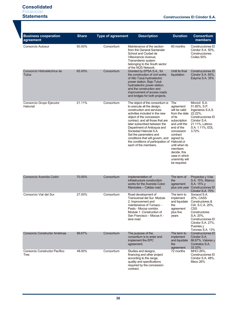| <b>Business cooperation</b><br>agreement | <b>Share</b> | <b>Type of agreement</b> | <b>Description</b>                                                                                                                                                                                                                                                                                                                                                                                                            | <b>Duration</b>                                                                                                                                                                                                                                            | <b>Consortium</b><br>members                                                                                                                                                    |
|------------------------------------------|--------------|--------------------------|-------------------------------------------------------------------------------------------------------------------------------------------------------------------------------------------------------------------------------------------------------------------------------------------------------------------------------------------------------------------------------------------------------------------------------|------------------------------------------------------------------------------------------------------------------------------------------------------------------------------------------------------------------------------------------------------------|---------------------------------------------------------------------------------------------------------------------------------------------------------------------------------|
| Consorcio Autosur                        | 50.00%       | Consortium               | Maintenance of the section<br>from the General Santander<br>School and Ciudad de<br>Villavicencio Avenue;<br>Transmilenio system<br>belonging to the South sector<br>of the NQS Network.                                                                                                                                                                                                                                      | 60 months                                                                                                                                                                                                                                                  | Construcciones El<br>Cóndor S.A. 50%,<br>Construcciones<br>Civiles 50%                                                                                                          |
| Consorcio Hidroeléctrica de<br>Tulúa     | 65.00%       | Consortium               | Granted by EPSA S.A., for<br>the construction of civil works<br>of Alto Tuluá hydroelectric<br>power station, Bajo Tuluá<br>hydroelectric power station,<br>and the construction and<br>improvement of access roads<br>and bridges for both projects.                                                                                                                                                                         | Until its final<br>liquidation                                                                                                                                                                                                                             | Construcciones El<br>Cóndor S.A. 65%,<br>Estyma S.A. 35%                                                                                                                        |
| Consorcio Grupo Ejecutor<br>Hatovial     | 21.11%       | Consortium               | The object of the consortium is<br>to execute all the design,<br>construction and services<br>activities included in the new<br>object of the concession<br>contract, and all those that are<br>later subscribed between the<br>Department of Antioquia and<br>Sociedad Hatovial S.A.<br>Set the parameters and<br>conditions that will govern, and<br>the conditions of participation of Hatovial or<br>each of the members. | The<br>agreement<br>will be valid<br>from the date 22.22%,<br>of its<br>subscription<br>and until the<br>end of the<br>concession<br>contract<br>signed by<br>until when its<br>members<br>decide, this<br>case in which<br>unanimity will<br>be required. | Mincivil S.A.<br>51.85%, S.P.<br>Ingenieros S.A.S.<br>Construcciones El<br>Cóndor S.A.<br>21.11%, Latinco<br>S.A. 1.11%, EDL<br>3.72%                                           |
| Consorcio Avenida Colón                  | 70.00%       | Consortium               | Implementation of<br>infrastructure construction<br>works for the Avenida Colon<br>Manizales - Caldas road.                                                                                                                                                                                                                                                                                                                   | The term of<br>the<br>agreement                                                                                                                                                                                                                            | Proyectos y Vías<br>S.A. 15%, Mainco<br>S.A. 15% y<br>plus one year Construcciones El<br>Cóndor S.A. 70%                                                                        |
| Consorcio Vial del Sur                   | 27.00%       | Consortium               | Road development of<br>Transversal del Sur. Module<br>2. Improvement and<br>maintenance of Tumaco -<br>Pasto - Mocoa corridor.<br>Module 1. Construction of<br>San Francisco – Mocoa 4 -<br>lane road.                                                                                                                                                                                                                        | The term to<br>implement<br>and liquidate<br>the<br>agreement<br>plus five<br>years                                                                                                                                                                        | Sonacol S.A.<br>20%, CASS<br>Constructores &<br>CIA. S.C.A. 20%,<br>CSS<br>Constructores<br>S.A. 20%,<br>Construcciones El<br>Cóndor S.A. 27%,<br>Puentes y<br>Torones S.A. 13% |
| Consorcio Constructor Américas           | 66.67%       | Consortium               | The purpose of the<br>consortium is to enter and<br>implement the EPC<br>agreement.                                                                                                                                                                                                                                                                                                                                           | The term to<br>implement<br>and liquidate<br>the<br>agreement                                                                                                                                                                                              | <b>Construcciones El</b><br>Cóndor S.A.<br>66.67%, Valores y<br>Contratos S.A.<br>33.33%                                                                                        |
| Consorcio Constructor Pacífico<br>Tres   | 48.00%       | Consortium               | Studies and designs,<br>financing and other project<br>according to the range,<br>quality and specifications<br>required by the concession<br>contract.                                                                                                                                                                                                                                                                       | 72 months                                                                                                                                                                                                                                                  | <b>MHCI 26%,</b><br>Construcciones El<br>Cóndor S.A. 48%,<br>Meco 26%                                                                                                           |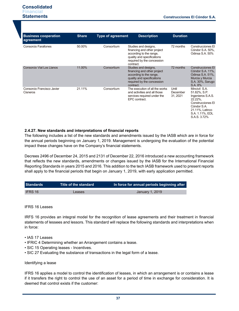| <b>Business cooperation</b><br>agreement      | <b>Share</b> | <b>Type of agreement</b> | <b>Description</b>                                                                                                                                      | <b>Duration</b>               |                                                                                                                                                         |
|-----------------------------------------------|--------------|--------------------------|---------------------------------------------------------------------------------------------------------------------------------------------------------|-------------------------------|---------------------------------------------------------------------------------------------------------------------------------------------------------|
| Consorcio Farallones                          | 50.00%       | Consortium               | Studies and designs,<br>financing and other project<br>according to the range,<br>quality and specifications<br>required by the concession<br>contract. | 72 months                     | Construcciones El<br>Cóndor S.A. 50%,<br>Odinsa S.A. 50%                                                                                                |
| Consorcio Vial Los Llanos                     | 11.00%       | Consortium               | Studies and designs,<br>financing and other project<br>according to the range,<br>quality and specifications<br>required by the concession<br>contract. | 72 months                     | <b>Construcciones El</b><br>Cóndor S.A. 11%,<br>Odinsa S.A. 51%,<br>Murcia y Murcia<br>S.A. 30%, Sarugo<br>S.A. 8%                                      |
| Consorcio Francisco Javier<br><b>Cisneros</b> | 21.11%       | Consortium               | The execution of all the works<br>and activities and all those<br>services required under the<br>EPC contract.                                          | Until<br>December<br>31, 2021 | Mincivil S.A.<br>51.82%, S.P.<br>Ingenieros S.A.S.<br>22.22%.<br>Construcciones El<br>Cóndor S.A.<br>21.11%, Latinco<br>S.A. 1.11%, EDL<br>S.A.S. 3.72% |

# **2.4.27. New standards and interpretations of financial reports**

The following includes a list of the new standards and amendments issued by the IASB which are in force for the annual periods beginning on January 1, 2019. Management is undergoing the evaluation of the potential impact these changes have on the Company's financial statements.

Decrees 2496 of December 24, 2015 and 2131 of December 22, 2016 introduced a new accounting framework that reflects the new standards, amendments or changes issued by the IASB for the International Financial Reporting Standards in years 2015 and 2016. This addition to the tech IASB framework used to present reports shall apply to the financial periods that begin on January 1, 2019, with early application permitted.

| <b>Standards</b> | Title of the standard | In force for annual periods beginning after |
|------------------|-----------------------|---------------------------------------------|
|                  |                       |                                             |
| <b>IFRS 16</b>   | Leases                | January 1, 2019                             |

#### IFRS 16 Leases

IRFS 16 provides an integral model for the recognition of lease agreements and their treatment in financial statements of lessees and lessors. This standard will replace the following standards and interpretations when in force:

- IAS 17 Leases
- IFRIC 4 Determining whether an Arrangement contains a lease.
- SIC 15 Operating leases Incentives.
- SIC 27 Evaluating the substance of transactions in the legal form of a lease.

#### Identifying a lease

IFRS 16 applies a model to control the identification of leases, in which an arrangement is or contains a lease if it transfers the right to control the use of an asset for a period of time in exchange for consideration. It is deemed that control exists if the customer: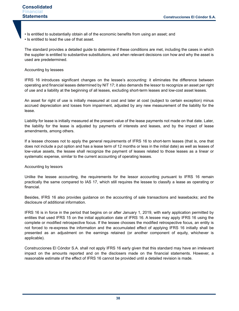- Is entitled to substantially obtain all of the economic benefits from using an asset; and
- Is entitled to lead the use of that asset.

The standard provides a detailed guide to determine if these conditions are met, including the cases in which the supplier is entitled to substantive substitutions, and when relevant decisions con how and why the asset is used are predetermined.

## Accounting by lessees

IFRS 16 introduces significant changes on the lessee's accounting: it eliminates the difference between operating and financial leases determined by NIT 17; it also demands the lessor to recognize an asset per right of use and a liability at the beginning of all leases, excluding short-term leases and low-cost asset leases.

An asset for right of use is initially measured at cost and later at cost (subject to certain exception) minus accrued depreciation and losses from impairment, adjusted by any new measurement of the liability for the lease.

Liability for lease is initially measured at the present value of the lease payments not made on that date. Later, the liability for the lease is adjusted by payments of interests and leases, and by the impact of lease amendments, among others.

If a lessee chooses not to apply the general requirements of IFRS 16 to short-term leases (that is, one that does not include a put option and has a lease term of 12 months or less in the initial date) as well as leases of low-value assets, the lessee shall recognize the payment of leases related to those leases as a linear or systematic expense, similar to the current accounting of operating leases.

### Accounting by lessors

Unlike the lessee accounting, the requirements for the lessor accounting pursuant to IFRS 16 remain practically the same compared to IAS 17, which still requires the lessee to classify a lease as operating or financial.

Besides, IFRS 16 also provides guidance on the accounting of sale transactions and leasebacks; and the disclosure of additional information.

IFRS 16 is in force in the period that begins on or after January 1, 2019, with early application permitted by entities that used IFRS 15 on the initial application date of IFRS 16. A lessee may apply IFRS 16 using the complete or modified retrospective focus. If the lessee chooses the modified retrospective focus, an entity is not forced to re-express the information and the accumulated effect of applying IFRS 16 initially shall be presented as an adjustment on the earnings retained (or another component of equity, whichever is applicable).

Construcciones El Cóndor S.A. shall not apply IFRS 16 early given that this standard may have an irrelevant impact on the amounts reported and on the disclosers made on the financial statements. However, a reasonable estimate of the effect of IFRS 16 cannot be provided until a detailed revision is made.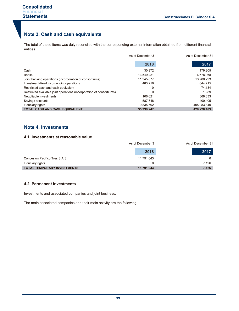# **Note 3. Cash and cash equivalents**

The total of these items was duly reconciled with the corresponding external information obtained from different financial entities.

|                                                                      | As of December 31 | As of December 31 |
|----------------------------------------------------------------------|-------------------|-------------------|
|                                                                      | 2018              | 2017              |
| Cash                                                                 | 30.972            | 179.305           |
| <b>Banks</b>                                                         | 13.549.221        | 6.678.968         |
| Joint banking operations (incorporation of consortiums)              | 11.345.877        | 13.788.293        |
| Investment-fixed income joint operations                             | 483.216           | 644.215           |
| Restricted cash and cash equivalent                                  | 0                 | 74.134            |
| Restricted available joint operations (incorporation of consortiums) |                   | 1.989             |
| Negotiable investments                                               | 106.621           | 369.333           |
| Savings accounts                                                     | 587.548           | 1.400.405         |
| Fiduciary rights                                                     | 9.835.792         | 405.083.840       |
| <b>TOTAL CASH AND CASH EQUIVALENT</b>                                | 35.939.247        | 428.220.483       |

# **Note 4. Investments**

# **4.1. Investments at reasonable value**

|                                    | As of December 31 | As of December 31 |
|------------------------------------|-------------------|-------------------|
|                                    | 2018              | 2017              |
| Concesión Pacifico Tres S.A.S.     | 11.791.043        |                   |
| Fiduciary rights                   |                   | 7.126             |
| <b>TOTAL TEMPORARY INVESTMENTS</b> | 11.791.043        | 7.126             |

# **4.2. Permanent investments**

Investments and associated companies and joint business.

The main associated companies and their main activity are the following: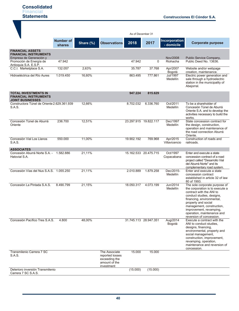|                                                                                        |                                   |           |                                                                    | As of December 31 |                       |                             |                                                                                                                                                                                                                                                                                                 |
|----------------------------------------------------------------------------------------|-----------------------------------|-----------|--------------------------------------------------------------------|-------------------|-----------------------|-----------------------------|-------------------------------------------------------------------------------------------------------------------------------------------------------------------------------------------------------------------------------------------------------------------------------------------------|
|                                                                                        | <b>Number of</b><br><b>shares</b> | Share (%) | <b>Observations</b>                                                | 2018              | 2017                  | Incorporation<br>- domicile | <b>Corporate purpose</b>                                                                                                                                                                                                                                                                        |
| <b>FINANCIAL ASSETS</b><br><b>FINANCIAL INSTRUMENTS</b><br>Empresa de Generación y     |                                   |           |                                                                    |                   |                       | Nov/2008                    | Public Service Company,                                                                                                                                                                                                                                                                         |
| Promoción de Energía de<br>Antioquia S.A. E.S.P.                                       | 47.942                            |           |                                                                    | 47.942            | 0                     | Riohacha                    | Public Deed No. 13636.                                                                                                                                                                                                                                                                          |
| C.C.I. Marketplace S.A.                                                                | 132.057                           | 2,63%     |                                                                    | 35.787            | 37.768                | Apr/2007<br>Bogotá          | Website and/or webpage<br>creation, maintenance.                                                                                                                                                                                                                                                |
| Hidroeléctrica del Río Aures                                                           | 1.019.450                         | 16,60%    |                                                                    | 863.495           | 777.861               | <b>Jul/1997</b><br>Medellín | Electric power generation and<br>sale through a hydroelectric<br>station in the municipality of<br>Abejorral.                                                                                                                                                                                   |
| <b>TOTAL INVESTMENTS IN</b><br><b>FINANCIAL INSTRUMENTS</b><br><b>JOINT BUSINESSES</b> |                                   |           |                                                                    | 947.224           | 815.629               |                             |                                                                                                                                                                                                                                                                                                 |
| Constructora Túnel de Oriente 2.629.361.939<br>S.A.S.                                  |                                   | 12,66%    |                                                                    | 8.702.032         | 6.336.760             | Oct/2011<br>Medellín        | To be a shareholder of<br>Concesión Túnel de Aburrá<br>Oriente S.A. and to develop the<br>activities necessary to build the<br>works.                                                                                                                                                           |
| Concesión Túnel de Aburrá<br>Oriente                                                   | 236.700                           | 12,51%    |                                                                    |                   | 23.297.915 19.822.117 | Dec/1997<br>Medellín        | State concession contract for<br>the design, construction,<br>operation and maintenance of<br>the road connection Aburrá<br>Oriente.                                                                                                                                                            |
| Concesión Vial Los Llanos<br>S.A.S.                                                    | 550.000                           | 11.00%    |                                                                    | 19.902.192        | 769.968               | Apr/2015<br>Villavicencio   | Construction of roads and<br>railroads.                                                                                                                                                                                                                                                         |
| <b>ASSOCIATES</b><br>Concesión Aburrá Norte S.A. - 1.582.886<br>Hatovial S.A.          |                                   | 21,11%    |                                                                    |                   | 15.162.533 20.475.715 | Oct/1997<br>Copacabana      | Enter and execute a state<br>concession contract of a road<br>project called "Desarrollo Vial<br>del Aburrá Norte" and its<br>complementary road system.                                                                                                                                        |
| Concesión Vías del Nus S.A.S. 1.055.250                                                |                                   | 21,11%    |                                                                    | 2.010.889         | 1.879.258             | Dec/2015-<br>Medellín       | Enter and execute a state<br>concession contract<br>established in article 32 of law<br>80 of 1993.                                                                                                                                                                                             |
| Concesión La Pintada S.A.S.                                                            | 8.490.799                         | 21,15%    |                                                                    | 18.050.317        | 4.073.199             | Jun/2014<br>Medellín        | The sole corporate purpose of<br>the corporation is to execute a<br>contract with the ANI to<br>conduct studies, designs,<br>financing, environmental,<br>property and social<br>management, construction,<br>improvement, revamping,<br>operation, maintenance and<br>reversion of concession. |
| Concesión Pacífico Tres S.A.S.                                                         | 4.800                             | 48,00%    |                                                                    |                   | 31.745.113 28.947.351 | Aug/2014<br>Bogotá          | Execute a contract with the<br>ANI to conduct studies,<br>designs, financing,<br>environmental, property and<br>social management,<br>construction, improvement,<br>revamping, operation,<br>maintenance and reversion of<br>concession.                                                        |
| Transmilenio Carrera 7 SC<br>S.A.S.                                                    |                                   |           | The Associate<br>reported losses<br>exceeding the<br>amount of the | 15.000            | 15.000                |                             |                                                                                                                                                                                                                                                                                                 |
| Deterioro inversión Transmilenio<br>Carrera 7 SC S.A.S.                                |                                   |           | investment                                                         | (15.000)          | (15.000)              |                             |                                                                                                                                                                                                                                                                                                 |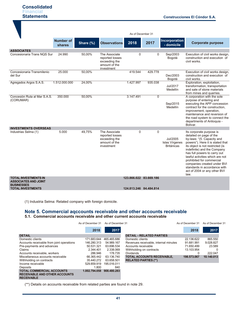|                                                                                 |                            |           |                                                                                  | As of December 31      |             |                                                 |                                                                                                                                                                                                                                                                                                                                                                                                 |
|---------------------------------------------------------------------------------|----------------------------|-----------|----------------------------------------------------------------------------------|------------------------|-------------|-------------------------------------------------|-------------------------------------------------------------------------------------------------------------------------------------------------------------------------------------------------------------------------------------------------------------------------------------------------------------------------------------------------------------------------------------------------|
|                                                                                 | <b>Number of</b><br>shares | Share (%) | <b>Observations</b>                                                              | 2018                   | 2017        | Incorporation<br>- domicile                     | <b>Corporate purpose</b>                                                                                                                                                                                                                                                                                                                                                                        |
| <b>ASSOCIATES</b><br>Concesionaria Trans NOS Sur                                | 24.990                     | 50,00%    | The Associate<br>reported losses<br>exceeding the<br>amount of the<br>investment | $\Omega$               | 0           | Sep/2003<br>Bogotá                              | Execution of civil works design,<br>construction and execution of<br>civil works.                                                                                                                                                                                                                                                                                                               |
| Concesionaria Transmilenio<br>del Sur                                           | 25.000                     | 50,00%    |                                                                                  | 419.544                | 429.778     | Dec/2003<br>Bogotá                              | Execution of civil works design,<br>construction and execution of<br>civil works.                                                                                                                                                                                                                                                                                                               |
| Agregados Argos S.A.S.                                                          | 1.512.000.000              | 24,00%    |                                                                                  | 1.427.997              | 935.038     | Jul/2017<br>Medellín                            | Exploration, exploitation,<br>transformation, transportation<br>and sale of stone materials<br>from mines and quarries.                                                                                                                                                                                                                                                                         |
| Concesión Ruta al Mar S.A.S.<br>(CORUMAR)                                       | 350.000                    | 50,00%    |                                                                                  | 3.147.491              | $\Omega$    | Sep/2015<br>Medellín                            | A corporation with the sole<br>purpose of entering and<br>executing the APP concession<br>contract for the construction.<br>improvement, operation,<br>maintenance and reversion of<br>the road system to connect the<br>departments of Antioquia -<br>Bolivar.                                                                                                                                 |
| <b>INVESTMENTS OVERSEAS</b><br>Industrias Selma (1)                             | 5.000                      | 49,75%    | The Associate<br>reported losses<br>exceeding the<br>amount of the<br>investment | 0                      | $\mathbf 0$ | Jul/2005<br>Islas Vírgenes<br><b>Británicas</b> | Its corporate purpose is<br>detailed on page of the<br>by-laws: "(5. Capacity and<br>powers"). Here it is stated that<br>its object is not restricted (is<br>indefinite) and the Company<br>has full powers to carry out<br>lawful activities which are not<br>prohibited for commercial<br>companies created under BVI<br>standards in accordance with<br>act of 2004 or any other BVI<br>law. |
| <b>TOTAL INVESTMENTS IN</b><br><b>ASSOCIATES AND JOINT</b><br><b>BUSINESSES</b> |                            |           |                                                                                  | 123.866.022 83.669.186 |             |                                                 |                                                                                                                                                                                                                                                                                                                                                                                                 |
| <b>TOTAL INVESTMENTS</b>                                                        |                            |           |                                                                                  | 124.813.246 84.484.814 |             |                                                 |                                                                                                                                                                                                                                                                                                                                                                                                 |

(1) lndustria Selma: Related company with foreign domicile.

# **Note 5. Commercial aqccounts receivable and other accounts receivable**

**5.1. Commercial accounts receivable and other current accounts receivable**

|                                           | As of December 31 | As of December 31 |                                       | As of December 31 | As of December 31 |
|-------------------------------------------|-------------------|-------------------|---------------------------------------|-------------------|-------------------|
|                                           | 2018              | 2017              |                                       | 2018              | 2017              |
| <b>DETAIL</b>                             |                   |                   | <b>DETAIL - RELATED PARTIES</b>       |                   |                   |
| Domestic clients                          | 171.683.644       | 465.465.686       | Domestic clients                      | 22.136.622        | 865.550           |
| Accounts receivable from joint operations | 146.280.313       | 54.989.167        | Revenues receivable, internal minutes | 91.681.991        | 9.028.827         |
| Pre-payments and advances                 | 50.531.321        | 63.696.534        | Accounts receivable                   | 71.650.499        | 23.589            |
| Claims                                    | 2.344.401         | 2.338.069         | Withholding on contracts              | 13.103.954        |                   |
| Accounts receivable, workers              | 286.946           | 178.735           | <b>Dividends</b>                      |                   | 222.047           |
| Miscellaneous accounts receivable         | 66.365.442        | 63.136.740        | <b>TOTAL ACCOUNTS RECEIVABLE,</b>     | 198.573.067       | 10.140.013        |
| Withholding on contracts                  | 35.440.272        | 63.658.501        | <b>RELATED PARTIES (**)</b>           |                   |                   |
| Income receivable                         | 529.859.919       | 195.016.011       |                                       |                   |                   |
| Deposits                                  | 1.800             | 840               |                                       |                   |                   |
| <b>TOTAL COMMERCIAL ACCOUNTS</b>          | 1.002.794.058     | 908.480.283       |                                       |                   |                   |
| <b>RECEIVABLE AND OTHER ACCOUNTS</b>      |                   |                   |                                       |                   |                   |
| <b>RECEIVABLE</b>                         |                   |                   |                                       |                   |                   |

(\*\*) Details on accounts receivable from related parties are found in note 29.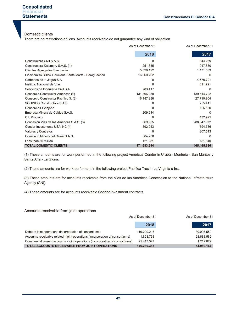# **Consolidated Financial Statements**

### Domestic clients

There are no restrictions or liens. Accounts receivable do not guarantee any kind of obligation.

|                                                       | As of December 31 | As of December 31 |
|-------------------------------------------------------|-------------------|-------------------|
|                                                       | 2018              | 2017              |
| Constructora Civil S.A.S.                             |                   | 344.269           |
| Constructora Kalamary S.A.S. (1)                      | 251.835           | 917.880           |
| Clientes Agregados San Javier                         | 5.526.192         | 1.171.553         |
| Fideicomiso BBVA Fiduciaria Santa Marta - Paraguachón | 16.060.762        | 0                 |
| Carbones de la Jagua S.A.                             | O                 | 4.670.791         |
| Instituto Nacional de Vías                            |                   | 811.791           |
| Servicios de Ingeniería Civil S.A.                    | 283.417           | $\Omega$          |
| Consorcio Constructor Américas (1)                    | 131.396.930       | 139.514.722       |
| Consorcio Constructor Pacífico 3. (2)                 | 16.187.236        | 27.719.904        |
| SOHINCO Constructora S.A.S.                           | 0                 | 255.411           |
| Consorcio El Viajano                                  | ი                 | 125.130           |
| Empresa Minera de Caldas S.A.S.                       | 209.244           | $\Omega$          |
| C.I. Prodeco                                          | 0                 | 132.925           |
| Concesión Vías de las Américas S.A.S. (3)             | 369.955           | 288.647.972       |
| Condor Investments USA INC (4)                        | 892.053           | 694.786           |
| Valores y Contratos                                   | 0                 | 307.513           |
| Consorcio Minero del Cesar S.A.S.                     | 384.738           | $\Omega$          |
| Less than 50 million                                  | 121.281           | 151.040           |
| <b>TOTAL DOMESTIC CLIENTS</b>                         | 171.683.644       | 465.465.686       |

(1) These amounts are for work performed in the following project Américas Cóndor in Urabá - Montería - San Marcos y Santa Ana - La Gloria.

(2) These amounts are for work performent in the following project Pacífico Tres in La Virginia e Irra.

(3) These amounts are for accounts receivable from the Vías de las Américas Concession to the National Infrastructure Agency (ANI).

(4) These amounts are for accounts receivable Condor Investment contracts.

### Accounts receivable from joint operations

|                                                                               | As of December 31 |            |  |
|-------------------------------------------------------------------------------|-------------------|------------|--|
|                                                                               | 2018              | 2017       |  |
| Debtors joint operations (incorporation of consortiums)                       | 119.209.218       | 30.093.559 |  |
| Accounts receivable related - joint operations (incorporation of consortiums) | 1.653.768         | 23.683.586 |  |
| Commercial current accounts - joint operations (incorporation of consortiums) | 25.417.327        | 1.212.022  |  |
| TOTAL ACCOUNTS RECEIVABLE FROM JOINT OPERATIONS                               | 146.280.313       | 54.989.167 |  |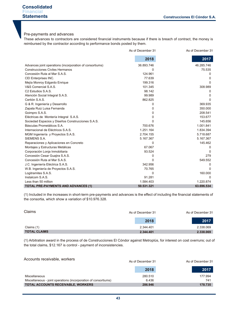# Pre-payments and advances

These advances to contractors are considered financial instruments because if there is breach of contract, the money is reimbursed by the contractor according to performance bonds posted by them.

|                                                          | As of December 31 | As of December 31 |
|----------------------------------------------------------|-------------------|-------------------|
|                                                          | 2018              | 2017              |
| Advances joint operations (incorporation of consortiums) | 36.893.746        | 46.285.746        |
| <b>Construcciones Civiles Hermanos</b>                   | U                 | 75.535            |
| Concesión Ruta al Mar S.A.S.                             | 124.961           | 0                 |
| CEI Enterprises INC.                                     | 77.639            | 0                 |
| Mejía Monroy Edgardo Enrique                             | 199.316           | $\Omega$          |
| V&S Comercial S A S.                                     | 101.345           | 308.989           |
| C <sub>2</sub> Estudios S.A.S.                           | 98.142            | O                 |
| Atención Social Integral S.A.S.                          | 99.989            | O                 |
| Certión S.A.S.                                           | 862.825           | n                 |
| G & R. Ingeniería y Desarrollo                           | 0                 | 369.935           |
| Zapata Ruiz Luisa Fernanda                               | 0                 | 350.000           |
| Goimpro S.A.S.                                           | 0                 | 208.541           |
| Eléctricas de Montería Integral S.A.S.                   | 0                 | 153.677           |
| Sociedad Espacios y Diseños Construcciones S.A.S.        | 0                 | 145.656           |
| Básculas Prometálicos S.A.                               | 700.676           | 1.001.841         |
| Internacional de Eléctricos S.A.S.                       | 1.251.164         | 1.834.394         |
| MGM Ingeniería y Proyectos S.A.S.                        | 2.704.155         | 5.718.687         |
| SIEMENS S.A.                                             | 5.167.367         | 5.167.367         |
| Reparaciones y Aplicaciones en Concreto                  | 0                 | 145.462           |
| Montajes y Estructuras Metálicas                         | 67.067            | 0                 |
| Corporación Lonja Inmobiliaria                           | 93.524            | 0                 |
| Concesión Cesar Guajira S.A.S.                           | 0                 | 279               |
| Concesión Ruta al Mar S.A.S.                             | 0                 | 549.552           |
| J.C. Ingeniería Eléctrica S.A.S.                         | 342.956           | 0                 |
| W.B. Ingeniería de Proyectos S.A.S.                      | 70.765            | O                 |
| Logitramites S.A.S.                                      | $\mathbf{0}$      | 160.000           |
| Instalcom S.A.S.                                         | 91.281            | $\Omega$          |
| Less than 50 million                                     | 1.584.403         | 1.220.874         |
| <b>TOTAL PRE-PAYMENTS AND ADVANCES (1)</b>               | 50.531.321        | 63.696.534        |

(1) Included in the increases in short-term pre-payments and advances is the effect of including the financial statements of the consortia, which show a variation of \$10.976.328.

| Claims              | As of December 31 | As of December 31 |
|---------------------|-------------------|-------------------|
|                     | 2018              | 2017              |
| Claims (1)          | 2.344.401         | 2.338.069         |
| <b>TOTAL CLAIMS</b> | 2.344.401         | 2.338.069         |

(1) Arbitration award in the process of de Construcciones El Cóndor against Metroplús, for interest on cost overruns; out of the total claims, \$12.167 is control - payment of inconsistencies.

| Accounts receivable, workers                                    | As of December 31 | As of December 31 |
|-----------------------------------------------------------------|-------------------|-------------------|
|                                                                 | 2018              | 2017              |
| Miscellaneous                                                   | 280.510           | 177.994           |
| Miscellaneous - joint operations (incorporation of consortiums) | 6.436             | 741               |
| TOTAL ACCOUNTS RECEIVABLE, WORKERS                              | 286.946           | 178.735           |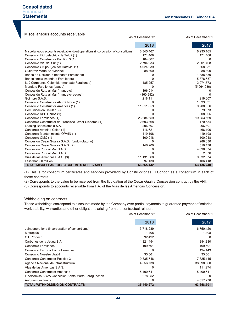| Miscellaneous accounts receivable<br>As of December 31                              |                   |             |  |
|-------------------------------------------------------------------------------------|-------------------|-------------|--|
|                                                                                     | As of December 31 |             |  |
|                                                                                     | 2018              | 2017        |  |
| Miscellaneous accounts receivable - joint operations (incorporation of consortiums) | 6.345.467         | 6.235.165   |  |
| Consorcio Hidroeléctrica de Tuluá (1)                                               | 171.468           | 171.468     |  |
| Consorcio Constructor Pacífico 3 (1)                                                | 104.007           | $\Omega$    |  |
| Consorcio Vial del Sur (1)                                                          | 2.794.933         | 2.301.468   |  |
| Consorcio Grupo Ejecutor Hatovial (1)                                               | 4.024.039         | 868.081     |  |
| Gutiérrez Marín Sor Maribel                                                         | 88.300            | 88.800      |  |
| Banco de Occidente (mandato Farallones)                                             | 0                 | 1.888.880   |  |
| Bancolombia (mandato Farallones)                                                    | 0                 | 5.878.537   |  |
| Itaú Corpbanca Colombia (mandato Farallones)                                        | 1.485.257         | 2.974.573   |  |
| Mandato Farallones (pagos)                                                          | 0                 | (5.964.036) |  |
| Concesión Ruta al Mar (mandato)                                                     | 196.914           |             |  |
| Concesión Ruta al Mar (mandato- pagos))                                             | (160.982)         | 0           |  |
| Goimpro S.A.S.                                                                      | 218.111           | 219.607     |  |
| Consorcio Constructor Aburrá Norte (1)                                              | $\Omega$          | 1.833.831   |  |
| Consorcio Constructor Américas (1)                                                  | 11.511.659        | 9.908.056   |  |
| Comunicación Celular S.A.                                                           | 0                 | 79.673      |  |
| Consorcio APP Llanos (1)                                                            | U                 | 308.005     |  |
| Consorcio Farallones (1)                                                            | 23.284.659        | 19.253.569  |  |
| Consorcio Constructor de Francisco Javier Cisneros (1)                              | 2.693.368         | 170.634     |  |
| Leasing Bancolombia S.A.                                                            | 296.807           | 296.807     |  |
| Consorcio Avenida Colón (1)                                                         | 1.416.621         | 1.466.196   |  |
| Consorcio Mantenimiento OPAIN (1)                                                   | 419.198           | 419.198     |  |
| Consorcio OMC (1)                                                                   | 100.918           | 100.918     |  |
| Concesión Cesar Guajira S.A.S. (fondo rotatorio)                                    | 0                 | 288.630     |  |
| Concesión Cesar Guajira S.A.S. (2)                                                  | 146.200           | 510.438     |  |
| Concesión Ruta al Mar S.A.S.                                                        | 0                 | 4.696.874   |  |
| Concesión Ruta al Mar S.A.S.                                                        | 0                 | 2.876       |  |
| Vías de las Américas S.A.S. (3)                                                     | 11.131.368        | 9.032.074   |  |
| Less than 50 million                                                                | 97.130            | 106.418     |  |
| TOTAL MISCELLANEOUS ACCOUNTS RECEIVABLE                                             | 66.365.442        | 63.136.740  |  |

(1) This is for consortium certificates and services providedd by Construcciones El Cóndor, as a consortium in each of these contracts.

(2) Corresponds to the value to be received from the liquidation of the Cesar Guajira Concession contract by the ANI.

(3) Corresponds to accounts receivable from P.A. of the Vías de las Américas Concession.

#### Withholding on contracts

These witholdings correspond to discounts made by the Company over partial payments to guarantee payment of salaries, work stability, warranties and other obligations arising from the contractual relation.

|                                                    | As of December 31 | As of December 31 |
|----------------------------------------------------|-------------------|-------------------|
|                                                    | 2018              | 2017              |
| Joint operations (incorporation of consortiums)    | 13.718.289        | 6.750.120         |
| Metroplús                                          | 1.408             | 1.408             |
| C.I. Prodeco                                       | 92.492            | $\Omega$          |
| Carbones de la Jagua S.A.                          | 1.321.454         | 384.880           |
| Consorcio Farallones                               | 199.691           | 199.691           |
| Consorcio Ferrocol Loma Hermosa                    |                   | 194.443           |
| Consorcio Nuestro Urabá                            | 35.561            | 35.561            |
| Consorcio Constructor Pacífico 3                   | 9.835.746         | 7.825.145         |
| Agencia Nacional de Infraestructura                | 4.556.738         | 38.698.060        |
| Vías de las Américas S.A.S.                        |                   | 111.274           |
| Consorcio Constructor Américas                     | 5.400.641         | 5.400.641         |
| Fideicomiso BBVA Concesión Santa Marta Paraguachón | 278.252           | $\Omega$          |
| Autonomous funds                                   | 0                 | 4.057.278         |
| <b>TOTAL WITHHOLDING ON CONTRACTS</b>              | 35.440.272        | 63.658.501        |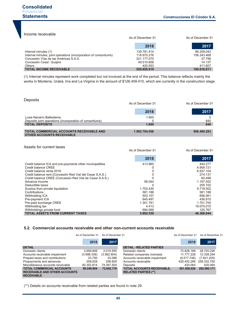Income receivable

|                                                                                                                                                                         | As of December 31                                                  |                                                          |
|-------------------------------------------------------------------------------------------------------------------------------------------------------------------------|--------------------------------------------------------------------|----------------------------------------------------------|
|                                                                                                                                                                         | 2018                                                               | 2017                                                     |
| Internal minutes (1)<br>Internal minutes, joint operations (incorporation of consortiums)<br>Concesión Vías de las Américas S.A.S.<br>Concesión Cesar Guajira<br>Others | 139.781.414<br>118.970.276<br>221.177.070<br>49.510.606<br>420.553 | 88.209.042<br>106.343.468<br>37.756<br>14.137<br>411.607 |
| <b>TOTAL INCOME RECEIVABLE</b>                                                                                                                                          | 529.859.919                                                        | 195.016.011                                              |

(1) Internal minutes represent work completed but not invoiced at the end of the period. This balance reflects mainly the works in Montería, Urabá, Irra and La Virginia in the amount of \$126.459.410, which are currently in the construction stage.

| <b>Deposits</b>                                                                                                | As of December 31 | As of December 31 |
|----------------------------------------------------------------------------------------------------------------|-------------------|-------------------|
|                                                                                                                | 2018              | 2017              |
| Luisa Navarro Ballesteros<br>Deposits joint operations (incorporation of consortiums)<br><b>TOTAL DEPOSITS</b> | 1.800<br>1.800    | 840<br>840        |
| TOTAL COMMERCIAL ACCOUNTS RECEIVABLE AND<br><b>OTHER ACCOUNTS RECEIVABLE</b>                                   | 1.002.794.058     | 908.480.283       |

#### Assets for current taxes

|                                                           | As of December 31 | As of December 31 |
|-----------------------------------------------------------|-------------------|-------------------|
|                                                           | 2018              | 2017              |
| Credit balance ICA and pre-payments other municipalities  | 413.960           | 444.277           |
| Credit balance CREE                                       |                   | 4.908.721         |
| Credit balance renta 2016                                 |                   | 6.937.104         |
| Credit balance rent (Concesión Red Vial del Cesar S.A.S.) |                   | 274.137           |
| Credit balance CREE (Concesión Red Vial de Cesar S.A.S.)  |                   | 60.498            |
| Advance income                                            | 56.044            | 1.197.552         |
| Deductible taxes                                          |                   | 255.102           |
| Surplus from private liquidation                          | 1.702.430         | 9.718.502         |
| Contributions                                             | 581.188           | 581.188           |
| Withholding ICA                                           | 503.157           | 656.561           |
| Pre-payment ICA                                           | 645.497           | 436.915           |
| Pre-paid surcharge CREE                                   | 1.301.781         | 1.701.705         |
| Withholding tax                                           | 4.413             | 19.075.015        |
| Withholdings private fund                                 | 684.069           | 120.767           |
| <b>TOTAL ASSETS FROM CURRENT TAXES</b>                    | 5.892.539         | 46.368.044        |

#### **5.2. Commercial accounts receivable and other non-current accounts receivable**

|                                                                                               | As of December 31 | As of December 31 |                                                                  | As of December 31 | As of December 31 |
|-----------------------------------------------------------------------------------------------|-------------------|-------------------|------------------------------------------------------------------|-------------------|-------------------|
|                                                                                               | 2018              | 2017              |                                                                  | 2018              | 2017              |
| <b>DETAIL</b>                                                                                 |                   |                   | <b>DETAIL - RELATED PARTIES</b>                                  |                   |                   |
| Domestic clients                                                                              | 2.659.849         | 2.015.555         | Domestic clients                                                 | 72.826.189        | 28.720.226        |
| Accounts receivable impairment                                                                | (3.998.338)       | (3.982.804)       | Related companies overseas                                       | 11.777.228        | 12.338.294        |
| Prepaid taxes and contributions                                                               | 23.750            | 33.086            | Accounts receivable impairment                                   | (8.517.748)       | (7.821.205)       |
| Prepayments and advances                                                                      | 208.829           | 208.829           | Accounts receivable                                              | 425.452.289       | 259.332.792       |
| Miscellaneous accounts receivable                                                             | 90.352.814        | 74.367.504        | Deposits                                                         | 420.064           | 420.064           |
| <b>TOTAL COMMERCIAL ACCOUNTS</b><br><b>RECEIVABLE AND OTHER ACCOUNTS</b><br><b>RECEIVABLE</b> | 89.246.904        | 72.642.170        | <b>TOTAL ACCOUNTS RECEIVABLE,</b><br><b>RELATED PARTIES (**)</b> | 501.958.026       | 292.990.171       |

(\*\*) Details on accounts receivable from related parties are found in note 29.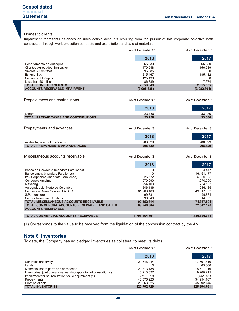# Domestic clients

Impairment represents balances on uncollectible accounts resulting from the pursuit of this corporate objective both contractual through work execution contracts and exploitation and sale of materials.

|                                                                              | As of December 31   | As of December 31  |
|------------------------------------------------------------------------------|---------------------|--------------------|
|                                                                              | 2018                | 2017               |
| Departamento de Antioquia                                                    | 665.930             | 665.930            |
| Clientes Agregados San Javier                                                | 1.470.548           | 1.156.539          |
| Valores y Contratos                                                          | 96.385              | 0                  |
| Estyma S.A.                                                                  | 215.467             | 185.412            |
| Consorcio El Viajano                                                         | 125.130             | 0                  |
| Less than 50 million<br><b>TOTAL DOMESTIC CLIENTS</b>                        | 86.389<br>2.659.849 | 7.674<br>2.015.555 |
| <b>ACCOUNTS RECEIVABLE IMPAIRMENT</b>                                        | (3.998.338)         | (3.982.804)        |
|                                                                              |                     |                    |
| Prepaid taxes and contributions                                              | As of December 31   | As of December 31  |
|                                                                              | 2018                | 2017               |
| Others                                                                       | 23.750              | 33.086             |
| <b>TOTAL PREPAID TAXES AND CONTRIBUTIONS</b>                                 | 23.750              | 33.086             |
|                                                                              |                     |                    |
| Prepayments and advances                                                     | As of December 31   | As of December 31  |
|                                                                              | 2018                | 2017               |
| Avales Ingeniería Inmobiliaria                                               | 208.829             | 208.829            |
| <b>TOTAL PREPAYMENTS AND ADVANCES</b>                                        | 208.829             | 208.829            |
|                                                                              |                     |                    |
| Miscellaneous accounts receivable                                            | As of December 31   | As of December 31  |
|                                                                              | 2018                | 2017               |
| Banco de Occidente (mandato Farallones)                                      | 0                   | 824.447            |
| Bancolombia (mandato Farallones)                                             | 0                   | 16.161.177         |
| Itaú Corpbanca (mandato Farallones)                                          | 3.825.572           | 5.380.335          |
| Consorcio Amaime                                                             | 1.070.090           | 1.070.090          |
| Masering                                                                     | 254.103<br>246.186  | 254.103<br>246.186 |
| Agregados del Norte de Colombia<br>Concesión Cesar Guajira S.A.S. (1)        | 81.260.186          | 49.817.303         |
| S.P. Ingenieros                                                              | 99.831              | 99.831             |
| Condor Investment USA Inc                                                    | 3.596.846           | 514.032            |
| <b>TOTAL MISCELLANEOUS ACCOUNTS RECEIVABLE</b>                               | 90.352.814          | 74.367.504         |
| TOTAL COMMERCIAL ACCOUNTS RECEIVABLE AND OTHER<br><b>ACCOUNTS RECEIVABLE</b> | 89.246.904          | 72.642.170         |
| <b>TOTAL COMMERCIAL ACCOUNTS RECEIVABLE</b>                                  | 1.798.464.591       | 1.330.620.681      |

(1) Corresponds to the value to be received from the liquidation of the concession contract by the ANI.

# **Note 6. Inventories**

To date, the Company has no pledged inventories as collateral to meet its debts.

|                                                                   | As of December 31 | As of December 31 |
|-------------------------------------------------------------------|-------------------|-------------------|
|                                                                   | 2018              | 2017              |
| Contracts underway                                                | 21.546.944        | 17.507.716        |
| Lands                                                             |                   | 65,000            |
| Materials, spare parts and accesories                             | 21.813.188        | 18.717.919        |
| Inventories, joint operations, net (incorporation of consortiums) | 13.213.327        | 9.200.215         |
| Impairment for net realization value adjustment (1)               | (710.879)         | (442.991)         |
| Prepayments                                                       | 40.576.225        | 34.954.187        |
| Promise of sale                                                   | 26.263.925        | 45.292.745        |
| <b>TOTAL INVENTORIES</b>                                          | 122.702.729       | 125.294.791       |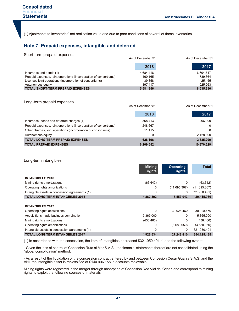(1) Ajustments to inventories' net realization value and due to poor conditions of several of these inventories.

# **Note 7. Prepaid expenses, intangible and deferred**

#### Short-term prepaid expenses

|                                                                   | As of December 31 |           |
|-------------------------------------------------------------------|-------------------|-----------|
|                                                                   | 2018              | 2017      |
| Insurance and bonds (1)                                           | 4.684.416         | 6.694.747 |
| Prepaid expenses, joint operations (incorporation of consortiums) | 460.165           | 789.864   |
| Licenses joint operations (incorporation of consortiums)          | 39.358            | 25.455    |
| Autonomous equity                                                 | 397.417           | 1.025.263 |
| <b>TOTAL SHORT-TERM PREPAID EXPENSES</b>                          | 5.581.356         | 8.535.330 |

| Long-term prepaid expenses                                        | As of December 31 | As of December 31 |  |
|-------------------------------------------------------------------|-------------------|-------------------|--|
|                                                                   | 2018              | 2017              |  |
| Insurance, bonds and deferred charges (1)                         | 368.413           | 206.999           |  |
| Prepaid expenses, joint operations (incorporation of consortiums) | 248.667           | 0                 |  |
| Other charges, joint operations (incorporation of consortiums)    | 11.115            | 0                 |  |
| Autonomous equity                                                 | 0                 | 2.128.300         |  |
| <b>TOTAL LONG-TERM PREPAID EXPENSES</b>                           | 628.196           | 2.335.299         |  |
| <b>TOTAL PREPAID EXPENSES</b>                                     | 6.209.552         | 10.870.629        |  |

#### Long-term intangibles

|                                                | <b>Mining</b><br>rights | <b>Operating</b><br>rights | <b>Total</b>  |
|------------------------------------------------|-------------------------|----------------------------|---------------|
| <b>INTANGIBLES 2018</b>                        |                         |                            |               |
| Mining rights amortizations                    | (63.642)                |                            | (63.642)      |
| Operating rights amortizations                 | 0                       | (11.695.367)               | (11.695.367)  |
| Intangible assets in concession agreements (1) | 0                       | 0                          | (321.950.491) |
| <b>TOTAL LONG TERM INTANGIBLES 2018</b>        | 4.862.892               | 15.553.043                 | 20.415.936    |

| <b>INTANGIBLES 2017</b>                        |           |             |             |
|------------------------------------------------|-----------|-------------|-------------|
| Operating rights acquisitions                  | 0         | 30.928.460  | 30.928.460  |
| Acquisitions made business combination         | 5.365.000 |             | 5.365.000   |
| Mining rights amortizations                    | (438.466) |             | (438.466)   |
| Operating rights amortizations                 | 0         | (3.680.050) | (3.680.050) |
| Intangible assets in concession agreements (1) | 0         |             | 321.950.491 |
| <b>TOTAL LONG TERM INTANGIBLES 2017</b>        | 4.926.534 | 27.248.410  | 354.125.435 |

(1) In accordance with the concession, the item of Intangibles decreased \$321.950.491 due to the following events:

- Given the loss of control of Concesión Ruta al Mar S.A.S., the financial statements thereof are not consolidated using the "global consolidation" method.

- As a result of the liquidation of the concession contract entered by and between Concesión Cesar Guajira S.A.S. and the ANI, the intangible asset is reclassified at \$140.996.158 in accounts recievable.

Mining rights were registered in the merger through absorption of Concesión Red Vial del Cesar, and correspond to mining rights to exploit the following sources of materialsl.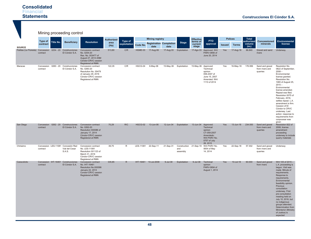|                                                            |          |           | Mining proceeding control                                             |                                                                                                                               |                   |              |           |                        |                                        |                 |                              |                                                                                                            |                |                  |                             |                                                |                                                                                                                                                                                                                                                                                                                                                                                                                        |
|------------------------------------------------------------|----------|-----------|-----------------------------------------------------------------------|-------------------------------------------------------------------------------------------------------------------------------|-------------------|--------------|-----------|------------------------|----------------------------------------|-----------------|------------------------------|------------------------------------------------------------------------------------------------------------|----------------|------------------|-----------------------------|------------------------------------------------|------------------------------------------------------------------------------------------------------------------------------------------------------------------------------------------------------------------------------------------------------------------------------------------------------------------------------------------------------------------------------------------------------------------------|
|                                                            | Type of  |           |                                                                       |                                                                                                                               | <b>Authorized</b> | Type of      |           | <b>Mining registry</b> |                                        |                 | <b>Effective</b><br>terms of | <b>PTO</b>                                                                                                 | <b>Polices</b> |                  | <b>Total</b><br>authorized  | Concessioned                                   | Environmental                                                                                                                                                                                                                                                                                                                                                                                                          |
| <b>SOURCE</b>                                              | contract | Title No. | <b>Beneficiary</b>                                                    | <b>Resolution</b>                                                                                                             | area<br>(Ha)      | exploitation | Code No.  | date                   | <b>Registration Completion</b><br>date | <b>Stage</b>    | current<br>stage             | approval                                                                                                   | <b>Issued</b>  | <b>Terms</b>     | volume<br>(m <sub>s</sub> ) | minerals                                       | license                                                                                                                                                                                                                                                                                                                                                                                                                |
| Pailitas (La Floresta) Concession 0254 - 20 Construcciones | contract |           | El Cóndor S.A.                                                        | Concession contract<br>No. 0254-20<br>Res. No. 003477 of<br>August 27, 2014 ANM<br>Cóndor-CRVC cession<br>Registered at RMN   | 513,80            | C/R          | HGME-03   | 17-Aug-06              | 17-Aug-33                              | Exploitation    |                              | 17-Ago-33 Approved: Writ<br>PARV-0856 of<br>June 20, 2014                                                  | Yes            | 17-Aug-18        | 96.840                      | Gravel and sand<br>rivers                      | Underway.                                                                                                                                                                                                                                                                                                                                                                                                              |
| Maracas                                                    | contract |           | Concession 0260 - 20 Construcciones<br>El Cóndor S.A.                 | Concession contract<br>No. 0260-20<br>Resolution No. 00479<br>of January 29, 2016<br>Cóndor-CRVC cession<br>Registered at RMN | 122,35            | C/R          | HGCG-04   | 6-May-06               | 15-May-36                              | Exploitation    | 15-May-36                    | Approved:<br>Technical<br>opinion<br>058-2007 of<br>June 15, 2007<br>Amended: Writ<br>1110 of 2014         | Yes            | 16-May-18        | 176.956                     | Sand and gravel<br>from rivers and<br>quarries | Resolution No.<br>0822 of September,<br>$2008 -$<br>Environmental<br>license granted.<br>Resolution No.<br>1065 of August 25,<br>$2015 -$<br>Environmental<br>license amended.<br>Repeal was filed.<br>Resolution 0075 of<br>February, 2016,<br>settles repeal. L.A.<br>amendment is firm.<br>Cession of El<br>Cóndor to CRVC<br>underway. Last<br>action: response to<br>requirements from<br>corpocesar was<br>given |
| San Diego                                                  | contract |           | Concession 0262 - 20 Construcciones<br>El Cóndor S.A.                 | Concession contract<br>No. 0262-20<br>Resolution 000086 of<br>January 17, 2014<br>Cóndor-CRVC cession<br>Registered at RMN    | 70,29             | R/C          | HGCG-02   | 13-Jun-06              | 12-Jun-34                              | Exploitation    | 13-Jun-34                    | Approved:<br>Technical<br>opinion<br>CT-059-2007<br>Amendedo:<br>Writ PARV No.<br>0757 of July<br>28, 2015 | Yes            | 13-Jun-18        | 234.000                     | Sand and gravel<br>from rivers and<br>quarries | Resolution 822 of<br>2008, license<br>amendment<br>proceeding<br>underway to include<br>quarry materials                                                                                                                                                                                                                                                                                                               |
| Chiriaimo                                                  | contract |           | Concession LES-11081 Concesión Red<br>Vial del Cesar<br><b>S.A.S.</b> | Concession contract<br>No. LES-11081<br>Resolution 001123 of<br>March 31, 2016<br>Cóndor-CRVC cession<br>Registered at RMN    | 39,75             | $\mathsf{R}$ | LES-11081 | 22-Sep-11              | 21-Sep-31                              | and<br>assembly |                              | Construction 21-Sep-19 Writ PARV No.<br>0654 of May<br>14, 2014                                            | Yes            | 22-Sep-18        | 57.302                      | Sand and gravel<br>from rivers and<br>quarries | Underway                                                                                                                                                                                                                                                                                                                                                                                                               |
| Caracolicito                                               | contract |           | Concession IHT-16461 Construcciones<br>El Cóndor S.A.                 | Concession contract<br>No. IHT-16461<br>Resolution No.000098<br>January 22, 2014<br>Condor-CRVC cession<br>Registered at RMN  | 335.85            | R.           |           | IHT-16461 10-Jul-2008  | 9-Jul-38                               | Exploitation    | $9$ -Jul-38                  | Technical<br>opinion<br>PARV-0694 of<br>August 1, 2014                                                     | <b>Yes</b>     | $10 -$ Jul $-18$ | 60,000                      | Sand and gravel<br>from rivers                 | Writ 105 of 2015 -<br>L.A. proceeding is<br>begun. Visit was<br>made. Minute of<br>requirements.<br>Response to<br>requirements.<br>Environmental<br>feasibility opinion.<br>Previous<br>consultation<br>underway. First<br>pre-consultation<br>meeting held on<br>July 10, 2016, but<br>no indigenous<br>groups attended.<br>Determination from<br>Mininterior (Ministry<br>of Justice) is<br>expected                |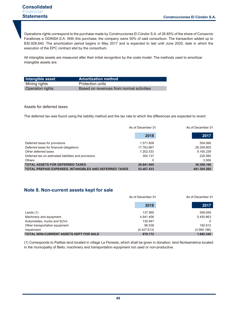Operations rights correspond to the purchase made by Construcciones El Cóndor S.A. of 28.85% of the share of Consorcio Farallones a ODINSA S.A. With this purchase, the company owns 50% of said consortium. The transaction added up to \$30.928.640. The amortization period begins in May 2017 and is expected to last until June 2020, date in which the execution of the EPC contract ebd by the consortium.

All intangible assets are measured after their initial recognition by the costs model. The methods used to amortizar intangible assets are:

| Intangible asset | <b>Amortization method</b>               |
|------------------|------------------------------------------|
| Mining rights    | Protection units                         |
| Operation rights | Based on revenues from normal activities |

#### Assets for deferred taxes

The deferred tax was found using the liability method and the tax rate to which the differences are expected to revert.

|                                                               | As of December 31 | As of December 31 |
|---------------------------------------------------------------|-------------------|-------------------|
|                                                               | 2018              | 2017              |
| Deferred taxes for provisions                                 | 1.571.608         | 554.066           |
| Deferred taxes for financial obligations                      | 17.763.667        | 26.359.805        |
| Other deferred taxes                                          | 7.202.533         | 9.165.239         |
| Deferred tax on estimated liabilities and provisions          | 304.137           | 225.580           |
| <b>Others</b>                                                 |                   | 3.506             |
| <b>TOTAL ASSETS FOR DEFERRED TAXES</b>                        | 26.841.945        | 36.308.196        |
| <b>TOTAL PREPAID EXPENSES, INTANGIBLES AND DEFERRED TAXES</b> | 53.467.433        | 401.304.260       |

# **Note 8. Non-current assets kept for sale**

|                                               | As of December 31 | As of December 31 |
|-----------------------------------------------|-------------------|-------------------|
|                                               | 2018              | 2017              |
| Lands $(1)$                                   | 137.995           | 599.059           |
| Machinery and equipment                       | 4.941.406         | 5.450.863         |
| Automobiles, trucks and SUVs                  | 130.847           |                   |
| Other transportation equipment                | 96.538            | 192.612           |
| Impairment                                    | (4.427.613)       | (4.560.186)       |
| <b>TOTAL NON-CURRENT ASSETS KEPT FOR SALE</b> | 879.172           | 1.682.349         |

(1) Corresponds to Pailitas land located in village La Floresta, which shall be given in donation; land Norteamérica located in the municipality of Bello; machinery and transportation equipment not used or non-productive.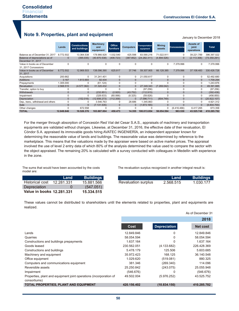# **Note 9. Properties, plant and equipment**

|                                                       | Lands          | <b>Constructions</b><br>and buildings | <b>Machinery</b><br>and<br>equipment | Office<br>furniture | <b>Computers</b> | <b>Transportation</b><br>equipment | <b>Mining</b><br>assets | <b>Concessions</b> | Assets of<br>joint<br>operations | <b>Total</b> |
|-------------------------------------------------------|----------------|---------------------------------------|--------------------------------------|---------------------|------------------|------------------------------------|-------------------------|--------------------|----------------------------------|--------------|
| Balance as of December 31, 2017                       | 8.772.502      | 13.364.538                            | 178.966.928                          | 1.032.540           | 425.598          | 83.590.216                         | 71.022.911              | 0                  | 39.221.789                       | 396.397.022  |
| Balance of depreciations as of<br>December 31, 2017   | $\Omega$       | (395.035)                             | (40.870.538)                         | (406.723)           | (387.852)        | (24.282.311)                       | (4.894.526)             | $\Omega$           | (2.113.306)                      | (73.350.291) |
| Value in books as of December<br>31, 2017 Concessions | 0              | $\Omega$                              | 0                                    | 0                   | 0                | 0                                  | 0                       | 7.379.996          | 0                                | 7.379.996    |
| Value in books as of December<br>31, 2017             | 8.772.502      | 12.969.503                            | 138.096.390                          | 625.817             | 37.746           | 59.307.905                         | 66.128.385              | 7.379.996          | 37.108.483                       | 330.426.728  |
| Acquisitions                                          | 200.662        | $\Omega$                              | 31.241.401                           | 0                   | 0                | 21.050.617                         | $\Omega$                | 0                  | $\Omega$                         | 52.492.680   |
| <b>Additions</b>                                      | 3.167          | 1.613.693                             | 92.434                               | $\overline{0}$      | $\Omega$         | $\Omega$                           | $\Omega$                | $\mathbf{0}$       | $\Omega$                         | 1.709.294    |
| Prepayments                                           | 1.305.000      | 0                                     | (61.124)                             | $\Omega$            | 0                | $\Omega$                           | $\Omega$                | $\Omega$           | 0                                | 1.243.876    |
| Revaluation                                           | 2.568.515      | (4.577.362)                           | 31.320.432                           | $\mathbf{0}$        | $\Omega$         | 27.349.343                         | (7.269.042)             | $\mathbf{0}$       | $\Omega$                         | 49.391.885   |
| Transfer, option to buy                               | 0              | 0                                     | 0                                    | $\Omega$            | 0                | (97.256)                           | 0                       | 0                  | 0                                | (97.256)     |
| Withdrawals                                           | $\mathbf{0}$   | $\mathbf{0}$                          | (232.851)                            | (2.920)             | (43.752)         | (112.915)                          | $\mathbf{0}$            | $\mathbf{0}$       | $\Omega$                         | (392.438)    |
| Impairment                                            | 0              | 0                                     | (328.633)                            | (60.066)            | (8.325)          | (59.826)                           | 0                       | 0                  | 0                                | (456.850)    |
| Depreciation                                          | $\Omega$       | (152.016)                             | (12.656.273)                         | (112.358)           | $\Omega$         | (7.096.711)                        | (804.749)               | $\Omega$           | $\Omega$                         | (20.822.107) |
| Dep., trans., withdrawal and others                   | 0              | 0                                     | 3.546.763                            | 0                   | 28.686           | 1.345.863                          | $\Omega$                | $\Omega$           | 0                                | 4.921.312    |
| Sale                                                  | $\overline{0}$ | $\Omega$                              | (7.131.535)                          | $\mathbf{0}$        | $\mathbf{0}$     | (1.673.165)                        | $\Omega$                | $\Omega$           | $\Omega$                         | (8.804.700)  |
| Other changes                                         | 0              | 672.558                               | 0                                    | O                   | 0                | $\Omega$                           | 0                       | (6.416.466)        | 6.417.265                        | 673.358      |
| <b>TOTAL</b>                                          | 12.849.846     | 10.526.376                            | 183.887.004                          | 450.473             | 14.355           | 100.013.854                        | 58.054.594              | 963.530            | 43.525.748                       | 410.285.782  |

For the merger through absorption of Concesión Red Vial del Cesar S.A.S., appraisals of machinery and transportation equipments are validated without changes. Likewise, at December 31, 2016, the effective date of ther revaluation, El Cóndor S.A. appraised its immovable goods hiring AVATEC INGENIERÌA, an independent appraiser known for determining the reasonable value of lands and buildings. The reasonable value was determined by reference to the marketplace. This means that the valuations made by the appraiser were based on active market prices. The appraisal involved the use of level 2 entry data of which 80% of the analysis determined the value used to compare the sector with the object appraised. The remaining 20% is calculated with a survey conducted with colleagues in Medellin with experience in the zone.

The sums that would have been accounted by the costs model are:

The revaluation surplus recognized in another integral result is:

|                           | Land       | <b>Buildings</b> |
|---------------------------|------------|------------------|
| Historical cost           | 12.281.331 | 15.881.566       |
| Depreciation              | $\Omega$   | (547.051)        |
| Value in books 12,281,331 |            | 15.334.515       |

|                     | Land      | <b>Buildings</b> |
|---------------------|-----------|------------------|
| Revaluation surplus | 2.568.515 | 1.030.177        |

These values cannot be distributed to shareholders until the elements related to properties, plant and equipments are realized.

|                                                                                    |             |                     | 2018            |
|------------------------------------------------------------------------------------|-------------|---------------------|-----------------|
|                                                                                    | Cost        | <b>Depreciation</b> | <b>Net cost</b> |
| Lands                                                                              | 12.849.846  | 0                   | 12.849.846      |
| Quarries                                                                           | 58.054.594  | 0                   | 58.054.594      |
| Constructions and buildings prepayments                                            | 1.637.164   | 0                   | 1.637.164       |
| Goods leased                                                                       | 230.562.051 | (4.133.682)         | 226.428.369     |
| Constructions and buildings                                                        | 5.478.179   | 125.506             | 5.603.685       |
| Machinery and equipment                                                            | 35.972.423  | 168.125             | 36.140.548      |
| Office equipment                                                                   | 1.029.620   | (519.081)           | 880.325         |
| Computers and communications equipment                                             | 381.346     | (269.340)           | 114.096         |
| Reversible assets                                                                  | 25.250.842  | (243.075)           | 25.055.948      |
| Impairment                                                                         | (546.676)   | O                   | (546.676)       |
| Properties, plant and equipment joint operations (incorporation of<br>consortiums) | 49.502.004  | (5.976.252)         | 43.525.752      |
| <b>TOTAL PROPERTIES, PLANT AND EQUIPMENT</b>                                       | 420.156.402 | (10.834.150)        | 410.285.782     |

As of December 31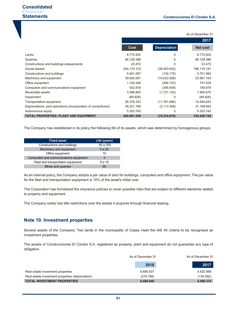|                                                                |             |                     | 2017            |
|----------------------------------------------------------------|-------------|---------------------|-----------------|
|                                                                | Cost        | <b>Depreciation</b> | <b>Net cost</b> |
| Lands                                                          | 8.772.502   | 0                   | 8.772.502       |
| Quarries                                                       | 66.128.386  | 0                   | 66.128.386      |
| Constructions and buildings prepayments                        | 23.472      | 0                   | 23.472          |
| Goods leased                                                   | 204.170.123 | (38.053.932)        | 166.116.191     |
| Constructions and buildings                                    | 5.841.067   | (139.175)           | 5.701.892       |
| Machinery and equipment                                        | 39.620.091  | (15.622.928)        | 23.997.163      |
| Office equipment                                               | 1.154.248   | (406.723)           | 747.525         |
| Computers and communications equipment                         | 552.818     | (395.939)           | 156.879         |
| Reversible assets                                              | 3.586.800   | (1.721.125)         | 1.865.675       |
| Impairment                                                     | (89.826)    | 0                   | (89.826)        |
| Transportation equipment                                       | 26.376.333  | (11.781.690)        | 14.594.643      |
| Depreciations, joint operations (incorporation of consortiums) | 39.221.789  | (2.113.306)         | 37.108.483      |
| Autonomous equity                                              | 5.303.745   | 0                   | 5.303.743       |
| <b>TOTAL PROPERTIES, PLANT AND EQUIPMENT</b>                   | 400.661.548 | (70.234.818)        | 330.426.728     |

As of December 31

The Company has established in its policy the following life of its assets, which was determined by homogenous groups.

| <b>Fixed asset</b>                     | Life (years) |
|----------------------------------------|--------------|
| Constructions and buildings            | 40 a 100     |
| Machinery and equipment                | 5 a 20       |
| Office equipment                       | 10           |
| Computers and communications equipment | 3            |
| Fleet and transportation equipment     | 8 a 15       |
| Mines and quarries                     | 60           |

As an internal policy, the Company adopts a par value of zero for buildings, computers and office equipment. The par value for the fleet and transportation equipment is 10% of the asset's initial cost.

The Corporation has formalized the insurance policies to cover possible risks that are subject to different elements related to property and equipment.

The Company solely has title restrictions over the assets it acquires through financial leasing.

# **Note 10. Investment properties**

Several assets of the Company: Two lands in the municipality of Copey meet the IAS 40 criteria to be recognised as investment properties.

The assets of Construcciones El Cóndor S.A. registered as property, plant and equipment do not guarantee any type of obligation.

|                                                  | As of December 31 | As of December 31 |
|--------------------------------------------------|-------------------|-------------------|
|                                                  | 2018              | 2017              |
| Real estate investment properties                | 6.686.837         | 4.620.966         |
| Real estate investment properties (depreciation) | (278.788)         | (130.592)         |
| <b>TOTAL INVESTMENT PROPERTIES</b>               | 6.408.048         | 4.490.374         |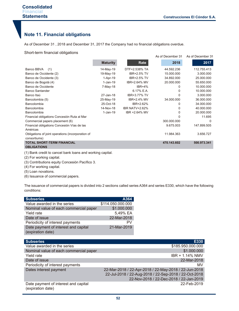# **Note 11. Financial obligations**

As of December 31 , 2018 and December 31, 2017 the Company had no financial obligations overdue.

Short-term financial obligations

| ັ                                                                 |                 |                       | As of December 31 | As of December 31 |
|-------------------------------------------------------------------|-----------------|-----------------------|-------------------|-------------------|
|                                                                   | <b>Maturity</b> | Rate                  | 2018              | 2017              |
| Banco BBVA<br>(1)                                                 | 14-May-19       | DTF+2.538% TA         | 44.592.236        | 112.755.413       |
| Banco de Occidente (2)                                            | 19-May-19       | <b>IBR+2.5% TV</b>    | 15.000.000        | 3.000.000         |
| Banco de Occidente (3)                                            | $1-Apr-19$      | <b>IBR+2.5% TV</b>    | 34.892.000        | 25.000.000        |
| Banco de Bogotá (4)                                               | $1-Jan-19$      | IBR+2.64% MV          | 20.000.000        | 55.650.000        |
| Banco de Occidente                                                | 7-May-18        | <b>IBR+4%</b>         | 0                 | 10.000.000        |
| <b>Banco Santander</b>                                            |                 | 6.17% E.A.            | $\Omega$          | 10.000.000        |
| Banco Itaú                                                        | 27-Jan-18       | IBR+3.77% TV          | O                 | 3.000.000         |
| Bancolombia (5)                                                   | 25-May-19       | IBR+2.4% MV           | 34.000.000        | 36.000.000        |
| Bancolombia                                                       | 25-Oct-18       | IBR+2.62%             | 0                 | 34.000.000        |
| <b>Bancolombia</b>                                                | 14-Nov-18       | <b>IBR NATV+2.62%</b> | $\Omega$          | 40.000.000        |
| Bancolombia                                                       | $1-Jan-19$      | IBR +2.64% MV         | $\Omega$          | 20.000.000        |
| Financial obligations Concesión Ruta al Mar                       |                 |                       | $\Omega$          | 11.695            |
| Commercial papers placement (6)                                   |                 |                       | 300.000.000       | $\Omega$          |
| Financial obligations Concesión Vías de las                       |                 |                       | 9.675.003         | 147.899.505       |
| Américas                                                          |                 |                       |                   |                   |
| Obligations of joint operations (incorporation of<br>consortiums) |                 |                       | 11.984.363        | 3.656.727         |
| <b>TOTAL SHORT-TERM FINANCIAL</b><br><b>OBLIGATIONS</b>           |                 |                       | 470.143.602       | 500.973.341       |
|                                                                   |                 |                       |                   |                   |

(1) Bank credit to cancel bank loans and working capital.

- (2) For working capital.
- (3) Contributions equity Concesión Pacífico 3.
- (4) For working capital.
- (5) Loan novations.
- (6) Issuance of commercial papers.

The issuance of commercial papers is divided into 2 sections called series A364 and series E330, which have the following conditions:

| <b>Subseries</b>                                          | A364              |
|-----------------------------------------------------------|-------------------|
| Value awarded in the series                               | \$114.050.000.000 |
| Nominal value of each commercial paper                    | \$1.000.000       |
| Yield rate                                                | 5,49% EA          |
| Date of issue                                             | 22-Mar-2018       |
| Periodicity of interest payments                          | PV                |
| Date payment of interest and capital<br>(expiration date) | 21-Mar-2019       |

| <b>Subseries</b>                                          | E330                                                  |
|-----------------------------------------------------------|-------------------------------------------------------|
| Value awarded in the series                               | \$185.950.000.000                                     |
| Nominal value of each commercial paper                    | \$1.000.000                                           |
| Yield rate                                                | IBR + 1.14% NMV                                       |
| Date of issue                                             | 22-Mar-2018                                           |
| Periodicity of interest payments                          | MV                                                    |
| Dates interest payment                                    | 22-Mar-2018 / 22-Apr-2018 / 22-May-2018 / 22-Jun-2018 |
|                                                           | 22-Jul-2018 / 22-Aug-2018 / 22-Sep-2018 / 22-Oct-2018 |
|                                                           | 22-Nov-2018 / 22-Dec-2018 / 22-Jan-2019               |
| Date payment of interest and capital<br>(expiration date) | 22-Feb-2019                                           |
|                                                           |                                                       |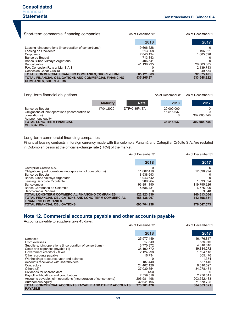As of December 31 As of December 31

| Short-term commercial financing companies                                                   | As of December 31 | As of December 31 |
|---------------------------------------------------------------------------------------------|-------------------|-------------------|
|                                                                                             | 2018              | 2017              |
| Leasing joint operations (incorporation of consortiums)                                     | 19.606.528        |                   |
| Leasing de Occidente                                                                        | 213.268           | 196.921           |
| Corpbanca                                                                                   | 2.043.194         | 1.685.598         |
| Banco de Bogotá                                                                             | 1.713.843         |                   |
| Banco Bilboa Vizcaya Argentaria                                                             | 406.541           |                   |
| Bancolombia                                                                                 | 41.138.295        | 28.603.685        |
| P.A. Concesión Ruta al Mar S.A.S.                                                           |                   | 2.139.743         |
| Concesión Cesar Guajira                                                                     |                   | 49.534            |
| TOTAL COMMERCIAL FINANCING COMPANIES, SHORT-TERM                                            | 65.121.669        | 32.675.481        |
| <b>TOTAL FINANCIAL OBLIGATIONS AND COMMERCIAL FINANCING</b><br><b>COMPANIES, SHORT-TERM</b> | 535.265.271       | 533.648.822       |

### Long-term financial obligations

|                                                                                                           | <b>Maturity</b> | Rate         | 2018                     | 2017        |
|-----------------------------------------------------------------------------------------------------------|-----------------|--------------|--------------------------|-------------|
| Banco de Bogotá<br>Obligations of joint operations (incorporation of<br>consortiums)<br>Autonomous equity | 17/04/2020      | DTF+2.35% TA | 20.000.000<br>15.515.637 | 302.085.748 |
| <b>TOTAL LONG-TERM FINANCIAL</b><br><b>OBLIGATIONS</b>                                                    |                 |              | 35.515.637               | 302.085.748 |

#### Long-term commercial financing companies

Financial leasing contracts in foreign currency made with Bancolombia Panamá and Caterpillar Crédito S.A. Are restated in Colombian pesos at the official exchange rate (TRM) of the market.

|                                                                                    | As of December 31 | As of December 31 |
|------------------------------------------------------------------------------------|-------------------|-------------------|
|                                                                                    | 2018              | 2017              |
| Caterpillar Crédito S.A.                                                           |                   | 6                 |
| Obligations, joint operations (incorporation of consortiums)                       | 11.602.410        | 12.698.994        |
| Banco de Bogotá                                                                    | 8.938.693         |                   |
| Banco Bilboa Vizcaya Argentaria                                                    | 1.943.642         |                   |
| Leasing Banco de Occidente                                                         | 900.964           | 1.033.824         |
| Bancolombia                                                                        | 93.851.190        | 119.795.226       |
| Banco Corpbanca de Colombia                                                        | 5.686.431         | 6.775.906         |
| Bancolombia Panamá                                                                 |                   | 9.048             |
| <b>TOTAL LONG-TERM COMMERCIAL FINANCING COMPANIES</b>                              | 122.923.330       | 140.313.004       |
| TOTAL FINANCIAL OBLIGATIONS AND LONG-TERM COMMERCIAL<br><b>FINANCING COMPANIES</b> | 158.438.967       | 442.398.751       |
| <b>TOTAL FINANCIAL OBLIGATIONS</b>                                                 | 693.704.238       | 976.047.573       |

# **Note 12. Commercial accounts payable and other accounts payable**

| Accounts payable to suppliers take 45 days.                            |                   |                   |
|------------------------------------------------------------------------|-------------------|-------------------|
|                                                                        | As of December 31 | As of December 31 |
|                                                                        | 2018              | 2017              |
| Domestic                                                               | 25.977.449        | 16.476.817        |
| From overseas                                                          | 17.849            | 689.016           |
| Suppliers, joint operations (incorporation of consortiums)             | 3.770.372         | 4.318.610         |
| Costs and expenses payable (1)                                         | 38.192.572        | 39.834.272        |
| Government creditors - taxes                                           | 2.124.298         | 1.194.118         |
| Other accounts payable                                                 | 16.734            | 605.476           |
| Withholdings at source, year-end balance                               |                   | 1.374             |
| Accounts receivable with shareholders                                  | 187.440           | 187.440           |
| Contractors                                                            | 24.402.126        | 9.610.597         |
| Others $(2)$                                                           | 37.030.554        | 34.278.431        |
| Dividends for shareholders                                             | (133)             |                   |
| Payroll withholdings and contributions                                 | 2.559.519         | 2.236.011         |
| Accounts payable, joint operations (incorporation of consortiums)      | 206.981.498       | 203.552.433       |
| Autonomous equity                                                      | 32.641.196        | 71.678.725        |
| TOTAL COMMERCIAL ACCOUNTS PAYABLE AND OTHER ACCOUNTS<br><b>PAYABLE</b> | 373.901.476       | 384.663.321       |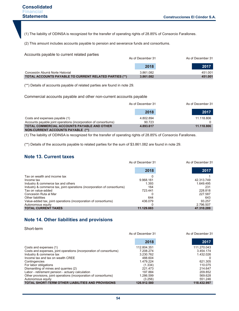(1) The liability of ODINSA is recognized for the transfer of operating rights of 28.85% of Consorcio Farallones.

(2) This amount includes accounts payable to pension and severance funds and consortiums.

Accounts payable to current related parties

|                                                        | As of December 31 |         |
|--------------------------------------------------------|-------------------|---------|
|                                                        | 2018              | 2017    |
| Concesión Aburrá Norte Hatovial                        | 3.861.082         | 451.001 |
| TOTAL ACCOUNTS PAYABLE TO CURRENT RELATED PARTIES (**) | 3.861.082         | 451.001 |

(\*\*) Details of accounts payable of related parties are found in note 29.

Commercial accounts payable and other non-current accounts payable

|                                                                                         | As of December 31 |            |
|-----------------------------------------------------------------------------------------|-------------------|------------|
|                                                                                         | 2018              | 2017       |
| Costs and expenses payable (1)                                                          | 4.802.894         | 11.118.806 |
| Accounts payable joint operations (incorporation of consortiums)                        | 90.723            |            |
| TOTAL COMMERCIAL ACCOUNTS PAYABLE AND OTHER<br><b>NON-CURRENT ACCOUNTS PAYABLE (**)</b> | 4.893.617         | 11.118.806 |

(1) The liability of ODINSA is recognized for the transfer of operating rights of 28.85% of Consorcio Farallones.

(\*\*) Details of the accounts payable to related parties for the sum of \$3.861.082 are found in note 29.

# **Note 13. Current taxes**

|                                                                          | As of December 31 | As of December 31 |
|--------------------------------------------------------------------------|-------------------|-------------------|
|                                                                          | 2018              | 2017              |
| Tax on wealth and income tax                                             |                   |                   |
| Income tax                                                               | 9.968.161         | 42.313.749        |
| Industry & commerce tax and others                                       | 1.393             | 1.649.495         |
| Industry & commerce tax, joint operations (incorporation of consortiums) | 164               | 231               |
| Tax on value-added                                                       | 723.441           | 228.818           |
| Concesión Ruta al Mar                                                    |                   | 227.587           |
| Other liabilities                                                        | 644               | 643               |
| Value-added tax, joint operations (incorporation of consortiums)         | 436.079           | 93.257            |
| Autonomous equity                                                        |                   | 2.796.507         |
| <b>TOTAL CURRENT TAXES</b>                                               | 11.129.883        | 47.310.289        |

# **Note 14. Other liabilities and provisions**

Short-term

|                                                                     | As of December 31 | As of December 31 |
|---------------------------------------------------------------------|-------------------|-------------------|
|                                                                     | 2018              | 2017              |
| Costs and expenses (1)                                              | 112.804.351       | 111.270.043       |
| Costs and expenses, joint operations (incorporation of consortiums) | 7.208.274         | 3.454.174         |
| Industry & commerce tax                                             | 3.230.762         | 1.432.026         |
| Income tax and tax on wealth CREE                                   | 488.604           |                   |
| Contingencies                                                       | 1.479.224         | 621.305           |
| For labor obligations                                               | (1.334)           | 110.075           |
| Dismantling of mines and quarries (2)                               | 221.473           | 214.647           |
| Labor - retirement pension - actuary calculation                    | 197.884           | 209.852           |
| Other provisions, joint operations (incorporation of consortiums)   | 1.286.599         | 569.628           |
| Autonomous equity                                                   | (3.256)           | 551.246           |
| <b>TOTAL SHORT-TERM OTHER LIABILITIES AND PROVISIONS</b>            | 126.912.580       | 118.432.997       |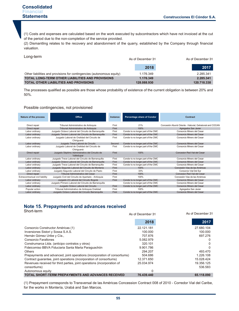(1) Costs and expenses are calculated based on the work executed by subcontractors which have not invoiced at the cut of the period due to the non-completion of the service provided.

(2) Dismantling relates to the recovery and abandonment of the quarry, established by the Company through financial valuation.

Long-term

|                                                                        | As of December 31 | As of December 31 |
|------------------------------------------------------------------------|-------------------|-------------------|
|                                                                        | 2018              | 2017              |
| Other liabilities and provisions for contingencies (autonomous equity) | 1.176.349         | 2.285.341         |
| <b>TOTAL LONG-TERM OTHER LIABILITIES AND PROVISIONS</b>                | 1.176.349         | 2.285.341         |
| <b>TOTAL OTHER LIABILITIES AND PROVISIONS</b>                          | 128.088.930       | 120.718.338       |

The processes qualified as possible are those whose probability of existence of the current obligation is between 20% and 50%.

#### Possible contingencies, not provisioned

| Nature of the process            | Office                                                       | <b>Instance</b> | <b>Percentage share of Condor</b>   | Contract                                                  |
|----------------------------------|--------------------------------------------------------------|-----------------|-------------------------------------|-----------------------------------------------------------|
| Direct repair                    | Tribunal Administrativo de Antioquia                         | First           | 21%                                 | Concesión Aburrá Oriente - Hatovial, Gehatovial and COCAN |
| Direct repair                    | Tribunal Administrativo de Antioquia                         | First           | 100%                                | Agregados San Javier                                      |
| Labor ordinary                   | Juzgado Octavo Laboral del Circuito de Barranquilla          | First           | Condor is no longer part of the CMC | Consorcio Minero del Cesar                                |
| Labor ordinary                   | Juzgado Tercero Laboral del Circuito de Barranquilla         | First           | Condor is no longer part of the CMC | Consorcio Minero del Cesar                                |
| Labor ordinary                   | Juzgado Laboral de Oralidad del Circuito de<br>Chiriguaná    | First           | Condor is no longer part of the CMC | Consorcio Minero del Cesar                                |
| Labor ordinary                   | Juzgado Trece Laboral de Circuito                            | Second          | Condor is no longer part of the CMC | Consorcio Minero del Cesar                                |
| Labor ordinary                   | Juzgado Laboral de Oralidad del Circuito de<br>Chiriguaná    | First           | Condor is no longer part of the CMC | Consorcio Minero del Cesar                                |
| Direct repair                    | Juzgado Séptimo Administrativo del Circuito de<br>Valledupar | First           | 100%                                | Concesion Red Vial del Cesar                              |
| Labor ordinary                   | Juzgado Trece Laboral del Circuito de Barranquilla           | First           | Condor is no longer part of the CMC | Consorcio Minero del Cesar                                |
| Labor ordinary                   | Juzgado Octavo Laboral del Circuito de Barranguilla          | First           | Condor is no longer part of the CMC | Consorcio Minero del Cesar                                |
| Labor ordinary                   | Juzgado Trece Laboral del Circuito de Barranquilla           | First           | Condor is no longer part of the CMC | Consorcio Minero del Cesar                                |
| Labor ordinary                   | Juzgado Segundo Laboral del Circuito de Montería             | First           | 100%                                | Concesión Vias de las Américas                            |
| Labor ordinary                   | Juzgado Segundo Laboral del Circuito de Pasto                | First           | 33%                                 | Consorcio Vial Del Sur                                    |
| Direct repair                    | Tribunal Administrativo del Cesar                            | First           | 100%                                | Concesion Red Vial del Cesar                              |
| Extracontractual civil liability | Juzgado Civil del Circuito de Apartado - Antioquia           | First           | 100%                                | Concesión Vias de las Américas                            |
| Labor ordinary                   | Juzgado 23 Laboral del Circuito Bogotá                       | First           | Condor is no longer part of the CMC | Consorcio Minero del Cesar                                |
| Labor ordinary                   | Juzgado Primero Laboral del Circuito de Barranquilla         |                 | Condor is no longer part of the CMC | Consorcio Minero del Cesar                                |
| Labor ordinary                   | Juzgado Octavo Laboral del Circuito                          | First           | Condor is no longer part of the CMC | Consorcio Minero del Cesar                                |
| Popular action                   | Tribunal Administrativo de Antioquia Oralidad                | First           | 100%                                | Agregados San Javier                                      |
| Labor ordinary                   | Juzgado Octavo Laboral del Circuito Barranguilla             | First           | Condor is no longer part of the CMC | Consorcio Minero del Cesar                                |

# **Note 15. Prepayments and advances received**

Short-term

| <b>JUUL-LEITH</b>                                                         | As of December 31 | As of December 31 |
|---------------------------------------------------------------------------|-------------------|-------------------|
|                                                                           | 2018              | 2017              |
| Consorcio Constructor Américas (1)                                        | 22.121.181        | 27.680.104        |
| Inversiones Sistori y Sossa S.A.S.                                        | 100.000           | 100.000           |
| Hernán Gómez Uribe y Cía.,                                                | 707.876           | 697.276           |
| Consorcio Farallones                                                      | 5.082.979         | $\Omega$          |
| Construmarca Ltda. (anticipo contratos y otros)                           | 320.101           | 0                 |
| Fideicomiso BBVA Fiduciaria Santa Marta Paraguachón                       | 9.901.786         |                   |
| Others                                                                    | 294.207           | 493.470           |
| Prepayments and advanced, joint operations (incorporation of consortiums) | 504.686           | 1.226.108         |
| Contract guarantee, joint operations (incorporation of consortiums)       | 12.371.650        | 15.028.424        |
| Revenues received for third parties, joint operations (incorporation of   | 25.034.974        | 19.356.125        |
| consortiums)                                                              |                   | 536.583           |
| Autonomous equity                                                         | ∩                 |                   |
| <b>TOTAL SHORT-TERM PREPAYMENTS AND ADVANCES RECEIVED</b>                 | 76.439.440        | 65.118.090        |

(1) Prepayment corresponds to Transversal de las Américas Concession Contract 008 of 2010 - Corredor Vial del Caribe, for the works in Montería, Urabá and San Marcos.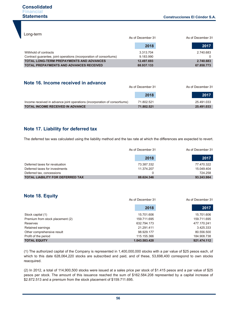Long-term

|                                                                     | As of December 31 |            |
|---------------------------------------------------------------------|-------------------|------------|
|                                                                     | 2018              | 2017       |
| Withhold of contracts                                               | 3.313.704         | 2.740.683  |
| Contract quarantee, joint operations (incorporation of consortiums) | 9.183.990         |            |
| <b>TOTAL LONG-TERM PREPAYMENTS AND ADVANCES</b>                     | 12.497.693        | 2.740.683  |
| <b>TOTAL PREPAYMENTS AND ADVANCES RECEIVED</b>                      | 88.937.133        | 67.858.773 |

# **Note 16. Income received in advance**

|                                                                            | As of December 31 |            |
|----------------------------------------------------------------------------|-------------------|------------|
|                                                                            | 2018              | 2017       |
| Income received in advance joint operations (incorporation of consortiums) | 71.802.521        | 25.491.033 |
| <b>TOTAL INCOME RECEIVED IN ADVANCE</b>                                    | 71.802.521        | 25.491.033 |

# **Note 17. Liability for deferred tax**

The deferred tax was calculated using the liability method and the tax rate at which the differences are expected to revert.

|                                         | As of December 31 | As of December 31 |
|-----------------------------------------|-------------------|-------------------|
|                                         | 2018              | 2017              |
| Deferred taxes for revaluation          | 73.387.332        | 77.470.322        |
| Deferred taxes for investments          | 11.374.207        | 15.049.404        |
| Deferred tax, concessions               |                   | 724.258           |
| <b>TOTAL LIABILITY FOR DEFERRED TAX</b> | 88.624.346        | 93.243.984        |

# **Note 18. Equity**

|                                  | As of December 31 | As of December 31 |
|----------------------------------|-------------------|-------------------|
|                                  | 2018              | 2017              |
| Stock capital (1)                | 15.701.606        | 15.701.606        |
| Premium from stock placement (2) | 159.711.695       | 159.711.695       |
| Reserves                         | 632.794.173       | 477.170.241       |
| Retained earnings                | 21.291.411        | 3.425.333         |
| Other comprehensive result       | 98.929.177        | 80.556.500        |
| Profit of the period             | 115.155.366       | 184.908.738       |
| <b>TOTAL EQUITY</b>              | 1.043.583.428     | 921.474.112       |

(1) The authorized capital of the Company is represented in 1,400,000,000 stocks with a par value of \$25 pesos each, of which to this date 628,064,220 stocks are subscribed and paid, and of these, 53,698,400 correspond to own stocks reacquired.

(2) In 2012, a total of 114,900,500 stocks were issued at a sales price per stock of \$1.415 pesos and a par value of \$25 pesos per stock. The amount of this issuance reached the sum of \$162.584.208 represented by a capital increase of \$2.872.513 and a premium from the stock placement of \$159.711.695.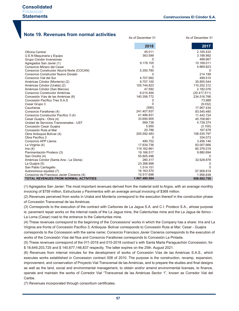As of December 31 As of December 31

# **Note 19. Revenues from normal activities**

|                                              | 2018          | 2017         |
|----------------------------------------------|---------------|--------------|
| Oficina Central                              | 45.011        | 2.165.432    |
| U.E.N Maguinaria y Equipo                    | 363.599       | 3.188.992    |
| Grupo Cóndor Inversiones                     | $\Omega$      | 488.667      |
| Agregados San Javier (1)                     | 9.178.105     | 10.169.011   |
| Consorcio Minero del Cesar                   | 0             | 4.869.823    |
| Consorcio Constructor Aburrá Norte (COCAN)   | 5.350.780     | $\Omega$     |
| Consorcio Constructor Nuevo Dorado           | 0             | 214.199      |
| Consorcio Vial del Sur                       | 4.707.992     | 499.510      |
| Américas Cóndor (Montería) (2)               | 8.757.100     | 30.855.544   |
| Américas Cóndor (Urabá) (2)                  | 105.744.823   | 110.252.312  |
| Américas Cóndor (San Marcos)                 | 47.592        | 2.182.076    |
| Consorcio Constructor Américas               | 6.015.494     | (20.417.511) |
| Concesión Vías de las Américas (6)           | 140.356.772   | 234.516.766  |
| Concesión Pacífico Tres S.A.S                | 0             | 73.988       |
| Cesar Grupo 3                                | $\Omega$      | (9.032)      |
| Caucheras                                    | (590)         | 17.957.434   |
| Consorcio Farallones (4)                     | 241.407.937   | 83.545.480   |
| Consorcio Constructor Pacífico 3 (4)         | 41.486.831    | 11.442.724   |
| Cesar Guajira - Obra (4)                     | 33.694.905    | 45.708.661   |
| Unidad de Servicios Transversales - UST      | 569.738       | 4.739.374    |
| Concesión Cesar Guajira                      | 5.950         | (3.100)      |
| Concesión Ruta al Mar                        | 20.786        | 167.678      |
| Obra Antioquia Bolívar (4)                   | 205.592.483   | 106.535.797  |
| Obra Pacífico 2                              | 0             | 334.073      |
| Consorcio APP Llanos                         | 490.752       | 3.456.146    |
| La Virginia (4)                              | 17.634.736    | 83.007.666   |
| Irra $(4)$                                   | 119.162.961   | 60.376.019   |
| Pavimentación Prodeco (3)                    | 19.166.517    | 9.880.694    |
| San Onofre (4)                               | 55.805.496    | 0            |
| Américas Cóndor (Santa Ana - La Gloria)      | 280.317       | 32.628.878   |
| La Guajira (5)                               | 23.398.998    | 0            |
| San Pablo Cantagallo                         | 1.514.151     | 0            |
| Autonomous equities (7)                      | 16.163.570    | 57.908.819   |
| Consorcio de Francisco Javier Cisneros (4)   | 10.517.698    | 1.956.638    |
| <b>TOTAL REVENUES FROM NORMAL ACTIVITIES</b> | 1.067.480.504 | 898.692.758  |

(1) Agregados San Javier: The most important revenues derived from the material sold to Argos, with an average monthly invoicing of \$759 million, Estructuras y Pavimentos with an average annual invoicing of \$368 million.

(2) Revenues perceived from works in Urabá and Montería correspond to the execution thereof in the construction phase of Concesión Transversal de las Américas.

(3) Corresponds to the execution of the contract with Carbones de La Jagua S.A. and C.I. Prodeco S.A., whose purpose is: pavement repair works on the internal roads of the La Jagua mine, the Calenturitas mine and the La Jagua de Ibirico -

La Loma (Cesar) road to the entrance to the Calenturitas mine.

(4) These revenues correspond to the beginning of the Concessions' works in which the Company has a share: Irra and La Virginia are fronts of Concesión Pacífico 3; Antioquia- Bolívar corresponds to Concesión Ruta al Mar; Cesar - Guajira

corresponds to the Concession with the same name; Consorcio Francisco Javier Cisneros corresponds to the execution of works of the Concesión Vías del Nus and Consorcio Farallones corresponds to Concesión La Pintada.

(5) These revenues correspond of the 011-2018 and 015-2018 contract´s with Santa Marta Paraguachón Concession, for \$ 18,649,203,725 and \$ 140,677,146,837 respectly. The latter expires on the 25th. August 2021.

(6) Revenues from internal minutes for the development of works of Concesión Vías de las Américas S.A.S., which executes works established in Concession contract 008 of 2010. The purpose is the construction, revamp, expansion, improvement, and conservation of Proyecto Vial Transversal de las Américas, and to prepare the studies and final designs as well as the land, social and environmental management, to obtain and/or amend environmental licenses, to finance, operate and maintain the works of Corredor Vial "Transversal de las Américas Sector 1", known as Corredor Vial del Caribe.

(7) Revenues incorporated through consortium certificates.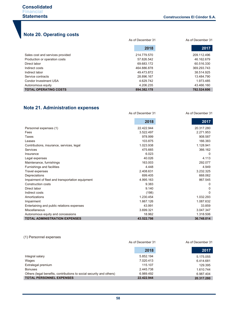# **Note 20. Operating costs**

|                                  | As of December 31 | As of December 31 |
|----------------------------------|-------------------|-------------------|
|                                  | 2018              | 2017              |
| Sales cost and services provided | 214.779.570       | 209.112.496       |
| Production or operation costs    | 57.826.542        | 46.162.679        |
| Direct labor                     | 69.683.172        | 60.516.330        |
| Indirect costs                   | 464.886.878       | 369.293.743       |
| Indirect labor                   | 49.473.872        | 38.514.925        |
| Service contracts                | 28.896.167        | 13.484.790        |
| Condor Investment USA            | 4.629.742         | 1.973.485         |
| Autonomous equity                | 4.206.235         | 43.466.160        |
| <b>TOTAL OPERATING COSTS</b>     | 894.382.178       | 782.524.606       |

# **Note 21. Administration expenses**

|                                                  | As of December 31 | As of December 31 |
|--------------------------------------------------|-------------------|-------------------|
|                                                  | 2018              | 2017              |
| Personnel expenses (1)                           | 22.422.944        | 20.317.280        |
| Fees                                             | 3.522.497         | 2.271.953         |
| Taxes                                            | 978.999           | 908.587           |
| Leases                                           | 103.875           | 166.383           |
| Contributions, insurance, services, legal        | 1.023.938         | 1.128.941         |
| Services                                         | 475.665           | 366.162           |
| Insurance                                        | 6.023             | 0                 |
| Legal expenses                                   | 40.026            | 4.113             |
| Maintenance, furnishings                         | 163.003           | 292.077           |
| Furnishings and facilities                       | 4.448             | 4.949             |
| Travel expenses                                  | 2.408.631         | 3.232.325         |
| Depreciations                                    | 699.405           | 668.062           |
| Impairment of fleet and transportation equipment | 4.995.163         | 867.545           |
| Construction costs                               | 9.383             | 0                 |
| Direct labor                                     | 9.140             | O                 |
| Indirect costs                                   | (198)             | $\Omega$          |
| Amortizations                                    | 1.230.454         | 1.032.293         |
| Impairment                                       | 1.667.126         | 1.087.632         |
| Entertaining and public relations expenses       | 43.991            | 33.859            |
| Miscellaneous                                    | 3.699.321         | 3.047.347         |
| Autonomous equity and concessions                | 18.962            | 1.318.506         |
| <b>TOTAL ADMINISTRATION EXPENSES</b>             | 43.522.798        | 36.748.014        |

### (1) Personnel expenses

|                                                                      | As of December 31 | As of December 31 |
|----------------------------------------------------------------------|-------------------|-------------------|
|                                                                      | 2018              | 2017              |
| Integral salary                                                      | 5.852.194         | 5.175.055         |
| Wages                                                                | 7.020.413         | 6.414.681         |
| Extralegal premium                                                   | 115.107           | 129.395           |
| <b>Bonuses</b>                                                       | 2.445.738         | 1.610.744         |
| Others (legal benefits, contributions to social security and others) | 6.989.492         | 6.987.404         |
| <b>TOTAL PERSONNEL EXPENSES</b>                                      | 22.422.944        | 20.317.280        |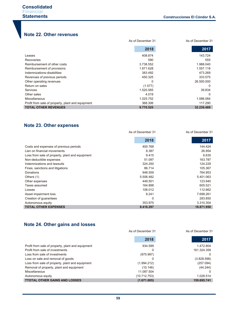# **Note 22. Other revenues**

|                                                   | As of December 31 | As of December 31 |
|---------------------------------------------------|-------------------|-------------------|
|                                                   | 2018              | 2017              |
| Leases                                            | 408.874           | 143.724           |
| <b>Recoveries</b>                                 | 590               | 555               |
| Reimbursement of other costs                      | 3.738.552         | 1.988.040         |
| Reimbursement of provisions                       | 1.871.628         | 1.557.118         |
| Indemnizations-disabilities                       | 383.492           | 473.269           |
| Revenues of previous periods                      | 450.325           | 333.575           |
| Other operating revenues                          | 0                 | 26.500.000        |
| Return on sales                                   | (1.577)           | $\Omega$          |
| Services                                          | 1.520.565         | 39.834            |
| Other sales                                       | 4.019             | $\Omega$          |
| <b>Miscellaneous</b>                              | 1.025.752         | 1.086.084         |
| Profit from sale of property, plant and equipment | 368.306           | 117.290           |
| <b>TOTAL OTHER REVENUES</b>                       | 9.770.525         | 32.239.489        |

# **Note 23. Other expenses**

|                                                 | As of December 31 | As of December 31 |
|-------------------------------------------------|-------------------|-------------------|
|                                                 | 2018              | 2017              |
| Costs and expenses of previous periods          | 400.768           | 144.424           |
| Lien on financial movements                     | 8.387             | 26.954            |
| Loss from sale of property, plant and equipment | 9.415             | 6.635             |
| Non-deductible expenses                         | 51.097            | 163.787           |
| Indemnizations and lawsuits                     | 324.250           | 124.229           |
| Fines, sanctions and litigations                | 86.714            | 105.367           |
| Donations                                       | 948.559           | 764.953           |
| Others (1)                                      | 5.506.482         | 5.401.063         |
| Other expenses                                  | 449.501           | 123.940           |
| Taxes assumed                                   | 164.898           | 605.521           |
| Losses                                          | 106.012           | 112.662           |
| Asset impairment loss                           | 8.241             | 7.698.261         |
| Creation of guarantees                          | 0                 | 283.850           |
| Autonomous equity                               | 353.975           | 3.310.304         |
| <b>TOTAL OTHER EXPENSES</b>                     | 8.418.297         | 18.871.950        |

# **Note 24. Other gains and losses**

|                                                   | As of December 31 | As of December 31 |
|---------------------------------------------------|-------------------|-------------------|
|                                                   | 2018              | 2017              |
| Profit from sale of property, plant and equipment | 934.599           | 1.472.804         |
| Profit from sale of investments                   | 0                 | 161.324.359       |
| Loss from sale of investments                     | (975.997)         | $\Omega$          |
| Loss on sale and removal of goods                 | ი                 | (3.828.598)       |
| Loss from sale of property, plant and equipment   | (1.994.212)       | (257.094)         |
| Removal of property, plant and equipment          | (10.146)          | (44.244)          |
| Miscellaneous                                     | 11.087.504        | $\Omega$          |
| Autonomous equity                                 | (10.712.753)      | 1.028.514         |
| <b>TTOTAL OTHER GAINS AND LOSSES</b>              | (1.671.005)       | 159.695.741       |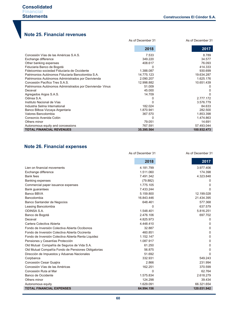# **Note 25. Financial revenues**

|                                                          | As of December 31 | As of December 31 |
|----------------------------------------------------------|-------------------|-------------------|
|                                                          |                   |                   |
|                                                          | 2018              | 2017              |
| Concesión Vías de las Américas S.A.S.                    | 7.533             | 8.789             |
| Exchange difference                                      | 349.220           | 34.577            |
| Other banking expenses                                   | 408.617           | 76.093            |
| Fiduciaria Banco de Bogotá                               | 0                 | 414.333           |
| Fideicomiso sociedad Fiduciaria de Occidente             | 1.388.087         | 930.699           |
| Patrimonios Autónomos Fiduciaria Bancolombia S.A.        | 14.775.123        | 19.634.287        |
| Patrimonios Autónomos Administrados por Davivienda       | 2.090.207         | 1.625.176         |
| Concesión Pacífico Tres S.A.S.                           | 12.998.882        | 10.651.439        |
| Patrimonios Autónomos Administrados por Davivienda-Vinus | 51.009            |                   |
| Deceval                                                  | 45.000            |                   |
| Agregados Argos S.A.S.                                   | 14.709            |                   |
| Odinsa S.A.                                              |                   | 2.777.172         |
| Instituto Nacional de Vías                               |                   | 3.576.779         |
| Industria Selma International                            | 182.024           | 84.633            |
| Banco Bilboa Vizcaya Argentaria                          | 1.870.941         | 282.500           |
| Valores Bancolombia                                      | 367.570           | 1.853.398         |
| Consorcio Avenida Colón                                  | ი                 | 1.474.863         |
| Others minor                                             | 79.051            | 14.691            |
| Autonomous equity and concessions                        | 767.591           | 57.493.044        |
| <b>TOTAL FINANCIAL REVENUES</b>                          | 35.395.564        | 100.932.473       |

# **Note 26. Financial expenses**

|                                                     | As of December 31 | As of December 31 |
|-----------------------------------------------------|-------------------|-------------------|
|                                                     | 2018              | 2017              |
| Lien on financial movements                         | 4.181.799         | 3.977.406         |
| Exchange difference                                 | 1.511.060         | 174.398           |
| <b>Bank fees</b>                                    | 7.491.342         | 4.323.848         |
| <b>Banking expenses</b>                             | (79.882)          | 0                 |
| Commercial paper issuance expenses                  | 1.775.105         | $\Omega$          |
| <b>Bank guarantees</b>                              | 7.433.244         | $\Omega$          |
| Banco BBVA                                          | 5.159.800         | 12.199.028        |
| Bancolombia                                         | 16.843.446        | 21.434.395        |
| Banco Santander de Negocios                         | 648.461           | 577.368           |
| Leasing Bancolombia                                 | 0                 | 637.579           |
| <b>ODINSA S.A.</b>                                  | 1.548.401         | 5.816.251         |
| Banco de Bogotá                                     | 2.476.106         | 697.702           |
| Deceval                                             | 4.825.973         | 0                 |
| Cartera Colectiva Abierta                           | 4.448.410         | 0                 |
| Fondo de Inversión Colectiva Abierta Occibonos      | 32.887            | 0                 |
| Fondo de Inversión Colectiva Abierta Occirenta      | 460.851           | 0                 |
| Fondo de Inversión Colectiva Abierta Renta Liquidez | 1.152.147         | 0                 |
| Pensiones y Cesantías Protección                    | 1.087.917         | 0                 |
| Old Mutual Compañía de Seguros de Vida S.A.         | 61.250            | 0                 |
| Old Mutual Compañía Fondo de Pensiones Obligatorias | 56.875            | $\Omega$          |
| Dirección de Impuestos y Aduanas Nacionales         | 51.692            | ∩                 |
| Corpbanca                                           | 332.931           | 549.243           |
| Concesión Cesar Guajira                             | 2.866             | 231.994           |
| Concesión Vías de las Américas                      | 162.251           | 370.599           |
| Concesión Ruta al Mar                               | 0                 | 62.764            |
| Banco de Occidente                                  | 1.575.834         | 2.618.279         |
| Others minor                                        | 124.298           | 39.434            |
| Autonomous equity                                   | 1.629.091         | 66.321.654        |
| <b>TOTAL FINANCIAL EXPENSES</b>                     | 64.994.156        | 120.031.942       |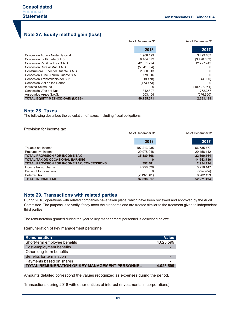# **Note 27. Equity method gain (loss)**

|                                        | As of December 31 |              |
|----------------------------------------|-------------------|--------------|
|                                        | 2018              | 2017         |
| Concesión Aburrá Norte Hatovial        | 1.968.199         | 3.499.863    |
| Concesión La Pintada S.A.S.            | 8.464.372         | (3.498.633)  |
| Concesión Pacífico Tres S.A.S.         | 42.051.274        | 12.727.443   |
| Concesión Ruta al Mar S.A.S.           | (5.041.304)       | 0            |
| Constructora Túnel del Oriente S.A.S.  | 2.500.613         | 0            |
| Concesión Túnel Aburrá Oriente S.A.    | 179.016           | 0            |
| Concesión Transmilenio del Sur         | (9.478)           | (4.990)      |
| Concesión Vial de los Llanos           | (173.473)         |              |
| Industria Selma Inc                    |                   | (10.527.951) |
| Concesión Vías del Nus                 | 312.897           | 762.357      |
| Agregados Argos S.A.S.                 | 503.454           | (576.960)    |
| <b>TOTAL EQUITY METHOD GAIN (LOSS)</b> | 50.755.571        | 2.381.129    |

# **Note 28. Taxes**

The following describes the calculation of taxes, including fiscal obligations.

Provision for income tax

|                                                    | As of December 31 | As of December 31 |
|----------------------------------------------------|-------------------|-------------------|
|                                                    | 2018              | 2017              |
| Taxable net income                                 | 107.213.235       | 66.735.777        |
| Presumptive income                                 | 29.978.948        | 20.458.112        |
| <b>TOTAL PROVISION FOR INCOME TAX</b>              | 35.380.368        | 22.690.164        |
| <b>TOTAL TAX ON OCCASIONAL EARNING</b>             |                   | 14.643.780        |
| <b>TOTAL PROVISION FOR INCOME TAX, CONCESSIONS</b> | 392.481           | 2.954.194         |
| Income tax surcharge                               | 4.256.529         | 3.956.147         |
| Discount for donations                             |                   | (254.984)         |
| Deferred tax                                       | (2.192.561)       | 8.282.193         |
| <b>TOTAL INCOME TAX</b>                            | 37.836.817        | 52.271.494        |

# **Note 29. Transactions with related parties**

During 2018, operations with related companies have taken place, which have been reviewed and approved by the Audit Committee. The purpose is to verify if they meet the standards and are treated similar to the treatment given to independent third parties.

The remuneration granted during the year to key management personnel is described below:

Remuneration of key management personnel

| <b>Remuneration</b>                            | <b>Value</b> |
|------------------------------------------------|--------------|
| Short-term employee benefits                   | 4.025.599    |
| Post-employment benefits                       |              |
| Other long-term benefits                       |              |
| Benefits for termination                       |              |
| Payments based on shares                       |              |
| TOTAL REMUNERATION OF KEY MANAGEMENT PERSONNEL | 4.025.599    |

Amounts detailed correspond the values recognized as expenses during the period.

Transactions during 2018 with other entities of interest (investments in corporations).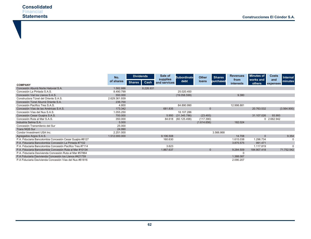|                                                           | No.           | <b>Dividends</b> | Sale of                  | <b>Subordinate</b> | <b>Other</b>   | <b>Shares</b> | <b>Revenues</b>  | <b>Minutes of</b> | <b>Costs</b> | <b>Internal</b> |
|-----------------------------------------------------------|---------------|------------------|--------------------------|--------------------|----------------|---------------|------------------|-------------------|--------------|-----------------|
|                                                           | of shares     | Shares  <br>Cash | supplies<br>and services | debt               | loans          | purchased     | from             | works and         | and          | minutes         |
| <b>COMPANY</b>                                            |               |                  |                          |                    |                |               | <i>interests</i> | others            | expenses     |                 |
| Concesión Aburrá Norte Hatovial S.A.                      | 1.582.886     | 8.226.931        |                          |                    |                |               |                  |                   |              |                 |
| Concesión La Pintada S.A.S.                               | 8.490.799     |                  |                          | 25.020.450         |                |               |                  |                   |              |                 |
| Concesión Vial los Llanos S.A.S.                          | 550,000       |                  |                          | (19.058.599)       |                |               | 9.380            |                   |              |                 |
| Constructora Túnel del Oriente S.A.S.                     | 2.629.361.939 |                  |                          |                    |                |               |                  |                   |              |                 |
| Concesión Túnel Aburrá Oriente S.A.                       | 236.700       |                  |                          |                    |                |               |                  |                   |              |                 |
| Concesión Pacífico Tres S.A.S.                            | 4.800         |                  |                          | 84.890.990         |                |               | 12.998.881       |                   |              |                 |
| Concesión Vías de las Américas S.A.S.                     | 173.342       |                  | 681.835                  |                    | $\mathbf{0}$   |               |                  | 20.763.532        |              | (3.564.900)     |
| Concesión Vías del Nus S.A.S.                             | 1.055.250     |                  |                          | 18.107.286         |                |               |                  |                   |              |                 |
| Concesión Cesar Guajira S.A.S.                            | 700.000       |                  | 5.950                    | (31.345.786)       | (23.493)       |               |                  | 31.107.026        | 93.993       |                 |
| Concesión Ruta al Mar S.A.S.                              | 350.000       |                  | 84.618                   | (60.125.498)       | (117.390)      |               |                  |                   | 0 2.662.942  |                 |
| Industria Selma S.A.                                      | 5.000         |                  |                          |                    | (1.614.656)    |               | 182.024          |                   |              |                 |
| Concesión Transmilenio del Sur                            | 25.000        |                  |                          |                    |                |               |                  |                   |              |                 |
| <b>Trans NQS Sur</b>                                      | 24.990        |                  |                          |                    |                |               |                  |                   |              |                 |
| Condor Investment USA Inc.                                | 2.251.000     |                  |                          |                    |                | 3.566.868     |                  |                   |              |                 |
| Agregados Argos S.A.S.                                    | 1.512.000.000 |                  | 9.106.508                |                    |                |               | 14.708           |                   |              | 9.354           |
| P.A. Fiduciaria Bancolombia Concesión Cesar Guajira #8127 |               |                  | 160.630                  |                    |                |               | 1.615.038        | 1.296.734         |              |                 |
| P.A. Fiduciaria Bancolombia Concesión La Pintada #7102    |               |                  |                          |                    |                |               | 3.875.575        | 991.471           |              |                 |
| P.A. Fiduciaria Bancolombia Concesión Pacífico Tres #7114 |               |                  | 3.623                    |                    |                |               |                  | 1.117.819         |              | $\Omega$        |
| P.A. Fiduciaria Bancolombia Concesión Ruta al Mar #10134  |               |                  | 1.867.637                |                    | $\overline{0}$ |               | 9.284.509        | 184.907.418       |              | 71.752.542      |
| P.A. Fiduciaria Davivienda Concesión Ruta al Mar #57864   |               |                  |                          |                    |                |               |                  |                   |              |                 |
| P.A Fiduciaria Davivienda Concesión los Llanos #421759    |               |                  |                          |                    |                |               | 1.388.087        |                   |              |                 |
| P.A Fiduciaria Davivienda Concesión Vías del Nus #61816   |               |                  |                          |                    |                |               | 2.090.207        |                   |              |                 |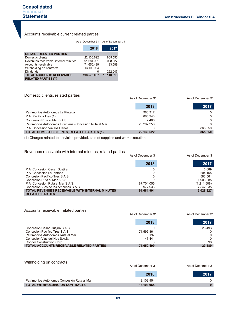# Accounts receivable current related parties

|                                                           | As of December 31 As of December 31 |            |  |
|-----------------------------------------------------------|-------------------------------------|------------|--|
|                                                           | 2018                                | 2017       |  |
| <b>DETAIL - RELATED PARTIES</b>                           |                                     |            |  |
| Domestic clients                                          | 22.136.622                          | 865.550    |  |
| Revenues receivable, internal minutes                     | 91.681.991                          | 9.028.827  |  |
| Accounts receivable                                       | 71.650.499                          | 23.589     |  |
| Withholding on contracts                                  | 13.103.954                          |            |  |
| <b>Dividends</b>                                          | 0                                   | 222.047    |  |
| TOTAL ACCOUNTS RECEIVABLE,<br><b>RELATED PARTIES (**)</b> | 198,573,067                         | 10.140.013 |  |

# Domestic clients, related parties

|                                                          | As of December 31 | As of December 31 |  |
|----------------------------------------------------------|-------------------|-------------------|--|
|                                                          | 2018              | 2017              |  |
| Patrimonios Autónomos La Pintada                         | 980.317           |                   |  |
| P.A. Pacífico Tres (1)                                   | 885.943           | 0                 |  |
| Concesión Ruta al Mar S.A.S.                             | 7.406             |                   |  |
| Patrimonios Autónomos Fiduciaria (Concesión Ruta al Mar) | 20.262.956        |                   |  |
| P.A. Concesión Vial los Llanos                           |                   | 865.550           |  |
| <b>TOTAL DOMESTIC CLIENTS, RELATED PARTIES (1)</b>       | 22.136.622        | 865.550           |  |

(1) Charges related to servicies provided, sale of supplies and work execution.

# Revenues receivable with internal minutes, related parties

|                                                                                  | As of December 31 | As of December 31 |
|----------------------------------------------------------------------------------|-------------------|-------------------|
|                                                                                  | 2018              | 2017              |
| P.A. Concesión Cesar Guajira                                                     |                   | 6.689             |
| P.A. Concesión La Pintada                                                        |                   | 204.165           |
| Concesión Pacífico Tres S.A.S.                                                   |                   | 583.561           |
| Concesión Ruta al Mar S.A.S.                                                     |                   | 1.903.085         |
| P.A. Concesión Ruta al Mar S.A.S.                                                | 87.704.055        | (1.211.508)       |
| Concesión Vías de las Américas S.A.S.                                            | 3.977.936         | 7.542.835         |
| <b>TOTAL REVENUES RECEIVABLE WITH INTERNAL MINUTES</b><br><b>RELATED PARTIES</b> | 91.681.991        | 9.028.827         |

#### Accounts receivable, related parties

|                                                  | As of December 31 | As of December 31 |  |
|--------------------------------------------------|-------------------|-------------------|--|
|                                                  | 2018              | 2017              |  |
| Concesión Cesar Guajira S.A.S.                   |                   | 23.493            |  |
| Concesión Pacifico Tres S.A.S.                   | 71.596.861        |                   |  |
| Patrimonios Autónomos Ruta al Mar                | 6.197             |                   |  |
| Concesión Vias del Nus S.A.S.                    | 47.441            |                   |  |
| <b>Condor Construction Corp.</b>                 |                   | 96                |  |
| <b>TOTAL ACCOUNTS RECEIVABLE RELATED PARTIES</b> | 71.650.499        | 23.589            |  |

#### Withholding on contracts

|                                             | As of December 31 | As of December 31 |  |
|---------------------------------------------|-------------------|-------------------|--|
|                                             | 2018              | 2017              |  |
| Patrimonios Autónomos Concesión Ruta al Mar | 13.103.954        | 0                 |  |
| <b>TOTAL WITHHOLDING ON CONTRACTS</b>       | 13.103.954        |                   |  |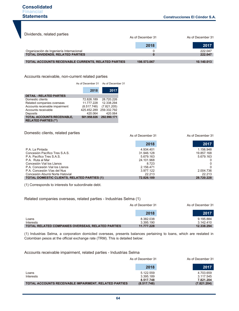| Dividends, related parties                                 | As of December 31 |            |
|------------------------------------------------------------|-------------------|------------|
|                                                            | 2018              | 2017       |
| Organización de Ingeniería Internacional                   |                   | 222.047    |
| <b>TOTAL DIVIDENDS, RELATED PARTIES</b>                    |                   | 222.047    |
| <b>TOTAL ACCOUNTS RECEIVABLE CURRENTS, RELATED PARTIES</b> | 198.573.067       | 10.140.013 |

Accounts receivable, non-current related parties

As of December 31 As of December 31

|                                                                  | 2018        | 2017                    |
|------------------------------------------------------------------|-------------|-------------------------|
| <b>DETAIL - RELATED PARTIES</b>                                  |             |                         |
| Domestic clients                                                 | 72.826.189  | 28.720.226              |
| Related companies overseas                                       | 11.777.228  | 12.338.294              |
| Accounts receivable impairment                                   | (8.517.748) | (7.821.205)             |
| Accounts receivable                                              | 425.452.289 | 259.332.792             |
| Deposits                                                         | 420.064     | 420.064                 |
| <b>TOTAL ACCOUNTS RECEIVABLE,</b><br><b>RELATED PARTIES (**)</b> |             | 501.958.026 292.990.171 |

Domestic clients, related parties

|                                                    | As of December 31 | As of December 31 |
|----------------------------------------------------|-------------------|-------------------|
|                                                    | 2018              | 2017              |
| P.A. La Pintada                                    | 4.934.401         | 1.156.948         |
| Concesión Pacífico Tres S.A.S.                     | 31.946.128        | 19.857.168        |
| P.A. Pacífico Tres S.A.S.                          | 5.679.163         | 5.679.163         |
| P.A. Ruta al Mar                                   | 24.101.968        |                   |
| Concesión Vial los Llanos                          | 8.723             | 0                 |
| P.A. Concesión Vial los Llanos                     | 2.156.471         | 0                 |
| P.A. Concesión Vías del Nus                        | 3.977.122         | 2.004.736         |
| Concesión Aburrá Norte Hatovial                    | 22 213            | 22.213            |
| <b>TOTAL DOMESTIC CLIENTS, RELATED PARTIES (1)</b> | 72.826.189        | 28.720.228        |

(1) Corresponds to interests for subordinate debt.

# Related companies overseas, related parties - Industrias Selma (1)

|                                                   | As of December 31 | As of December 31 |  |
|---------------------------------------------------|-------------------|-------------------|--|
|                                                   | 2018              | 2017              |  |
| Loans                                             | 8.382.038         | 9.195.884         |  |
| Interests                                         | 3.395.190         | 3.142.410         |  |
| TOTAL RELATED COMPANIES OVERSEAS, RELATED PARTIES | 11.777.228        | 12.338.294        |  |

(1) Industrias Selma, a corporation domiciled overseas, presents balances pertaining to loans, which are restated in Colombian pesos at the official exchange rate (TRM). This is detailed below:

Accounts receivable impairment, related parties - Industrias Selma

|                                                              | As of December 31                   | As of December 31                   |  |
|--------------------------------------------------------------|-------------------------------------|-------------------------------------|--|
|                                                              | 2018                                | 2017                                |  |
| Loans<br>Interests                                           | 5.122.559<br>3.395.189<br>8.517.748 | 4.703.659<br>3.117.545<br>7.821.204 |  |
| <b>TOTAL ACCOUNTS RECEIVABLE IMPAIRMENT, RELATED PARTIES</b> | (8.517.748)                         | (7.821.204)                         |  |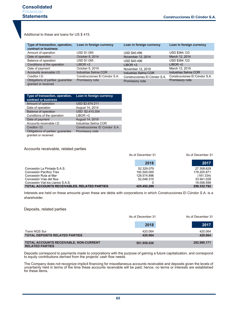Additional to these are loans for US \$ 415.

| Type of transaction, operation,<br>contract or business  | Loan in foreign currency      | Loan in foreign currency      | Loan in foreign currency      |
|----------------------------------------------------------|-------------------------------|-------------------------------|-------------------------------|
| Amount of operation                                      | USD \$1.085                   | USD \$40.496                  | USD \$364.123                 |
| Date of operation                                        | October 8, 2014               | November 12, 2014             | March 12, 2014                |
| Balance of operation                                     | USD \$1.085                   | <b>USD \$40.496</b>           | USD \$364.123                 |
| Conditions of the operation                              | $LIBOR +2$                    | $LIBOR +2$                    | $LIBOR +2$                    |
| Date of payment                                          | October 8, 2019               | November 12, 2019             | March 12, 2019                |
| Accounts receivable I.D.                                 | Industrias Selma COR          | Industrias Selma COR          | Industrias Selma COR          |
| Creditor I.D.                                            | Construcciones El Cóndor S.A. | Construcciones El Cóndor S.A. | Construcciones El Cóndor S.A. |
| Obligations of parties: guarantee<br>granted or received | Promissory note               | Promissory note               | Promissory note               |

| Type of transaction, operation,<br>contract or business | Loan in foreign currency      |
|---------------------------------------------------------|-------------------------------|
| Amount of operation                                     | USD \$2.674.211               |
| Date of operation                                       | August 14, 2014               |
| <b>Balance of operation</b>                             | USD \$2.410.354               |
| Conditions of the operation                             | $LIBOR +2$                    |
| Date of payment                                         | August 14, 2019               |
| Accounts receivable I.D.                                | Industrias Selma COR          |
| Creditor I.D.                                           | Construcciones El Cóndor S.A. |
| Obligations of parties: guarantee                       | Promissory note               |
| granted or received                                     |                               |

#### Accounts receivable, related parties

|                                             | As of December 31 | As of December 31 |  |
|---------------------------------------------|-------------------|-------------------|--|
|                                             | 2018              | 2017              |  |
| Concesión La Pintada S.A.S.                 | 52.329.079        | 27.308.629        |  |
| Concesión Pacífico Tres                     | 192.500.000       | 179.205.871       |  |
| Concesión Ruta al Mar                       | 128.574.896       | (181.334)         |  |
| Concesión Vías del Nus                      | 52.048.315        | 33.941.028        |  |
| Concesión Vial los Llanos S.A.S.            |                   | 19.058.599        |  |
| TOTAL ACCOUNTS RECEIVABLES, RELATED PARTIES | 425.452.289       | 259.332.792       |  |

Interests are held on these amounts given these are debts with corporations in which Construcciones El Cóndor S.A. is a shareholder.

#### Deposits, related parties

|                                                                         | As of December 31 | As of December 31 |  |
|-------------------------------------------------------------------------|-------------------|-------------------|--|
|                                                                         | 2018              | 2017              |  |
| Trans NQS Sur                                                           | 420.064           | 420.064           |  |
| <b>TOTAL DEPOSITS RELATED PARTIES</b>                                   | 420.064           | 420.064           |  |
| <b>TOTAL ACCOUNTS RECEIVABLE, NON-CURRENT</b><br><b>RELATED PARTIES</b> | 501.958.026       | 292.990.171       |  |

Deposits correspond to payments made to corporations with the purpose of gaining a future capitalization, and correspond to equity contributions derived from the projects' cash flow needs.

The Company does not recognize implicit financing for miscellaneous accounts receivable and deposits given the levels of uncertainty held in terms of the time these accounts receivable will be paid; hence, no terms or interests are established for these items.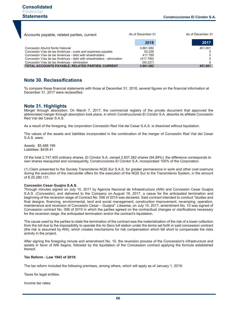| Accounts payable, related parties, current                            | As of December 31 | As of December 31 |
|-----------------------------------------------------------------------|-------------------|-------------------|
|                                                                       | 2018              | 2017              |
| Concesión Aburrá Norte Hatovial                                       | 3.861.082         | 451.001           |
| Concesión Vías de las Américas - costs and expenses payable           | 55.226            |                   |
| Concesión Vías de las Américas - debt with shareholders               | 417.789           |                   |
| Concesión Vías de las Américas - debt with shareholders - elimination | (417.789)         |                   |
| Concesión Vías de las Américas - elimination                          | (55.227)          |                   |
| <b>TOTAL ACCOUNTS PAYABLE, RELATED PARTIES, CURRENT</b>               | 3.861.082         | 451.001           |

# **Note 30. Reclassifications**

To compare these financial statements with those at December 31, 2018, several figures on the financial information at December 31, 2017 were reclassified.

# **Note 31. Highlights**

Merger through absorption: On March 7, 2017, the commercial registry of the private document that approved the abbreviated merger through absorption took place, in which Construcciones El Cóndor S.A. absorbs its afilliate Concesión Red Vial del Cesar S.A.S.

As a result of the foregoing, the corporation Concesión Red Vial del Cesar S.A.S. is dissolved without liquidation.

The values of the assets and liabilities incorporated in the combination of the merger of Concesión Red Vial del Cesar S.A.S. were:

Assets: \$5.488.199 Liabilities: \$439.41

Of the total 2.747.400 ordinary shares, El Cóndor S.A. owned 2.607.282 shares (94,89%); the difference corresponds to own shares reacquired and consequently, Construcciones El Cóndor S.A. incorporated 100% of the Corporation.

(1) Claim presented to the Society Transmilenio NQS Sur S.A.S. for greater permanence in work and other cost overruns during the execution of the mercantile offers for the execution of the NQS Sur to the Transmilenio System, in the amount of \$ 20.280.131.

#### **Concesión Cesar Guajira S.A.S.**

Through minutes signed on July 10, 2017 by Agencia Nacional de Infraestructura (ANI) and Concesión Cesar Guajira S.A.S. (Concesión), and delivered to the Company on August 18, 2017, a casue for the anticipated termination and beginning of the reversion stage of Contract No. 006 of 2015 was declared. Said contract intended to conduct "studies and final designs, financing, environmental, land and social management, construction improvement, revamping, operation, maintenance and reversion of Concesión Cesar – Guajira". Likewise, on July 10, 2017, amendment No. 10 was signed of Concession contract No. 006 of 2015 in which the parties agreed on the contracttual changes or clarifications necessary for the reversion stage, the anticipated termination and/or the contract's liquidation.

The cause used by the parties to state the termination of the contract was the materialization of the risk of a lower collection from the toll due to the impossibility to operate the rio Seco toll station under the terms set forth in said concession contract (the risk is assumed by ANI), which creates mechanisms for risk compensation which fall short to compensate the risks activity in the project.

After signing the foregoing minute and amendment No. 10, the reversion process of the Concession's infrastructure and assets in favor of ANI begins, followed by the liquidation of the Concession contract applying the formula established thereof.

#### **Tax Reform - Law 1943 of 2018:**

The tax reform included the following premises, among others, which will apply as of January 1, 2019:

Taxes for legal entities.

Income tax rates: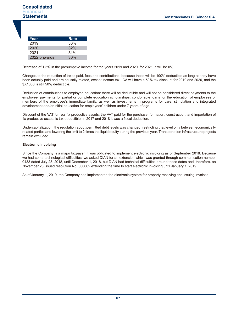| Year         | Rate |
|--------------|------|
| 2019         | 33%  |
| 2020         | 32%  |
| 2021         | 31%  |
| 2022 onwards | 30%  |

Decrease of 1.5% in the presumptive income for the years 2019 and 2020; for 2021, it will be 0%.

Changes to the reduction of taxes paid, fees and contributions, because those will be 100% deductible as long as they have been actually paid and are causally related, except income tax, ICA will have a 50% tax discount for 2019 and 2020, and the \$X1000 is still 50% deductible.

Deduction of contributions to employee education: there will be deductible and will not be considered direct payments to the employee; payments for partial or complete education scholarships, condonable loans for the education of employees or members of the employee's immediate family, as well as investments in programs for care, stimulation and integrated development and/or initial education for employees' children under 7 years of age.

Discount of the VAT for real fix productive assets: the VAT paid for the purchase, formation, construction, and importation of fix productive assets is tax deductible; in 2017 and 2018 it was a fiscal deduction.

Undercapitalization: the regulation about permitted debt levels was changed, restricting that level only between economically related parties and lowering the limit to 2 times the liquid equity during the previous year. Transportation infrastructure projects remain excluded.

#### **Electronic invoicing**

Since the Company is a major taxpayer, it was obligated to implement electronic invoicing as of September 2018. Because we had some technological difficulties, we asked DIAN for an extension which was granted through communication number 0433 dated July 23, 2018, until December 1, 2018, but DIAN had technical difficulties around those dates and, therefore, on November 28 issued resolution No. 000062 extending the time to start electronic invoicing until January 1, 2019.

As of January 1, 2019, the Company has implemented the electronic system for property receiving and issuing invoices.